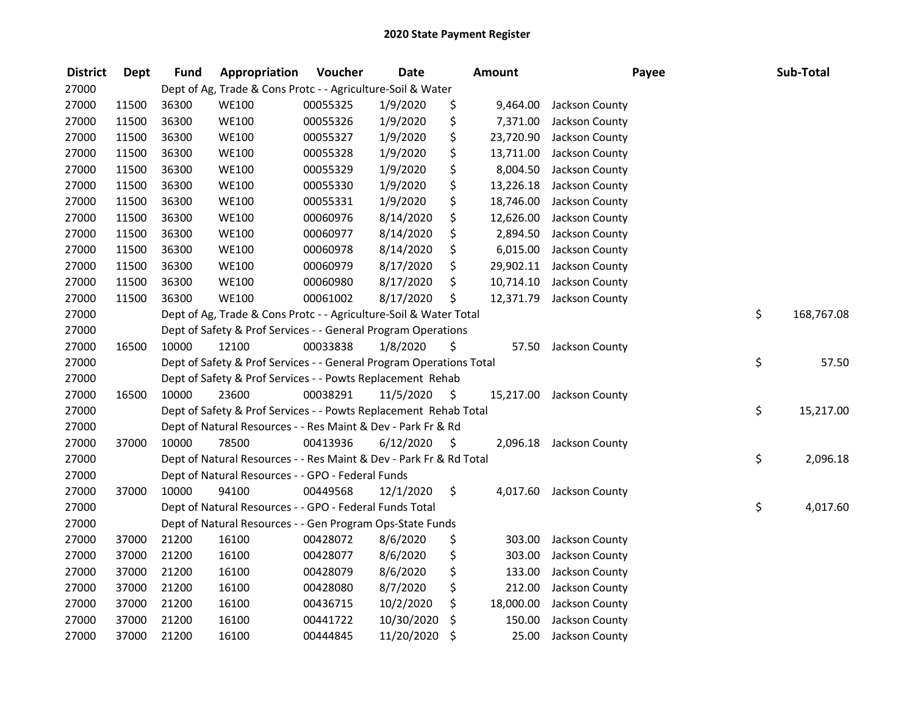| <b>District</b> | Dept  | <b>Fund</b> | Appropriation                                                       | Voucher  | <b>Date</b> |      | <b>Amount</b> | Payee                    | Sub-Total        |
|-----------------|-------|-------------|---------------------------------------------------------------------|----------|-------------|------|---------------|--------------------------|------------------|
| 27000           |       |             | Dept of Ag, Trade & Cons Protc - - Agriculture-Soil & Water         |          |             |      |               |                          |                  |
| 27000           | 11500 | 36300       | <b>WE100</b>                                                        | 00055325 | 1/9/2020    | \$   | 9,464.00      | Jackson County           |                  |
| 27000           | 11500 | 36300       | <b>WE100</b>                                                        | 00055326 | 1/9/2020    | \$   | 7,371.00      | Jackson County           |                  |
| 27000           | 11500 | 36300       | <b>WE100</b>                                                        | 00055327 | 1/9/2020    | \$   | 23,720.90     | Jackson County           |                  |
| 27000           | 11500 | 36300       | <b>WE100</b>                                                        | 00055328 | 1/9/2020    | \$   | 13,711.00     | Jackson County           |                  |
| 27000           | 11500 | 36300       | <b>WE100</b>                                                        | 00055329 | 1/9/2020    | \$   | 8,004.50      | Jackson County           |                  |
| 27000           | 11500 | 36300       | <b>WE100</b>                                                        | 00055330 | 1/9/2020    | \$   | 13,226.18     | Jackson County           |                  |
| 27000           | 11500 | 36300       | <b>WE100</b>                                                        | 00055331 | 1/9/2020    | \$   | 18,746.00     | Jackson County           |                  |
| 27000           | 11500 | 36300       | <b>WE100</b>                                                        | 00060976 | 8/14/2020   | \$   | 12,626.00     | Jackson County           |                  |
| 27000           | 11500 | 36300       | <b>WE100</b>                                                        | 00060977 | 8/14/2020   | \$   | 2,894.50      | Jackson County           |                  |
| 27000           | 11500 | 36300       | <b>WE100</b>                                                        | 00060978 | 8/14/2020   | \$   | 6,015.00      | Jackson County           |                  |
| 27000           | 11500 | 36300       | <b>WE100</b>                                                        | 00060979 | 8/17/2020   | \$   | 29,902.11     | Jackson County           |                  |
| 27000           | 11500 | 36300       | <b>WE100</b>                                                        | 00060980 | 8/17/2020   | \$   | 10,714.10     | Jackson County           |                  |
| 27000           | 11500 | 36300       | <b>WE100</b>                                                        | 00061002 | 8/17/2020   | \$   | 12,371.79     | Jackson County           |                  |
| 27000           |       |             | Dept of Ag, Trade & Cons Protc - - Agriculture-Soil & Water Total   |          |             |      |               |                          | \$<br>168,767.08 |
| 27000           |       |             | Dept of Safety & Prof Services - - General Program Operations       |          |             |      |               |                          |                  |
| 27000           | 16500 | 10000       | 12100                                                               | 00033838 | 1/8/2020    | \$   | 57.50         | Jackson County           |                  |
| 27000           |       |             | Dept of Safety & Prof Services - - General Program Operations Total |          |             |      |               |                          | \$<br>57.50      |
| 27000           |       |             | Dept of Safety & Prof Services - - Powts Replacement Rehab          |          |             |      |               |                          |                  |
| 27000           | 16500 | 10000       | 23600                                                               | 00038291 | 11/5/2020   | - \$ |               | 15,217.00 Jackson County |                  |
| 27000           |       |             | Dept of Safety & Prof Services - - Powts Replacement Rehab Total    |          |             |      |               |                          | \$<br>15,217.00  |
| 27000           |       |             | Dept of Natural Resources - - Res Maint & Dev - Park Fr & Rd        |          |             |      |               |                          |                  |
| 27000           | 37000 | 10000       | 78500                                                               | 00413936 | 6/12/2020   | -\$  |               | 2,096.18 Jackson County  |                  |
| 27000           |       |             | Dept of Natural Resources - - Res Maint & Dev - Park Fr & Rd Total  |          |             |      |               |                          | \$<br>2,096.18   |
| 27000           |       |             | Dept of Natural Resources - - GPO - Federal Funds                   |          |             |      |               |                          |                  |
| 27000           | 37000 | 10000       | 94100                                                               | 00449568 | 12/1/2020   | \$   |               | 4,017.60 Jackson County  |                  |
| 27000           |       |             | Dept of Natural Resources - - GPO - Federal Funds Total             |          |             |      |               |                          | \$<br>4,017.60   |
| 27000           |       |             | Dept of Natural Resources - - Gen Program Ops-State Funds           |          |             |      |               |                          |                  |
| 27000           | 37000 | 21200       | 16100                                                               | 00428072 | 8/6/2020    | \$   | 303.00        | Jackson County           |                  |
| 27000           | 37000 | 21200       | 16100                                                               | 00428077 | 8/6/2020    | \$   | 303.00        | Jackson County           |                  |
| 27000           | 37000 | 21200       | 16100                                                               | 00428079 | 8/6/2020    | \$   | 133.00        | Jackson County           |                  |
| 27000           | 37000 | 21200       | 16100                                                               | 00428080 | 8/7/2020    | \$   | 212.00        | Jackson County           |                  |
| 27000           | 37000 | 21200       | 16100                                                               | 00436715 | 10/2/2020   | \$   | 18,000.00     | Jackson County           |                  |
| 27000           | 37000 | 21200       | 16100                                                               | 00441722 | 10/30/2020  | \$   | 150.00        | Jackson County           |                  |
| 27000           | 37000 | 21200       | 16100                                                               | 00444845 | 11/20/2020  | \$   | 25.00         | Jackson County           |                  |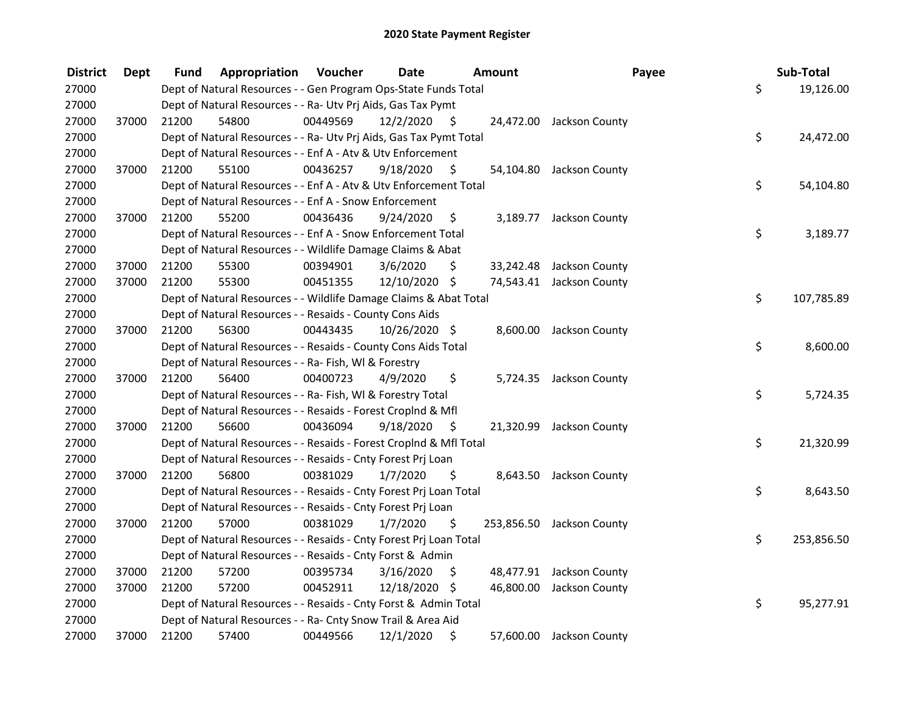| <b>District</b> | <b>Dept</b> | Fund  | Appropriation                                                      | Voucher  | <b>Date</b>   |      | Amount | Payee                     | Sub-Total        |
|-----------------|-------------|-------|--------------------------------------------------------------------|----------|---------------|------|--------|---------------------------|------------------|
| 27000           |             |       | Dept of Natural Resources - - Gen Program Ops-State Funds Total    |          |               |      |        |                           | \$<br>19,126.00  |
| 27000           |             |       | Dept of Natural Resources - - Ra- Utv Prj Aids, Gas Tax Pymt       |          |               |      |        |                           |                  |
| 27000           | 37000       | 21200 | 54800                                                              | 00449569 | 12/2/2020     | - \$ |        | 24,472.00 Jackson County  |                  |
| 27000           |             |       | Dept of Natural Resources - - Ra- Utv Prj Aids, Gas Tax Pymt Total |          |               |      |        |                           | \$<br>24,472.00  |
| 27000           |             |       | Dept of Natural Resources - - Enf A - Atv & Utv Enforcement        |          |               |      |        |                           |                  |
| 27000           | 37000       | 21200 | 55100                                                              | 00436257 | 9/18/2020     | \$   |        | 54,104.80 Jackson County  |                  |
| 27000           |             |       | Dept of Natural Resources - - Enf A - Atv & Utv Enforcement Total  |          |               |      |        |                           | \$<br>54,104.80  |
| 27000           |             |       | Dept of Natural Resources - - Enf A - Snow Enforcement             |          |               |      |        |                           |                  |
| 27000           | 37000       | 21200 | 55200                                                              | 00436436 | 9/24/2020     | \$   |        | 3,189.77 Jackson County   |                  |
| 27000           |             |       | Dept of Natural Resources - - Enf A - Snow Enforcement Total       |          |               |      |        |                           | \$<br>3,189.77   |
| 27000           |             |       | Dept of Natural Resources - - Wildlife Damage Claims & Abat        |          |               |      |        |                           |                  |
| 27000           | 37000       | 21200 | 55300                                                              | 00394901 | 3/6/2020      | \$   |        | 33,242.48 Jackson County  |                  |
| 27000           | 37000       | 21200 | 55300                                                              | 00451355 | 12/10/2020    | \$   |        | 74,543.41 Jackson County  |                  |
| 27000           |             |       | Dept of Natural Resources - - Wildlife Damage Claims & Abat Total  |          |               |      |        |                           | \$<br>107,785.89 |
| 27000           |             |       | Dept of Natural Resources - - Resaids - County Cons Aids           |          |               |      |        |                           |                  |
| 27000           | 37000       | 21200 | 56300                                                              | 00443435 | 10/26/2020 \$ |      |        | 8,600.00 Jackson County   |                  |
| 27000           |             |       | Dept of Natural Resources - - Resaids - County Cons Aids Total     |          |               |      |        |                           | \$<br>8,600.00   |
| 27000           |             |       | Dept of Natural Resources - - Ra- Fish, WI & Forestry              |          |               |      |        |                           |                  |
| 27000           | 37000       | 21200 | 56400                                                              | 00400723 | 4/9/2020      | \$   |        | 5,724.35 Jackson County   |                  |
| 27000           |             |       | Dept of Natural Resources - - Ra- Fish, WI & Forestry Total        |          |               |      |        |                           | \$<br>5,724.35   |
| 27000           |             |       | Dept of Natural Resources - - Resaids - Forest Croplnd & Mfl       |          |               |      |        |                           |                  |
| 27000           | 37000       | 21200 | 56600                                                              | 00436094 | 9/18/2020     | - \$ |        | 21,320.99 Jackson County  |                  |
| 27000           |             |       | Dept of Natural Resources - - Resaids - Forest CropInd & Mfl Total |          |               |      |        |                           | \$<br>21,320.99  |
| 27000           |             |       | Dept of Natural Resources - - Resaids - Cnty Forest Prj Loan       |          |               |      |        |                           |                  |
| 27000           | 37000       | 21200 | 56800                                                              | 00381029 | 1/7/2020      | \$.  |        | 8,643.50 Jackson County   |                  |
| 27000           |             |       | Dept of Natural Resources - - Resaids - Cnty Forest Prj Loan Total |          |               |      |        |                           | \$<br>8,643.50   |
| 27000           |             |       | Dept of Natural Resources - - Resaids - Cnty Forest Prj Loan       |          |               |      |        |                           |                  |
| 27000           | 37000       | 21200 | 57000                                                              | 00381029 | 1/7/2020      | \$   |        | 253,856.50 Jackson County |                  |
| 27000           |             |       | Dept of Natural Resources - - Resaids - Cnty Forest Prj Loan Total |          |               |      |        |                           | \$<br>253,856.50 |
| 27000           |             |       | Dept of Natural Resources - - Resaids - Cnty Forst & Admin         |          |               |      |        |                           |                  |
| 27000           | 37000       | 21200 | 57200                                                              | 00395734 | 3/16/2020     | \$   |        | 48,477.91 Jackson County  |                  |
| 27000           | 37000       | 21200 | 57200                                                              | 00452911 | 12/18/2020 \$ |      |        | 46,800.00 Jackson County  |                  |
| 27000           |             |       | Dept of Natural Resources - - Resaids - Cnty Forst & Admin Total   |          |               |      |        |                           | \$<br>95,277.91  |
| 27000           |             |       | Dept of Natural Resources - - Ra- Cnty Snow Trail & Area Aid       |          |               |      |        |                           |                  |
| 27000           | 37000       | 21200 | 57400                                                              | 00449566 | 12/1/2020     | \$   |        | 57,600.00 Jackson County  |                  |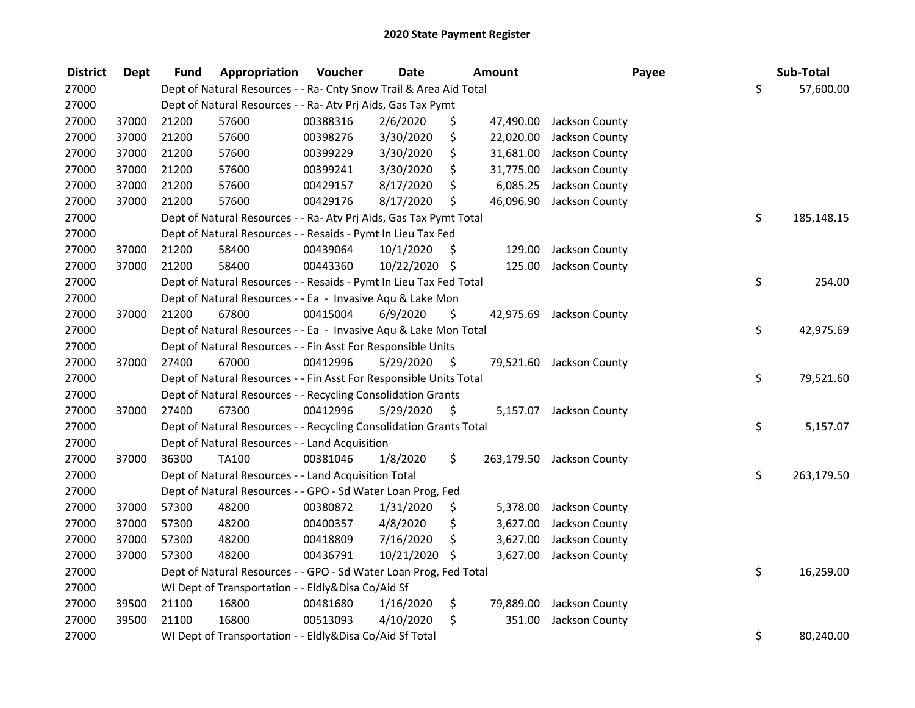| <b>District</b> | <b>Dept</b> | Fund  | Appropriation                                                      | Voucher  | <b>Date</b>   |      | <b>Amount</b> | Payee                     | Sub-Total        |
|-----------------|-------------|-------|--------------------------------------------------------------------|----------|---------------|------|---------------|---------------------------|------------------|
| 27000           |             |       | Dept of Natural Resources - - Ra- Cnty Snow Trail & Area Aid Total |          |               |      |               |                           | \$<br>57,600.00  |
| 27000           |             |       | Dept of Natural Resources - - Ra- Atv Prj Aids, Gas Tax Pymt       |          |               |      |               |                           |                  |
| 27000           | 37000       | 21200 | 57600                                                              | 00388316 | 2/6/2020      | \$   | 47,490.00     | Jackson County            |                  |
| 27000           | 37000       | 21200 | 57600                                                              | 00398276 | 3/30/2020     | \$   | 22,020.00     | Jackson County            |                  |
| 27000           | 37000       | 21200 | 57600                                                              | 00399229 | 3/30/2020     | \$   | 31,681.00     | Jackson County            |                  |
| 27000           | 37000       | 21200 | 57600                                                              | 00399241 | 3/30/2020     | \$   | 31,775.00     | Jackson County            |                  |
| 27000           | 37000       | 21200 | 57600                                                              | 00429157 | 8/17/2020     | \$   | 6,085.25      | Jackson County            |                  |
| 27000           | 37000       | 21200 | 57600                                                              | 00429176 | 8/17/2020     | \$   | 46,096.90     | Jackson County            |                  |
| 27000           |             |       | Dept of Natural Resources - - Ra- Atv Prj Aids, Gas Tax Pymt Total |          |               |      |               |                           | \$<br>185,148.15 |
| 27000           |             |       | Dept of Natural Resources - - Resaids - Pymt In Lieu Tax Fed       |          |               |      |               |                           |                  |
| 27000           | 37000       | 21200 | 58400                                                              | 00439064 | 10/1/2020     | \$.  | 129.00        | Jackson County            |                  |
| 27000           | 37000       | 21200 | 58400                                                              | 00443360 | 10/22/2020 \$ |      | 125.00        | Jackson County            |                  |
| 27000           |             |       | Dept of Natural Resources - - Resaids - Pymt In Lieu Tax Fed Total |          |               |      |               |                           | \$<br>254.00     |
| 27000           |             |       | Dept of Natural Resources - - Ea - Invasive Aqu & Lake Mon         |          |               |      |               |                           |                  |
| 27000           | 37000       | 21200 | 67800                                                              | 00415004 | 6/9/2020      | \$   | 42,975.69     | Jackson County            |                  |
| 27000           |             |       | Dept of Natural Resources - - Ea - Invasive Aqu & Lake Mon Total   |          |               |      |               |                           | \$<br>42,975.69  |
| 27000           |             |       | Dept of Natural Resources - - Fin Asst For Responsible Units       |          |               |      |               |                           |                  |
| 27000           | 37000       | 27400 | 67000                                                              | 00412996 | 5/29/2020     | \$   |               | 79,521.60 Jackson County  |                  |
| 27000           |             |       | Dept of Natural Resources - - Fin Asst For Responsible Units Total |          |               |      |               |                           | \$<br>79,521.60  |
| 27000           |             |       | Dept of Natural Resources - - Recycling Consolidation Grants       |          |               |      |               |                           |                  |
| 27000           | 37000       | 27400 | 67300                                                              | 00412996 | 5/29/2020     | - \$ |               | 5,157.07 Jackson County   |                  |
| 27000           |             |       | Dept of Natural Resources - - Recycling Consolidation Grants Total |          |               |      |               |                           | \$<br>5,157.07   |
| 27000           |             |       | Dept of Natural Resources - - Land Acquisition                     |          |               |      |               |                           |                  |
| 27000           | 37000       | 36300 | TA100                                                              | 00381046 | 1/8/2020      | \$   |               | 263,179.50 Jackson County |                  |
| 27000           |             |       | Dept of Natural Resources - - Land Acquisition Total               |          |               |      |               |                           | \$<br>263,179.50 |
| 27000           |             |       | Dept of Natural Resources - - GPO - Sd Water Loan Prog, Fed        |          |               |      |               |                           |                  |
| 27000           | 37000       | 57300 | 48200                                                              | 00380872 | 1/31/2020     | \$.  | 5,378.00      | Jackson County            |                  |
| 27000           | 37000       | 57300 | 48200                                                              | 00400357 | 4/8/2020      | \$   | 3,627.00      | Jackson County            |                  |
| 27000           | 37000       | 57300 | 48200                                                              | 00418809 | 7/16/2020     | \$   | 3,627.00      | Jackson County            |                  |
| 27000           | 37000       | 57300 | 48200                                                              | 00436791 | 10/21/2020 \$ |      | 3,627.00      | Jackson County            |                  |
| 27000           |             |       | Dept of Natural Resources - - GPO - Sd Water Loan Prog, Fed Total  |          |               |      |               |                           | \$<br>16,259.00  |
| 27000           |             |       | WI Dept of Transportation - - Eldly&Disa Co/Aid Sf                 |          |               |      |               |                           |                  |
| 27000           | 39500       | 21100 | 16800                                                              | 00481680 | 1/16/2020     | \$   | 79,889.00     | Jackson County            |                  |
| 27000           | 39500       | 21100 | 16800                                                              | 00513093 | 4/10/2020     | \$   | 351.00        | Jackson County            |                  |
| 27000           |             |       | WI Dept of Transportation - - Eldly&Disa Co/Aid Sf Total           |          |               |      |               |                           | \$<br>80,240.00  |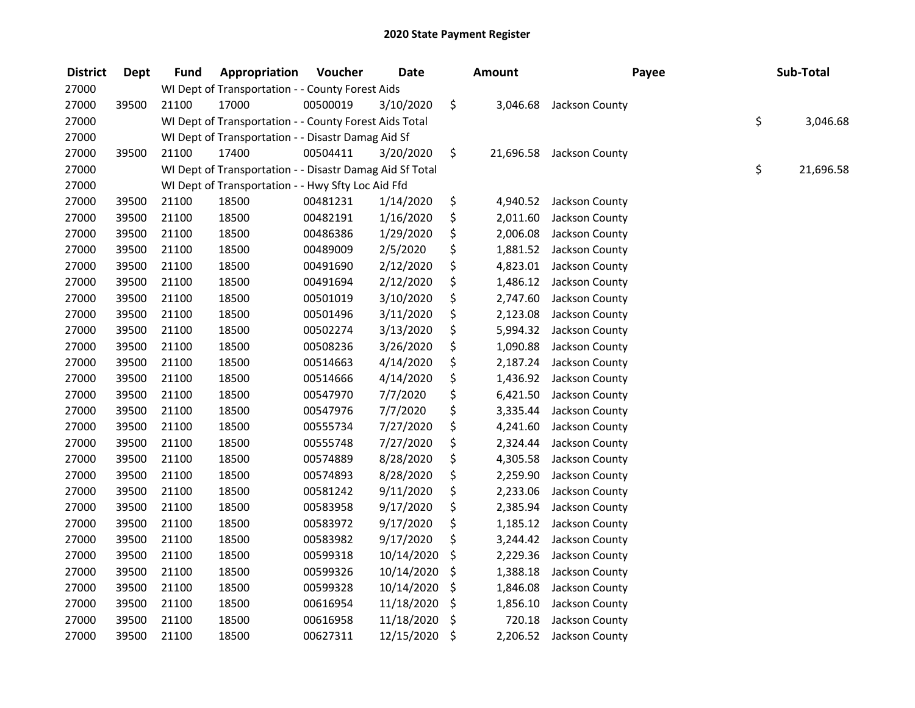| <b>District</b> | <b>Dept</b> | <b>Fund</b> | Appropriation                                            | Voucher  | <b>Date</b> | <b>Amount</b>   | Payee          | Sub-Total       |
|-----------------|-------------|-------------|----------------------------------------------------------|----------|-------------|-----------------|----------------|-----------------|
| 27000           |             |             | WI Dept of Transportation - - County Forest Aids         |          |             |                 |                |                 |
| 27000           | 39500       | 21100       | 17000                                                    | 00500019 | 3/10/2020   | \$<br>3,046.68  | Jackson County |                 |
| 27000           |             |             | WI Dept of Transportation - - County Forest Aids Total   |          |             |                 |                | \$<br>3,046.68  |
| 27000           |             |             | WI Dept of Transportation - - Disastr Damag Aid Sf       |          |             |                 |                |                 |
| 27000           | 39500       | 21100       | 17400                                                    | 00504411 | 3/20/2020   | \$<br>21,696.58 | Jackson County |                 |
| 27000           |             |             | WI Dept of Transportation - - Disastr Damag Aid Sf Total |          |             |                 |                | \$<br>21,696.58 |
| 27000           |             |             | WI Dept of Transportation - - Hwy Sfty Loc Aid Ffd       |          |             |                 |                |                 |
| 27000           | 39500       | 21100       | 18500                                                    | 00481231 | 1/14/2020   | \$<br>4,940.52  | Jackson County |                 |
| 27000           | 39500       | 21100       | 18500                                                    | 00482191 | 1/16/2020   | \$<br>2,011.60  | Jackson County |                 |
| 27000           | 39500       | 21100       | 18500                                                    | 00486386 | 1/29/2020   | \$<br>2,006.08  | Jackson County |                 |
| 27000           | 39500       | 21100       | 18500                                                    | 00489009 | 2/5/2020    | \$<br>1,881.52  | Jackson County |                 |
| 27000           | 39500       | 21100       | 18500                                                    | 00491690 | 2/12/2020   | \$<br>4,823.01  | Jackson County |                 |
| 27000           | 39500       | 21100       | 18500                                                    | 00491694 | 2/12/2020   | \$<br>1,486.12  | Jackson County |                 |
| 27000           | 39500       | 21100       | 18500                                                    | 00501019 | 3/10/2020   | \$<br>2,747.60  | Jackson County |                 |
| 27000           | 39500       | 21100       | 18500                                                    | 00501496 | 3/11/2020   | \$<br>2,123.08  | Jackson County |                 |
| 27000           | 39500       | 21100       | 18500                                                    | 00502274 | 3/13/2020   | \$<br>5,994.32  | Jackson County |                 |
| 27000           | 39500       | 21100       | 18500                                                    | 00508236 | 3/26/2020   | \$<br>1,090.88  | Jackson County |                 |
| 27000           | 39500       | 21100       | 18500                                                    | 00514663 | 4/14/2020   | \$<br>2,187.24  | Jackson County |                 |
| 27000           | 39500       | 21100       | 18500                                                    | 00514666 | 4/14/2020   | \$<br>1,436.92  | Jackson County |                 |
| 27000           | 39500       | 21100       | 18500                                                    | 00547970 | 7/7/2020    | \$<br>6,421.50  | Jackson County |                 |
| 27000           | 39500       | 21100       | 18500                                                    | 00547976 | 7/7/2020    | \$<br>3,335.44  | Jackson County |                 |
| 27000           | 39500       | 21100       | 18500                                                    | 00555734 | 7/27/2020   | \$<br>4,241.60  | Jackson County |                 |
| 27000           | 39500       | 21100       | 18500                                                    | 00555748 | 7/27/2020   | \$<br>2,324.44  | Jackson County |                 |
| 27000           | 39500       | 21100       | 18500                                                    | 00574889 | 8/28/2020   | \$<br>4,305.58  | Jackson County |                 |
| 27000           | 39500       | 21100       | 18500                                                    | 00574893 | 8/28/2020   | \$<br>2,259.90  | Jackson County |                 |
| 27000           | 39500       | 21100       | 18500                                                    | 00581242 | 9/11/2020   | \$<br>2,233.06  | Jackson County |                 |
| 27000           | 39500       | 21100       | 18500                                                    | 00583958 | 9/17/2020   | \$<br>2,385.94  | Jackson County |                 |
| 27000           | 39500       | 21100       | 18500                                                    | 00583972 | 9/17/2020   | \$<br>1,185.12  | Jackson County |                 |
| 27000           | 39500       | 21100       | 18500                                                    | 00583982 | 9/17/2020   | \$<br>3,244.42  | Jackson County |                 |
| 27000           | 39500       | 21100       | 18500                                                    | 00599318 | 10/14/2020  | \$<br>2,229.36  | Jackson County |                 |
| 27000           | 39500       | 21100       | 18500                                                    | 00599326 | 10/14/2020  | \$<br>1,388.18  | Jackson County |                 |
| 27000           | 39500       | 21100       | 18500                                                    | 00599328 | 10/14/2020  | \$<br>1,846.08  | Jackson County |                 |
| 27000           | 39500       | 21100       | 18500                                                    | 00616954 | 11/18/2020  | \$<br>1,856.10  | Jackson County |                 |
| 27000           | 39500       | 21100       | 18500                                                    | 00616958 | 11/18/2020  | \$<br>720.18    | Jackson County |                 |
| 27000           | 39500       | 21100       | 18500                                                    | 00627311 | 12/15/2020  | \$<br>2,206.52  | Jackson County |                 |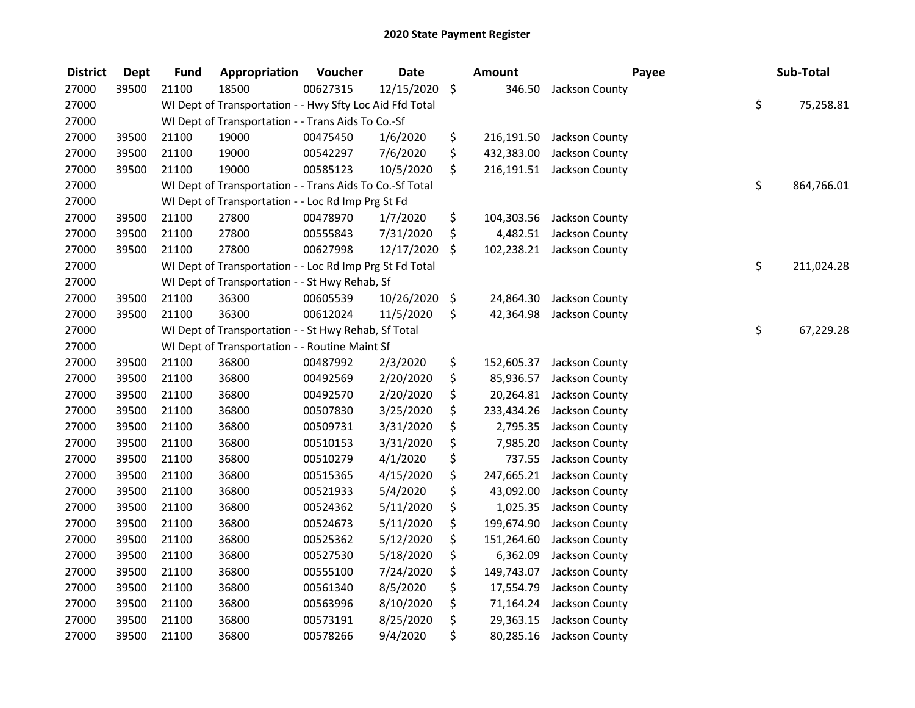| <b>District</b> | <b>Dept</b> | <b>Fund</b> | Appropriation                                            | Voucher  | <b>Date</b> |         | <b>Amount</b> | Payee          | Sub-Total        |
|-----------------|-------------|-------------|----------------------------------------------------------|----------|-------------|---------|---------------|----------------|------------------|
| 27000           | 39500       | 21100       | 18500                                                    | 00627315 | 12/15/2020  | $\zeta$ | 346.50        | Jackson County |                  |
| 27000           |             |             | WI Dept of Transportation - - Hwy Sfty Loc Aid Ffd Total |          |             |         |               |                | \$<br>75,258.81  |
| 27000           |             |             | WI Dept of Transportation - - Trans Aids To Co.-Sf       |          |             |         |               |                |                  |
| 27000           | 39500       | 21100       | 19000                                                    | 00475450 | 1/6/2020    | \$      | 216,191.50    | Jackson County |                  |
| 27000           | 39500       | 21100       | 19000                                                    | 00542297 | 7/6/2020    | \$      | 432,383.00    | Jackson County |                  |
| 27000           | 39500       | 21100       | 19000                                                    | 00585123 | 10/5/2020   | \$      | 216,191.51    | Jackson County |                  |
| 27000           |             |             | WI Dept of Transportation - - Trans Aids To Co.-Sf Total |          |             |         |               |                | \$<br>864,766.01 |
| 27000           |             |             | WI Dept of Transportation - - Loc Rd Imp Prg St Fd       |          |             |         |               |                |                  |
| 27000           | 39500       | 21100       | 27800                                                    | 00478970 | 1/7/2020    | \$      | 104,303.56    | Jackson County |                  |
| 27000           | 39500       | 21100       | 27800                                                    | 00555843 | 7/31/2020   | \$      | 4,482.51      | Jackson County |                  |
| 27000           | 39500       | 21100       | 27800                                                    | 00627998 | 12/17/2020  | \$      | 102,238.21    | Jackson County |                  |
| 27000           |             |             | WI Dept of Transportation - - Loc Rd Imp Prg St Fd Total |          |             |         |               |                | \$<br>211,024.28 |
| 27000           |             |             | WI Dept of Transportation - - St Hwy Rehab, Sf           |          |             |         |               |                |                  |
| 27000           | 39500       | 21100       | 36300                                                    | 00605539 | 10/26/2020  | \$      | 24,864.30     | Jackson County |                  |
| 27000           | 39500       | 21100       | 36300                                                    | 00612024 | 11/5/2020   | \$      | 42,364.98     | Jackson County |                  |
| 27000           |             |             | WI Dept of Transportation - - St Hwy Rehab, Sf Total     |          |             |         |               |                | \$<br>67,229.28  |
| 27000           |             |             | WI Dept of Transportation - - Routine Maint Sf           |          |             |         |               |                |                  |
| 27000           | 39500       | 21100       | 36800                                                    | 00487992 | 2/3/2020    | \$      | 152,605.37    | Jackson County |                  |
| 27000           | 39500       | 21100       | 36800                                                    | 00492569 | 2/20/2020   | \$      | 85,936.57     | Jackson County |                  |
| 27000           | 39500       | 21100       | 36800                                                    | 00492570 | 2/20/2020   | \$      | 20,264.81     | Jackson County |                  |
| 27000           | 39500       | 21100       | 36800                                                    | 00507830 | 3/25/2020   | \$      | 233,434.26    | Jackson County |                  |
| 27000           | 39500       | 21100       | 36800                                                    | 00509731 | 3/31/2020   | \$      | 2,795.35      | Jackson County |                  |
| 27000           | 39500       | 21100       | 36800                                                    | 00510153 | 3/31/2020   | \$      | 7,985.20      | Jackson County |                  |
| 27000           | 39500       | 21100       | 36800                                                    | 00510279 | 4/1/2020    | \$      | 737.55        | Jackson County |                  |
| 27000           | 39500       | 21100       | 36800                                                    | 00515365 | 4/15/2020   | \$      | 247,665.21    | Jackson County |                  |
| 27000           | 39500       | 21100       | 36800                                                    | 00521933 | 5/4/2020    | \$      | 43,092.00     | Jackson County |                  |
| 27000           | 39500       | 21100       | 36800                                                    | 00524362 | 5/11/2020   | \$      | 1,025.35      | Jackson County |                  |
| 27000           | 39500       | 21100       | 36800                                                    | 00524673 | 5/11/2020   | \$      | 199,674.90    | Jackson County |                  |
| 27000           | 39500       | 21100       | 36800                                                    | 00525362 | 5/12/2020   | \$      | 151,264.60    | Jackson County |                  |
| 27000           | 39500       | 21100       | 36800                                                    | 00527530 | 5/18/2020   | \$      | 6,362.09      | Jackson County |                  |
| 27000           | 39500       | 21100       | 36800                                                    | 00555100 | 7/24/2020   | \$      | 149,743.07    | Jackson County |                  |
| 27000           | 39500       | 21100       | 36800                                                    | 00561340 | 8/5/2020    | \$      | 17,554.79     | Jackson County |                  |
| 27000           | 39500       | 21100       | 36800                                                    | 00563996 | 8/10/2020   | \$      | 71,164.24     | Jackson County |                  |
| 27000           | 39500       | 21100       | 36800                                                    | 00573191 | 8/25/2020   | \$      | 29,363.15     | Jackson County |                  |
| 27000           | 39500       | 21100       | 36800                                                    | 00578266 | 9/4/2020    | \$      | 80,285.16     | Jackson County |                  |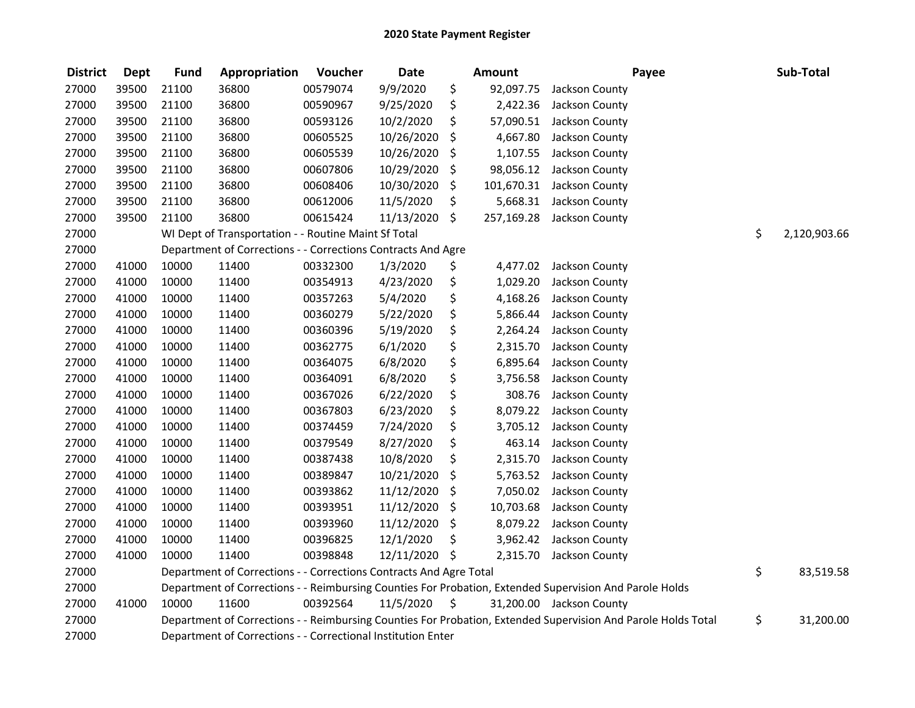| <b>District</b> | <b>Dept</b> | <b>Fund</b> | Appropriation                                                      | Voucher  | <b>Date</b>   | <b>Amount</b>    | Payee                                                                                                         | Sub-Total          |
|-----------------|-------------|-------------|--------------------------------------------------------------------|----------|---------------|------------------|---------------------------------------------------------------------------------------------------------------|--------------------|
| 27000           | 39500       | 21100       | 36800                                                              | 00579074 | 9/9/2020      | \$<br>92,097.75  | Jackson County                                                                                                |                    |
| 27000           | 39500       | 21100       | 36800                                                              | 00590967 | 9/25/2020     | \$<br>2,422.36   | Jackson County                                                                                                |                    |
| 27000           | 39500       | 21100       | 36800                                                              | 00593126 | 10/2/2020     | \$<br>57,090.51  | Jackson County                                                                                                |                    |
| 27000           | 39500       | 21100       | 36800                                                              | 00605525 | 10/26/2020    | \$<br>4,667.80   | Jackson County                                                                                                |                    |
| 27000           | 39500       | 21100       | 36800                                                              | 00605539 | 10/26/2020    | \$<br>1,107.55   | Jackson County                                                                                                |                    |
| 27000           | 39500       | 21100       | 36800                                                              | 00607806 | 10/29/2020    | \$<br>98,056.12  | Jackson County                                                                                                |                    |
| 27000           | 39500       | 21100       | 36800                                                              | 00608406 | 10/30/2020    | \$<br>101,670.31 | Jackson County                                                                                                |                    |
| 27000           | 39500       | 21100       | 36800                                                              | 00612006 | 11/5/2020     | \$<br>5,668.31   | Jackson County                                                                                                |                    |
| 27000           | 39500       | 21100       | 36800                                                              | 00615424 | 11/13/2020    | \$<br>257,169.28 | Jackson County                                                                                                |                    |
| 27000           |             |             | WI Dept of Transportation - - Routine Maint Sf Total               |          |               |                  |                                                                                                               | \$<br>2,120,903.66 |
| 27000           |             |             | Department of Corrections - - Corrections Contracts And Agre       |          |               |                  |                                                                                                               |                    |
| 27000           | 41000       | 10000       | 11400                                                              | 00332300 | 1/3/2020      | \$<br>4,477.02   | Jackson County                                                                                                |                    |
| 27000           | 41000       | 10000       | 11400                                                              | 00354913 | 4/23/2020     | \$<br>1,029.20   | Jackson County                                                                                                |                    |
| 27000           | 41000       | 10000       | 11400                                                              | 00357263 | 5/4/2020      | \$<br>4,168.26   | Jackson County                                                                                                |                    |
| 27000           | 41000       | 10000       | 11400                                                              | 00360279 | 5/22/2020     | \$<br>5,866.44   | Jackson County                                                                                                |                    |
| 27000           | 41000       | 10000       | 11400                                                              | 00360396 | 5/19/2020     | \$<br>2,264.24   | Jackson County                                                                                                |                    |
| 27000           | 41000       | 10000       | 11400                                                              | 00362775 | 6/1/2020      | \$<br>2,315.70   | Jackson County                                                                                                |                    |
| 27000           | 41000       | 10000       | 11400                                                              | 00364075 | 6/8/2020      | \$<br>6,895.64   | Jackson County                                                                                                |                    |
| 27000           | 41000       | 10000       | 11400                                                              | 00364091 | 6/8/2020      | \$<br>3,756.58   | Jackson County                                                                                                |                    |
| 27000           | 41000       | 10000       | 11400                                                              | 00367026 | 6/22/2020     | \$<br>308.76     | Jackson County                                                                                                |                    |
| 27000           | 41000       | 10000       | 11400                                                              | 00367803 | 6/23/2020     | \$<br>8,079.22   | Jackson County                                                                                                |                    |
| 27000           | 41000       | 10000       | 11400                                                              | 00374459 | 7/24/2020     | \$<br>3,705.12   | Jackson County                                                                                                |                    |
| 27000           | 41000       | 10000       | 11400                                                              | 00379549 | 8/27/2020     | \$<br>463.14     | Jackson County                                                                                                |                    |
| 27000           | 41000       | 10000       | 11400                                                              | 00387438 | 10/8/2020     | \$<br>2,315.70   | Jackson County                                                                                                |                    |
| 27000           | 41000       | 10000       | 11400                                                              | 00389847 | 10/21/2020    | \$<br>5,763.52   | Jackson County                                                                                                |                    |
| 27000           | 41000       | 10000       | 11400                                                              | 00393862 | 11/12/2020    | \$<br>7,050.02   | Jackson County                                                                                                |                    |
| 27000           | 41000       | 10000       | 11400                                                              | 00393951 | 11/12/2020    | \$<br>10,703.68  | Jackson County                                                                                                |                    |
| 27000           | 41000       | 10000       | 11400                                                              | 00393960 | 11/12/2020    | \$<br>8,079.22   | Jackson County                                                                                                |                    |
| 27000           | 41000       | 10000       | 11400                                                              | 00396825 | 12/1/2020     | \$<br>3,962.42   | Jackson County                                                                                                |                    |
| 27000           | 41000       | 10000       | 11400                                                              | 00398848 | 12/11/2020 \$ | 2,315.70         | Jackson County                                                                                                |                    |
| 27000           |             |             | Department of Corrections - - Corrections Contracts And Agre Total |          |               |                  |                                                                                                               | \$<br>83,519.58    |
| 27000           |             |             |                                                                    |          |               |                  | Department of Corrections - - Reimbursing Counties For Probation, Extended Supervision And Parole Holds       |                    |
| 27000           | 41000       | 10000       | 11600                                                              | 00392564 | 11/5/2020     | \$               | 31,200.00 Jackson County                                                                                      |                    |
| 27000           |             |             |                                                                    |          |               |                  | Department of Corrections - - Reimbursing Counties For Probation, Extended Supervision And Parole Holds Total | \$<br>31,200.00    |
| 27000           |             |             | Department of Corrections - - Correctional Institution Enter       |          |               |                  |                                                                                                               |                    |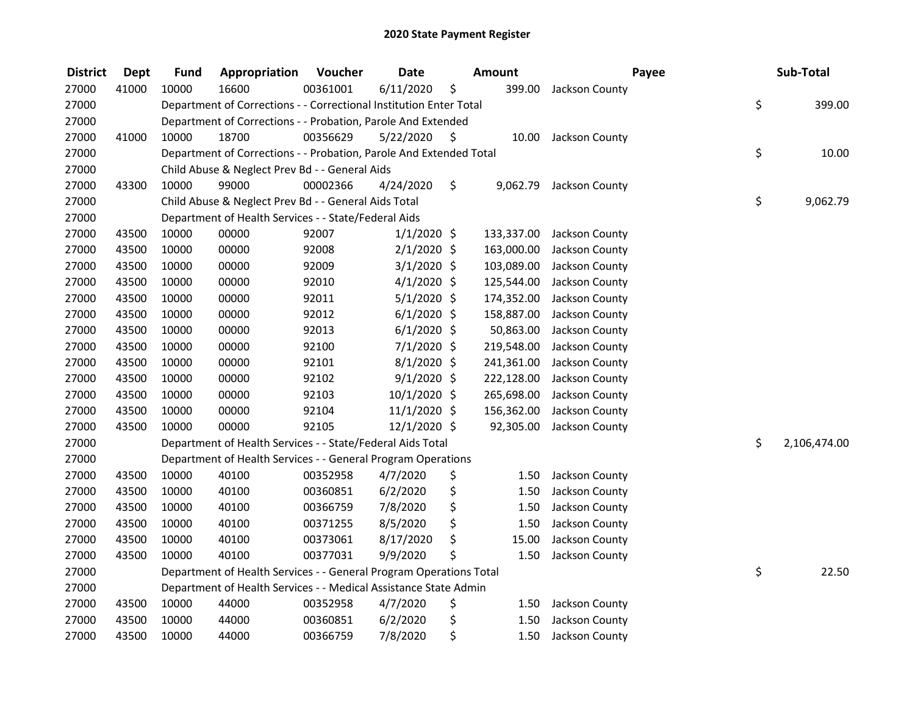| <b>District</b> | <b>Dept</b> | <b>Fund</b> | Appropriation                                                      | Voucher  | <b>Date</b>   |    | <b>Amount</b> | Payee          | Sub-Total          |
|-----------------|-------------|-------------|--------------------------------------------------------------------|----------|---------------|----|---------------|----------------|--------------------|
| 27000           | 41000       | 10000       | 16600                                                              | 00361001 | 6/11/2020     | \$ | 399.00        | Jackson County |                    |
| 27000           |             |             | Department of Corrections - - Correctional Institution Enter Total |          |               |    |               |                | \$<br>399.00       |
| 27000           |             |             | Department of Corrections - - Probation, Parole And Extended       |          |               |    |               |                |                    |
| 27000           | 41000       | 10000       | 18700                                                              | 00356629 | 5/22/2020     | \$ | 10.00         | Jackson County |                    |
| 27000           |             |             | Department of Corrections - - Probation, Parole And Extended Total |          |               |    |               |                | \$<br>10.00        |
| 27000           |             |             | Child Abuse & Neglect Prev Bd - - General Aids                     |          |               |    |               |                |                    |
| 27000           | 43300       | 10000       | 99000                                                              | 00002366 | 4/24/2020     | \$ | 9,062.79      | Jackson County |                    |
| 27000           |             |             | Child Abuse & Neglect Prev Bd - - General Aids Total               |          |               |    |               |                | \$<br>9,062.79     |
| 27000           |             |             | Department of Health Services - - State/Federal Aids               |          |               |    |               |                |                    |
| 27000           | 43500       | 10000       | 00000                                                              | 92007    | $1/1/2020$ \$ |    | 133,337.00    | Jackson County |                    |
| 27000           | 43500       | 10000       | 00000                                                              | 92008    | $2/1/2020$ \$ |    | 163,000.00    | Jackson County |                    |
| 27000           | 43500       | 10000       | 00000                                                              | 92009    | $3/1/2020$ \$ |    | 103,089.00    | Jackson County |                    |
| 27000           | 43500       | 10000       | 00000                                                              | 92010    | $4/1/2020$ \$ |    | 125,544.00    | Jackson County |                    |
| 27000           | 43500       | 10000       | 00000                                                              | 92011    | $5/1/2020$ \$ |    | 174,352.00    | Jackson County |                    |
| 27000           | 43500       | 10000       | 00000                                                              | 92012    | $6/1/2020$ \$ |    | 158,887.00    | Jackson County |                    |
| 27000           | 43500       | 10000       | 00000                                                              | 92013    | $6/1/2020$ \$ |    | 50,863.00     | Jackson County |                    |
| 27000           | 43500       | 10000       | 00000                                                              | 92100    | 7/1/2020 \$   |    | 219,548.00    | Jackson County |                    |
| 27000           | 43500       | 10000       | 00000                                                              | 92101    | $8/1/2020$ \$ |    | 241,361.00    | Jackson County |                    |
| 27000           | 43500       | 10000       | 00000                                                              | 92102    | $9/1/2020$ \$ |    | 222,128.00    | Jackson County |                    |
| 27000           | 43500       | 10000       | 00000                                                              | 92103    | 10/1/2020 \$  |    | 265,698.00    | Jackson County |                    |
| 27000           | 43500       | 10000       | 00000                                                              | 92104    | 11/1/2020 \$  |    | 156,362.00    | Jackson County |                    |
| 27000           | 43500       | 10000       | 00000                                                              | 92105    | 12/1/2020 \$  |    | 92,305.00     | Jackson County |                    |
| 27000           |             |             | Department of Health Services - - State/Federal Aids Total         |          |               |    |               |                | \$<br>2,106,474.00 |
| 27000           |             |             | Department of Health Services - - General Program Operations       |          |               |    |               |                |                    |
| 27000           | 43500       | 10000       | 40100                                                              | 00352958 | 4/7/2020      | \$ | 1.50          | Jackson County |                    |
| 27000           | 43500       | 10000       | 40100                                                              | 00360851 | 6/2/2020      | \$ | 1.50          | Jackson County |                    |
| 27000           | 43500       | 10000       | 40100                                                              | 00366759 | 7/8/2020      | \$ | 1.50          | Jackson County |                    |
| 27000           | 43500       | 10000       | 40100                                                              | 00371255 | 8/5/2020      | \$ | 1.50          | Jackson County |                    |
| 27000           | 43500       | 10000       | 40100                                                              | 00373061 | 8/17/2020     | \$ | 15.00         | Jackson County |                    |
| 27000           | 43500       | 10000       | 40100                                                              | 00377031 | 9/9/2020      | Ś. | 1.50          | Jackson County |                    |
| 27000           |             |             | Department of Health Services - - General Program Operations Total |          |               |    |               |                | \$<br>22.50        |
| 27000           |             |             | Department of Health Services - - Medical Assistance State Admin   |          |               |    |               |                |                    |
| 27000           | 43500       | 10000       | 44000                                                              | 00352958 | 4/7/2020      | \$ | 1.50          | Jackson County |                    |
| 27000           | 43500       | 10000       | 44000                                                              | 00360851 | 6/2/2020      | \$ | 1.50          | Jackson County |                    |
| 27000           | 43500       | 10000       | 44000                                                              | 00366759 | 7/8/2020      | \$ | 1.50          | Jackson County |                    |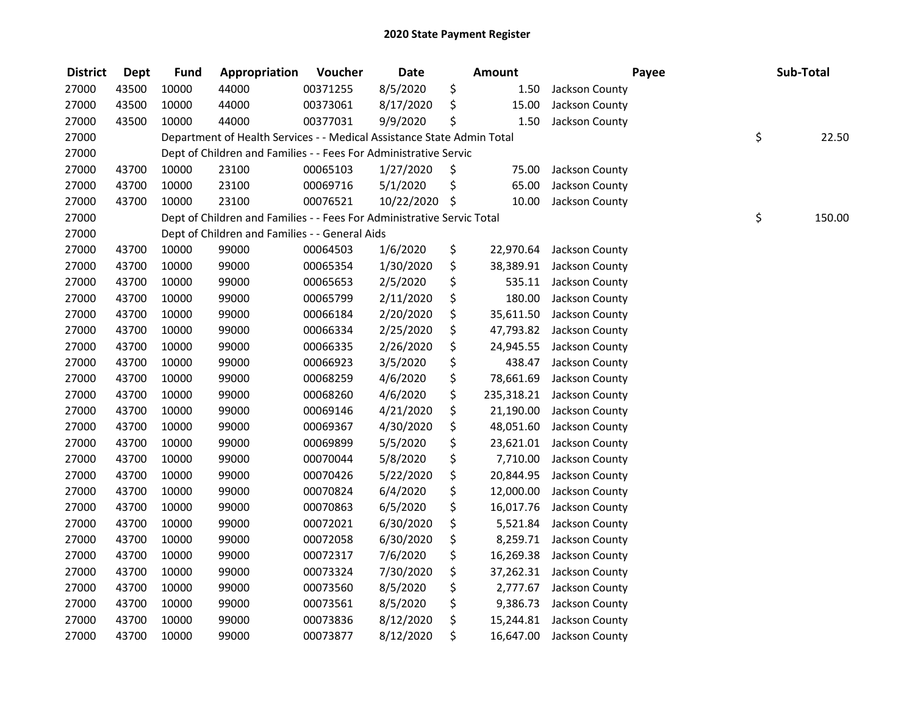| <b>District</b> | <b>Dept</b> | <b>Fund</b> | Appropriation                                                          | Voucher  | <b>Date</b> |     | <b>Amount</b> |                | Payee | Sub-Total |        |
|-----------------|-------------|-------------|------------------------------------------------------------------------|----------|-------------|-----|---------------|----------------|-------|-----------|--------|
| 27000           | 43500       | 10000       | 44000                                                                  | 00371255 | 8/5/2020    | \$  | 1.50          | Jackson County |       |           |        |
| 27000           | 43500       | 10000       | 44000                                                                  | 00373061 | 8/17/2020   | \$  | 15.00         | Jackson County |       |           |        |
| 27000           | 43500       | 10000       | 44000                                                                  | 00377031 | 9/9/2020    | \$  | 1.50          | Jackson County |       |           |        |
| 27000           |             |             | Department of Health Services - - Medical Assistance State Admin Total |          |             |     |               |                |       | \$        | 22.50  |
| 27000           |             |             | Dept of Children and Families - - Fees For Administrative Servic       |          |             |     |               |                |       |           |        |
| 27000           | 43700       | 10000       | 23100                                                                  | 00065103 | 1/27/2020   | \$  | 75.00         | Jackson County |       |           |        |
| 27000           | 43700       | 10000       | 23100                                                                  | 00069716 | 5/1/2020    | \$  | 65.00         | Jackson County |       |           |        |
| 27000           | 43700       | 10000       | 23100                                                                  | 00076521 | 10/22/2020  | -\$ | 10.00         | Jackson County |       |           |        |
| 27000           |             |             | Dept of Children and Families - - Fees For Administrative Servic Total |          |             |     |               |                |       | \$        | 150.00 |
| 27000           |             |             | Dept of Children and Families - - General Aids                         |          |             |     |               |                |       |           |        |
| 27000           | 43700       | 10000       | 99000                                                                  | 00064503 | 1/6/2020    | \$  | 22,970.64     | Jackson County |       |           |        |
| 27000           | 43700       | 10000       | 99000                                                                  | 00065354 | 1/30/2020   | \$  | 38,389.91     | Jackson County |       |           |        |
| 27000           | 43700       | 10000       | 99000                                                                  | 00065653 | 2/5/2020    | \$  | 535.11        | Jackson County |       |           |        |
| 27000           | 43700       | 10000       | 99000                                                                  | 00065799 | 2/11/2020   | \$  | 180.00        | Jackson County |       |           |        |
| 27000           | 43700       | 10000       | 99000                                                                  | 00066184 | 2/20/2020   | \$  | 35,611.50     | Jackson County |       |           |        |
| 27000           | 43700       | 10000       | 99000                                                                  | 00066334 | 2/25/2020   | \$  | 47,793.82     | Jackson County |       |           |        |
| 27000           | 43700       | 10000       | 99000                                                                  | 00066335 | 2/26/2020   | \$  | 24,945.55     | Jackson County |       |           |        |
| 27000           | 43700       | 10000       | 99000                                                                  | 00066923 | 3/5/2020    | \$  | 438.47        | Jackson County |       |           |        |
| 27000           | 43700       | 10000       | 99000                                                                  | 00068259 | 4/6/2020    | \$  | 78,661.69     | Jackson County |       |           |        |
| 27000           | 43700       | 10000       | 99000                                                                  | 00068260 | 4/6/2020    | \$  | 235,318.21    | Jackson County |       |           |        |
| 27000           | 43700       | 10000       | 99000                                                                  | 00069146 | 4/21/2020   | \$  | 21,190.00     | Jackson County |       |           |        |
| 27000           | 43700       | 10000       | 99000                                                                  | 00069367 | 4/30/2020   | \$  | 48,051.60     | Jackson County |       |           |        |
| 27000           | 43700       | 10000       | 99000                                                                  | 00069899 | 5/5/2020    | \$  | 23,621.01     | Jackson County |       |           |        |
| 27000           | 43700       | 10000       | 99000                                                                  | 00070044 | 5/8/2020    | \$  | 7,710.00      | Jackson County |       |           |        |
| 27000           | 43700       | 10000       | 99000                                                                  | 00070426 | 5/22/2020   | \$  | 20,844.95     | Jackson County |       |           |        |
| 27000           | 43700       | 10000       | 99000                                                                  | 00070824 | 6/4/2020    | \$  | 12,000.00     | Jackson County |       |           |        |
| 27000           | 43700       | 10000       | 99000                                                                  | 00070863 | 6/5/2020    | \$  | 16,017.76     | Jackson County |       |           |        |
| 27000           | 43700       | 10000       | 99000                                                                  | 00072021 | 6/30/2020   | \$  | 5,521.84      | Jackson County |       |           |        |
| 27000           | 43700       | 10000       | 99000                                                                  | 00072058 | 6/30/2020   | \$  | 8,259.71      | Jackson County |       |           |        |
| 27000           | 43700       | 10000       | 99000                                                                  | 00072317 | 7/6/2020    | \$  | 16,269.38     | Jackson County |       |           |        |
| 27000           | 43700       | 10000       | 99000                                                                  | 00073324 | 7/30/2020   | \$  | 37,262.31     | Jackson County |       |           |        |
| 27000           | 43700       | 10000       | 99000                                                                  | 00073560 | 8/5/2020    | \$  | 2,777.67      | Jackson County |       |           |        |
| 27000           | 43700       | 10000       | 99000                                                                  | 00073561 | 8/5/2020    | \$  | 9,386.73      | Jackson County |       |           |        |
| 27000           | 43700       | 10000       | 99000                                                                  | 00073836 | 8/12/2020   | \$  | 15,244.81     | Jackson County |       |           |        |
| 27000           | 43700       | 10000       | 99000                                                                  | 00073877 | 8/12/2020   | \$  | 16,647.00     | Jackson County |       |           |        |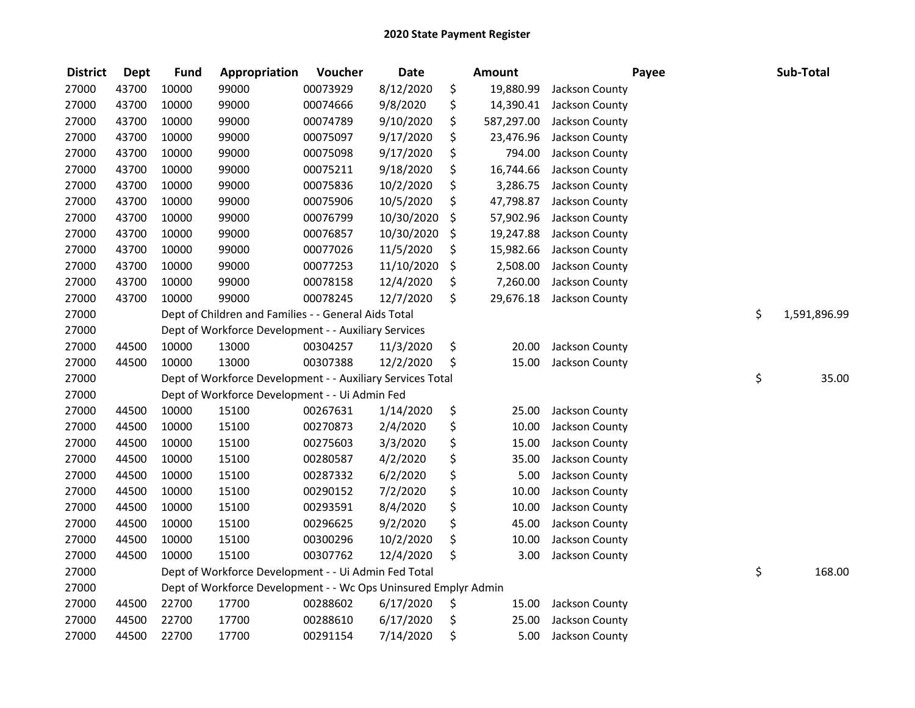| <b>District</b> | <b>Dept</b> | <b>Fund</b> | Appropriation                                                   | Voucher  | <b>Date</b> | Amount           | Payee          | Sub-Total          |
|-----------------|-------------|-------------|-----------------------------------------------------------------|----------|-------------|------------------|----------------|--------------------|
| 27000           | 43700       | 10000       | 99000                                                           | 00073929 | 8/12/2020   | \$<br>19,880.99  | Jackson County |                    |
| 27000           | 43700       | 10000       | 99000                                                           | 00074666 | 9/8/2020    | \$<br>14,390.41  | Jackson County |                    |
| 27000           | 43700       | 10000       | 99000                                                           | 00074789 | 9/10/2020   | \$<br>587,297.00 | Jackson County |                    |
| 27000           | 43700       | 10000       | 99000                                                           | 00075097 | 9/17/2020   | \$<br>23,476.96  | Jackson County |                    |
| 27000           | 43700       | 10000       | 99000                                                           | 00075098 | 9/17/2020   | \$<br>794.00     | Jackson County |                    |
| 27000           | 43700       | 10000       | 99000                                                           | 00075211 | 9/18/2020   | \$<br>16,744.66  | Jackson County |                    |
| 27000           | 43700       | 10000       | 99000                                                           | 00075836 | 10/2/2020   | \$<br>3,286.75   | Jackson County |                    |
| 27000           | 43700       | 10000       | 99000                                                           | 00075906 | 10/5/2020   | \$<br>47,798.87  | Jackson County |                    |
| 27000           | 43700       | 10000       | 99000                                                           | 00076799 | 10/30/2020  | \$<br>57,902.96  | Jackson County |                    |
| 27000           | 43700       | 10000       | 99000                                                           | 00076857 | 10/30/2020  | \$<br>19,247.88  | Jackson County |                    |
| 27000           | 43700       | 10000       | 99000                                                           | 00077026 | 11/5/2020   | \$<br>15,982.66  | Jackson County |                    |
| 27000           | 43700       | 10000       | 99000                                                           | 00077253 | 11/10/2020  | \$<br>2,508.00   | Jackson County |                    |
| 27000           | 43700       | 10000       | 99000                                                           | 00078158 | 12/4/2020   | \$<br>7,260.00   | Jackson County |                    |
| 27000           | 43700       | 10000       | 99000                                                           | 00078245 | 12/7/2020   | \$<br>29,676.18  | Jackson County |                    |
| 27000           |             |             | Dept of Children and Families - - General Aids Total            |          |             |                  |                | \$<br>1,591,896.99 |
| 27000           |             |             | Dept of Workforce Development - - Auxiliary Services            |          |             |                  |                |                    |
| 27000           | 44500       | 10000       | 13000                                                           | 00304257 | 11/3/2020   | \$<br>20.00      | Jackson County |                    |
| 27000           | 44500       | 10000       | 13000                                                           | 00307388 | 12/2/2020   | \$<br>15.00      | Jackson County |                    |
| 27000           |             |             | Dept of Workforce Development - - Auxiliary Services Total      |          |             |                  |                | \$<br>35.00        |
| 27000           |             |             | Dept of Workforce Development - - Ui Admin Fed                  |          |             |                  |                |                    |
| 27000           | 44500       | 10000       | 15100                                                           | 00267631 | 1/14/2020   | \$<br>25.00      | Jackson County |                    |
| 27000           | 44500       | 10000       | 15100                                                           | 00270873 | 2/4/2020    | \$<br>10.00      | Jackson County |                    |
| 27000           | 44500       | 10000       | 15100                                                           | 00275603 | 3/3/2020    | \$<br>15.00      | Jackson County |                    |
| 27000           | 44500       | 10000       | 15100                                                           | 00280587 | 4/2/2020    | \$<br>35.00      | Jackson County |                    |
| 27000           | 44500       | 10000       | 15100                                                           | 00287332 | 6/2/2020    | \$<br>5.00       | Jackson County |                    |
| 27000           | 44500       | 10000       | 15100                                                           | 00290152 | 7/2/2020    | \$<br>10.00      | Jackson County |                    |
| 27000           | 44500       | 10000       | 15100                                                           | 00293591 | 8/4/2020    | \$<br>10.00      | Jackson County |                    |
| 27000           | 44500       | 10000       | 15100                                                           | 00296625 | 9/2/2020    | \$<br>45.00      | Jackson County |                    |
| 27000           | 44500       | 10000       | 15100                                                           | 00300296 | 10/2/2020   | \$<br>10.00      | Jackson County |                    |
| 27000           | 44500       | 10000       | 15100                                                           | 00307762 | 12/4/2020   | \$<br>3.00       | Jackson County |                    |
| 27000           |             |             | Dept of Workforce Development - - Ui Admin Fed Total            |          |             |                  |                | \$<br>168.00       |
| 27000           |             |             | Dept of Workforce Development - - Wc Ops Uninsured Emplyr Admin |          |             |                  |                |                    |
| 27000           | 44500       | 22700       | 17700                                                           | 00288602 | 6/17/2020   | \$<br>15.00      | Jackson County |                    |
| 27000           | 44500       | 22700       | 17700                                                           | 00288610 | 6/17/2020   | \$<br>25.00      | Jackson County |                    |
| 27000           | 44500       | 22700       | 17700                                                           | 00291154 | 7/14/2020   | \$<br>5.00       | Jackson County |                    |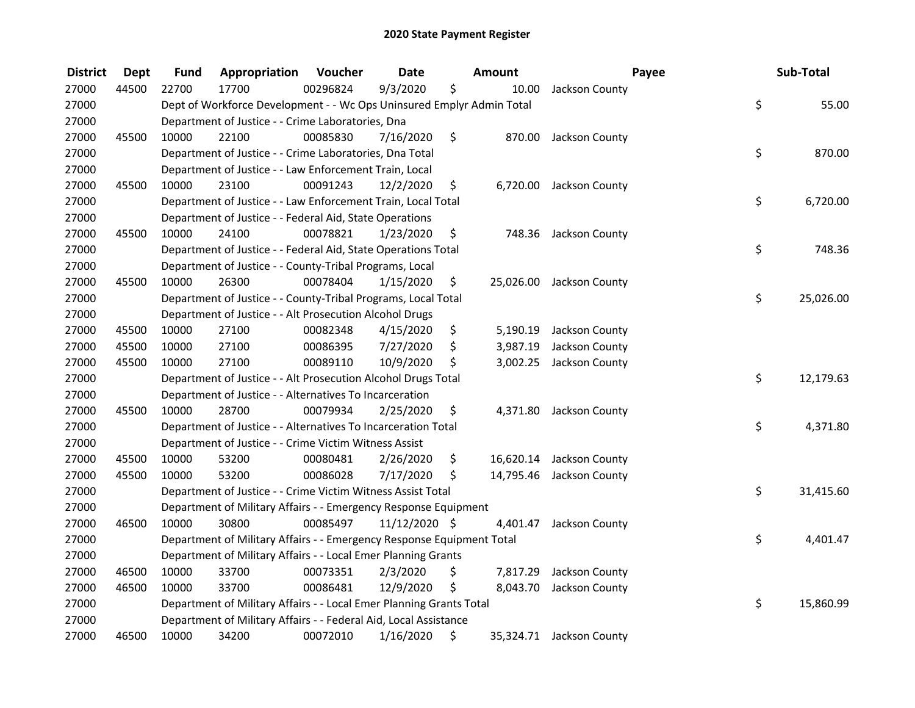| <b>District</b> | <b>Dept</b> | <b>Fund</b> | Appropriation                                                         | Voucher  | <b>Date</b>   | Amount          | Payee                    | Sub-Total       |
|-----------------|-------------|-------------|-----------------------------------------------------------------------|----------|---------------|-----------------|--------------------------|-----------------|
| 27000           | 44500       | 22700       | 17700                                                                 | 00296824 | 9/3/2020      | \$<br>10.00     | Jackson County           |                 |
| 27000           |             |             | Dept of Workforce Development - - Wc Ops Uninsured Emplyr Admin Total |          |               |                 |                          | \$<br>55.00     |
| 27000           |             |             | Department of Justice - - Crime Laboratories, Dna                     |          |               |                 |                          |                 |
| 27000           | 45500       | 10000       | 22100                                                                 | 00085830 | 7/16/2020     | \$              | 870.00 Jackson County    |                 |
| 27000           |             |             | Department of Justice - - Crime Laboratories, Dna Total               |          |               |                 |                          | \$<br>870.00    |
| 27000           |             |             | Department of Justice - - Law Enforcement Train, Local                |          |               |                 |                          |                 |
| 27000           | 45500       | 10000       | 23100                                                                 | 00091243 | 12/2/2020     | \$<br>6,720.00  | Jackson County           |                 |
| 27000           |             |             | Department of Justice - - Law Enforcement Train, Local Total          |          |               |                 |                          | \$<br>6,720.00  |
| 27000           |             |             | Department of Justice - - Federal Aid, State Operations               |          |               |                 |                          |                 |
| 27000           | 45500       | 10000       | 24100                                                                 | 00078821 | 1/23/2020     | \$<br>748.36    | Jackson County           |                 |
| 27000           |             |             | Department of Justice - - Federal Aid, State Operations Total         |          |               |                 |                          | \$<br>748.36    |
| 27000           |             |             | Department of Justice - - County-Tribal Programs, Local               |          |               |                 |                          |                 |
| 27000           | 45500       | 10000       | 26300                                                                 | 00078404 | 1/15/2020     | \$<br>25,026.00 | Jackson County           |                 |
| 27000           |             |             | Department of Justice - - County-Tribal Programs, Local Total         |          |               |                 |                          | \$<br>25,026.00 |
| 27000           |             |             | Department of Justice - - Alt Prosecution Alcohol Drugs               |          |               |                 |                          |                 |
| 27000           | 45500       | 10000       | 27100                                                                 | 00082348 | 4/15/2020     | \$<br>5,190.19  | Jackson County           |                 |
| 27000           | 45500       | 10000       | 27100                                                                 | 00086395 | 7/27/2020     | \$<br>3,987.19  | Jackson County           |                 |
| 27000           | 45500       | 10000       | 27100                                                                 | 00089110 | 10/9/2020     | \$<br>3,002.25  | Jackson County           |                 |
| 27000           |             |             | Department of Justice - - Alt Prosecution Alcohol Drugs Total         |          |               |                 |                          | \$<br>12,179.63 |
| 27000           |             |             | Department of Justice - - Alternatives To Incarceration               |          |               |                 |                          |                 |
| 27000           | 45500       | 10000       | 28700                                                                 | 00079934 | 2/25/2020     | \$<br>4,371.80  | Jackson County           |                 |
| 27000           |             |             | Department of Justice - - Alternatives To Incarceration Total         |          |               |                 |                          | \$<br>4,371.80  |
| 27000           |             |             | Department of Justice - - Crime Victim Witness Assist                 |          |               |                 |                          |                 |
| 27000           | 45500       | 10000       | 53200                                                                 | 00080481 | 2/26/2020     | \$<br>16,620.14 | Jackson County           |                 |
| 27000           | 45500       | 10000       | 53200                                                                 | 00086028 | 7/17/2020     | \$<br>14,795.46 | Jackson County           |                 |
| 27000           |             |             | Department of Justice - - Crime Victim Witness Assist Total           |          |               |                 |                          | \$<br>31,415.60 |
| 27000           |             |             | Department of Military Affairs - - Emergency Response Equipment       |          |               |                 |                          |                 |
| 27000           | 46500       | 10000       | 30800                                                                 | 00085497 | 11/12/2020 \$ | 4,401.47        | Jackson County           |                 |
| 27000           |             |             | Department of Military Affairs - - Emergency Response Equipment Total |          |               |                 |                          | \$<br>4,401.47  |
| 27000           |             |             | Department of Military Affairs - - Local Emer Planning Grants         |          |               |                 |                          |                 |
| 27000           | 46500       | 10000       | 33700                                                                 | 00073351 | 2/3/2020      | \$<br>7,817.29  | Jackson County           |                 |
| 27000           | 46500       | 10000       | 33700                                                                 | 00086481 | 12/9/2020     | \$<br>8,043.70  | Jackson County           |                 |
| 27000           |             |             | Department of Military Affairs - - Local Emer Planning Grants Total   |          |               |                 |                          | \$<br>15,860.99 |
| 27000           |             |             | Department of Military Affairs - - Federal Aid, Local Assistance      |          |               |                 |                          |                 |
| 27000           | 46500       | 10000       | 34200                                                                 | 00072010 | 1/16/2020     | \$              | 35,324.71 Jackson County |                 |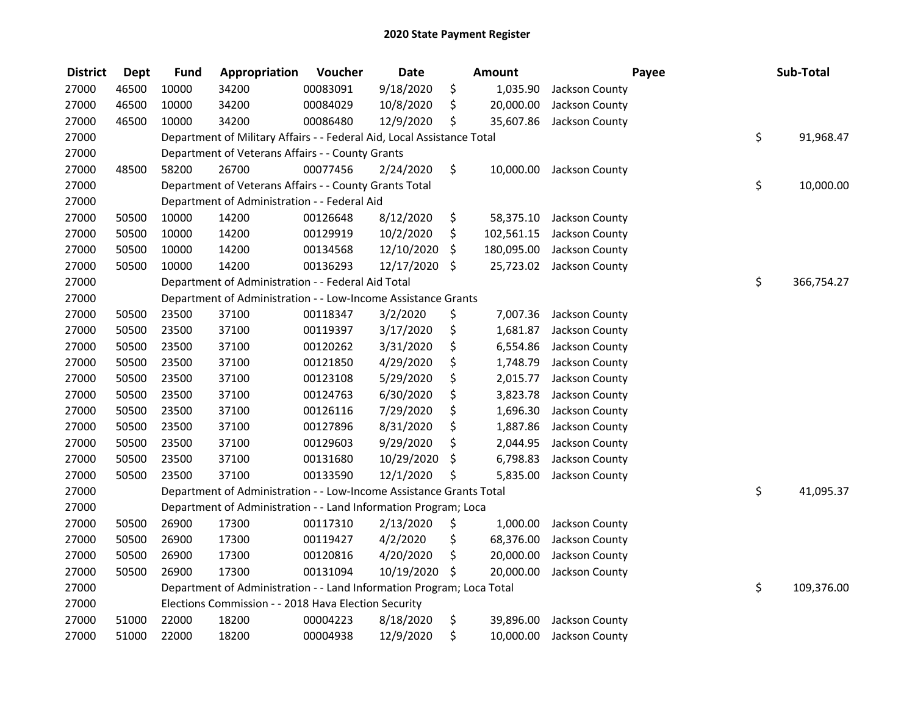| <b>District</b> | <b>Dept</b> | <b>Fund</b> | Appropriation                                                          | Voucher  | <b>Date</b> | <b>Amount</b>    |                          | Payee | Sub-Total        |
|-----------------|-------------|-------------|------------------------------------------------------------------------|----------|-------------|------------------|--------------------------|-------|------------------|
| 27000           | 46500       | 10000       | 34200                                                                  | 00083091 | 9/18/2020   | \$<br>1,035.90   | Jackson County           |       |                  |
| 27000           | 46500       | 10000       | 34200                                                                  | 00084029 | 10/8/2020   | \$<br>20,000.00  | Jackson County           |       |                  |
| 27000           | 46500       | 10000       | 34200                                                                  | 00086480 | 12/9/2020   | \$<br>35,607.86  | Jackson County           |       |                  |
| 27000           |             |             | Department of Military Affairs - - Federal Aid, Local Assistance Total |          |             |                  |                          |       | \$<br>91,968.47  |
| 27000           |             |             | Department of Veterans Affairs - - County Grants                       |          |             |                  |                          |       |                  |
| 27000           | 48500       | 58200       | 26700                                                                  | 00077456 | 2/24/2020   | \$               | 10,000.00 Jackson County |       |                  |
| 27000           |             |             | Department of Veterans Affairs - - County Grants Total                 |          |             |                  |                          |       | \$<br>10,000.00  |
| 27000           |             |             | Department of Administration - - Federal Aid                           |          |             |                  |                          |       |                  |
| 27000           | 50500       | 10000       | 14200                                                                  | 00126648 | 8/12/2020   | \$<br>58,375.10  | Jackson County           |       |                  |
| 27000           | 50500       | 10000       | 14200                                                                  | 00129919 | 10/2/2020   | \$<br>102,561.15 | Jackson County           |       |                  |
| 27000           | 50500       | 10000       | 14200                                                                  | 00134568 | 12/10/2020  | \$<br>180,095.00 | Jackson County           |       |                  |
| 27000           | 50500       | 10000       | 14200                                                                  | 00136293 | 12/17/2020  | \$<br>25,723.02  | Jackson County           |       |                  |
| 27000           |             |             | Department of Administration - - Federal Aid Total                     |          |             |                  |                          |       | \$<br>366,754.27 |
| 27000           |             |             | Department of Administration - - Low-Income Assistance Grants          |          |             |                  |                          |       |                  |
| 27000           | 50500       | 23500       | 37100                                                                  | 00118347 | 3/2/2020    | \$<br>7,007.36   | Jackson County           |       |                  |
| 27000           | 50500       | 23500       | 37100                                                                  | 00119397 | 3/17/2020   | \$<br>1,681.87   | Jackson County           |       |                  |
| 27000           | 50500       | 23500       | 37100                                                                  | 00120262 | 3/31/2020   | \$<br>6,554.86   | Jackson County           |       |                  |
| 27000           | 50500       | 23500       | 37100                                                                  | 00121850 | 4/29/2020   | \$<br>1,748.79   | Jackson County           |       |                  |
| 27000           | 50500       | 23500       | 37100                                                                  | 00123108 | 5/29/2020   | \$<br>2,015.77   | Jackson County           |       |                  |
| 27000           | 50500       | 23500       | 37100                                                                  | 00124763 | 6/30/2020   | \$<br>3,823.78   | Jackson County           |       |                  |
| 27000           | 50500       | 23500       | 37100                                                                  | 00126116 | 7/29/2020   | \$<br>1,696.30   | Jackson County           |       |                  |
| 27000           | 50500       | 23500       | 37100                                                                  | 00127896 | 8/31/2020   | \$<br>1,887.86   | Jackson County           |       |                  |
| 27000           | 50500       | 23500       | 37100                                                                  | 00129603 | 9/29/2020   | \$<br>2,044.95   | Jackson County           |       |                  |
| 27000           | 50500       | 23500       | 37100                                                                  | 00131680 | 10/29/2020  | \$<br>6,798.83   | Jackson County           |       |                  |
| 27000           | 50500       | 23500       | 37100                                                                  | 00133590 | 12/1/2020   | \$<br>5,835.00   | Jackson County           |       |                  |
| 27000           |             |             | Department of Administration - - Low-Income Assistance Grants Total    |          |             |                  |                          |       | \$<br>41,095.37  |
| 27000           |             |             | Department of Administration - - Land Information Program; Loca        |          |             |                  |                          |       |                  |
| 27000           | 50500       | 26900       | 17300                                                                  | 00117310 | 2/13/2020   | \$<br>1,000.00   | Jackson County           |       |                  |
| 27000           | 50500       | 26900       | 17300                                                                  | 00119427 | 4/2/2020    | \$<br>68,376.00  | Jackson County           |       |                  |
| 27000           | 50500       | 26900       | 17300                                                                  | 00120816 | 4/20/2020   | \$<br>20,000.00  | Jackson County           |       |                  |
| 27000           | 50500       | 26900       | 17300                                                                  | 00131094 | 10/19/2020  | \$<br>20,000.00  | Jackson County           |       |                  |
| 27000           |             |             | Department of Administration - - Land Information Program; Loca Total  |          |             |                  |                          |       | \$<br>109,376.00 |
| 27000           |             |             | Elections Commission - - 2018 Hava Election Security                   |          |             |                  |                          |       |                  |
| 27000           | 51000       | 22000       | 18200                                                                  | 00004223 | 8/18/2020   | \$<br>39,896.00  | Jackson County           |       |                  |
| 27000           | 51000       | 22000       | 18200                                                                  | 00004938 | 12/9/2020   | \$<br>10,000.00  | Jackson County           |       |                  |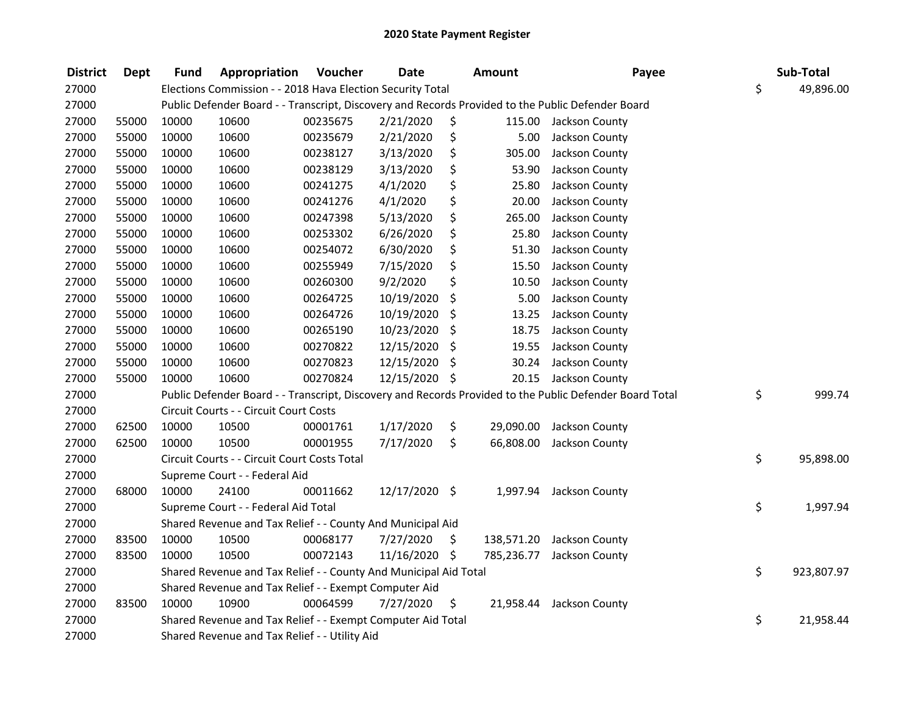| <b>District</b> | <b>Dept</b> | <b>Fund</b> | Appropriation                                                    | Voucher  | <b>Date</b>   | Amount           | Payee                                                                                                   | Sub-Total        |
|-----------------|-------------|-------------|------------------------------------------------------------------|----------|---------------|------------------|---------------------------------------------------------------------------------------------------------|------------------|
| 27000           |             |             | Elections Commission - - 2018 Hava Election Security Total       |          |               |                  |                                                                                                         | \$<br>49,896.00  |
| 27000           |             |             |                                                                  |          |               |                  | Public Defender Board - - Transcript, Discovery and Records Provided to the Public Defender Board       |                  |
| 27000           | 55000       | 10000       | 10600                                                            | 00235675 | 2/21/2020     | \$               | 115.00 Jackson County                                                                                   |                  |
| 27000           | 55000       | 10000       | 10600                                                            | 00235679 | 2/21/2020     | \$<br>5.00       | Jackson County                                                                                          |                  |
| 27000           | 55000       | 10000       | 10600                                                            | 00238127 | 3/13/2020     | \$<br>305.00     | Jackson County                                                                                          |                  |
| 27000           | 55000       | 10000       | 10600                                                            | 00238129 | 3/13/2020     | \$<br>53.90      | Jackson County                                                                                          |                  |
| 27000           | 55000       | 10000       | 10600                                                            | 00241275 | 4/1/2020      | \$<br>25.80      | Jackson County                                                                                          |                  |
| 27000           | 55000       | 10000       | 10600                                                            | 00241276 | 4/1/2020      | \$<br>20.00      | Jackson County                                                                                          |                  |
| 27000           | 55000       | 10000       | 10600                                                            | 00247398 | 5/13/2020     | \$<br>265.00     | Jackson County                                                                                          |                  |
| 27000           | 55000       | 10000       | 10600                                                            | 00253302 | 6/26/2020     | \$<br>25.80      | Jackson County                                                                                          |                  |
| 27000           | 55000       | 10000       | 10600                                                            | 00254072 | 6/30/2020     | \$<br>51.30      | Jackson County                                                                                          |                  |
| 27000           | 55000       | 10000       | 10600                                                            | 00255949 | 7/15/2020     | \$<br>15.50      | Jackson County                                                                                          |                  |
| 27000           | 55000       | 10000       | 10600                                                            | 00260300 | 9/2/2020      | \$<br>10.50      | Jackson County                                                                                          |                  |
| 27000           | 55000       | 10000       | 10600                                                            | 00264725 | 10/19/2020    | \$<br>5.00       | Jackson County                                                                                          |                  |
| 27000           | 55000       | 10000       | 10600                                                            | 00264726 | 10/19/2020    | \$<br>13.25      | Jackson County                                                                                          |                  |
| 27000           | 55000       | 10000       | 10600                                                            | 00265190 | 10/23/2020    | \$<br>18.75      | Jackson County                                                                                          |                  |
| 27000           | 55000       | 10000       | 10600                                                            | 00270822 | 12/15/2020    | \$<br>19.55      | Jackson County                                                                                          |                  |
| 27000           | 55000       | 10000       | 10600                                                            | 00270823 | 12/15/2020    | \$<br>30.24      | Jackson County                                                                                          |                  |
| 27000           | 55000       | 10000       | 10600                                                            | 00270824 | 12/15/2020 \$ |                  | 20.15 Jackson County                                                                                    |                  |
| 27000           |             |             |                                                                  |          |               |                  | Public Defender Board - - Transcript, Discovery and Records Provided to the Public Defender Board Total | \$<br>999.74     |
| 27000           |             |             | Circuit Courts - - Circuit Court Costs                           |          |               |                  |                                                                                                         |                  |
| 27000           | 62500       | 10000       | 10500                                                            | 00001761 | 1/17/2020     | \$               | 29,090.00 Jackson County                                                                                |                  |
| 27000           | 62500       | 10000       | 10500                                                            | 00001955 | 7/17/2020     | \$<br>66,808.00  | Jackson County                                                                                          |                  |
| 27000           |             |             | Circuit Courts - - Circuit Court Costs Total                     |          |               |                  |                                                                                                         | \$<br>95,898.00  |
| 27000           |             |             | Supreme Court - - Federal Aid                                    |          |               |                  |                                                                                                         |                  |
| 27000           | 68000       | 10000       | 24100                                                            | 00011662 | 12/17/2020 \$ |                  | 1,997.94 Jackson County                                                                                 |                  |
| 27000           |             |             | Supreme Court - - Federal Aid Total                              |          |               |                  |                                                                                                         | \$<br>1,997.94   |
| 27000           |             |             | Shared Revenue and Tax Relief - - County And Municipal Aid       |          |               |                  |                                                                                                         |                  |
| 27000           | 83500       | 10000       | 10500                                                            | 00068177 | 7/27/2020     | \$<br>138,571.20 | Jackson County                                                                                          |                  |
| 27000           | 83500       | 10000       | 10500                                                            | 00072143 | 11/16/2020 \$ | 785,236.77       | Jackson County                                                                                          |                  |
| 27000           |             |             | Shared Revenue and Tax Relief - - County And Municipal Aid Total |          |               |                  |                                                                                                         | \$<br>923,807.97 |
| 27000           |             |             | Shared Revenue and Tax Relief - - Exempt Computer Aid            |          |               |                  |                                                                                                         |                  |
| 27000           | 83500       | 10000       | 10900                                                            | 00064599 | 7/27/2020     | \$               | 21,958.44 Jackson County                                                                                |                  |
| 27000           |             |             | Shared Revenue and Tax Relief - - Exempt Computer Aid Total      |          |               |                  |                                                                                                         | \$<br>21,958.44  |
| 27000           |             |             | Shared Revenue and Tax Relief - - Utility Aid                    |          |               |                  |                                                                                                         |                  |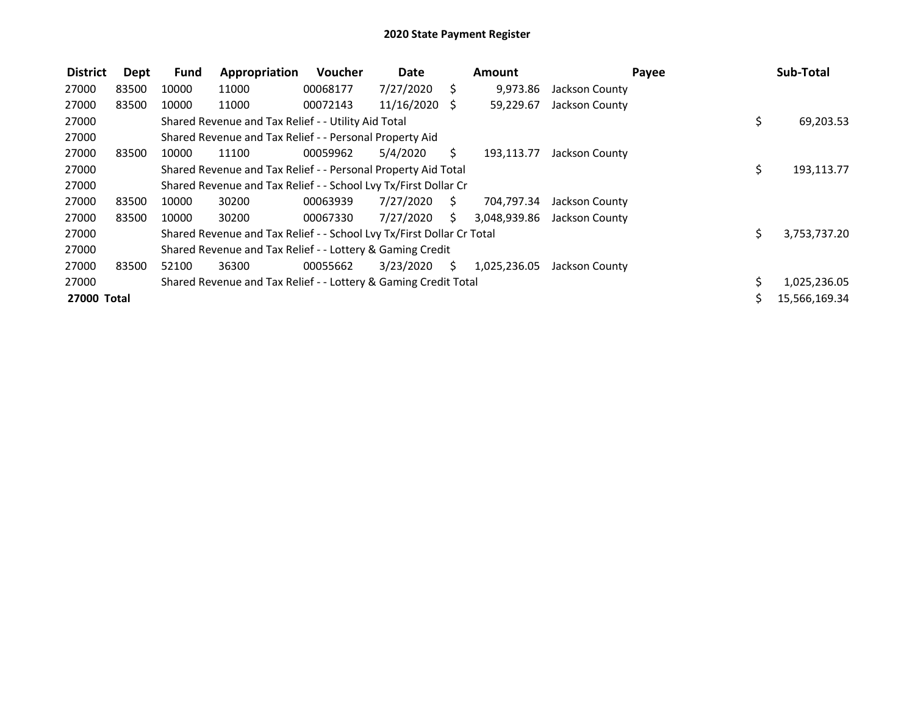| <b>District</b> | Dept  | <b>Fund</b> | Appropriation                                                         | Voucher  | Date       |    | <b>Amount</b> |                | Payee | Sub-Total     |
|-----------------|-------|-------------|-----------------------------------------------------------------------|----------|------------|----|---------------|----------------|-------|---------------|
| 27000           | 83500 | 10000       | 11000                                                                 | 00068177 | 7/27/2020  | S. | 9,973.86      | Jackson County |       |               |
| 27000           | 83500 | 10000       | 11000                                                                 | 00072143 | 11/16/2020 | S. | 59,229.67     | Jackson County |       |               |
| 27000           |       |             | Shared Revenue and Tax Relief - - Utility Aid Total                   |          |            |    |               |                | \$    | 69,203.53     |
| 27000           |       |             | Shared Revenue and Tax Relief - - Personal Property Aid               |          |            |    |               |                |       |               |
| 27000           | 83500 | 10000       | 11100                                                                 | 00059962 | 5/4/2020   | S. | 193,113.77    | Jackson County |       |               |
| 27000           |       |             | Shared Revenue and Tax Relief - - Personal Property Aid Total         |          |            |    |               |                | \$    | 193,113.77    |
| 27000           |       |             | Shared Revenue and Tax Relief - - School Lvy Tx/First Dollar Cr       |          |            |    |               |                |       |               |
| 27000           | 83500 | 10000       | 30200                                                                 | 00063939 | 7/27/2020  | S. | 704,797.34    | Jackson County |       |               |
| 27000           | 83500 | 10000       | 30200                                                                 | 00067330 | 7/27/2020  | S. | 3,048,939.86  | Jackson County |       |               |
| 27000           |       |             | Shared Revenue and Tax Relief - - School Lvy Tx/First Dollar Cr Total |          |            |    |               |                | Ś.    | 3,753,737.20  |
| 27000           |       |             | Shared Revenue and Tax Relief - - Lottery & Gaming Credit             |          |            |    |               |                |       |               |
| 27000           | 83500 | 52100       | 36300                                                                 | 00055662 | 3/23/2020  | S. | 1,025,236.05  | Jackson County |       |               |
| 27000           |       |             | Shared Revenue and Tax Relief - - Lottery & Gaming Credit Total       |          |            |    |               |                | Ś.    | 1,025,236.05  |
| 27000 Total     |       |             |                                                                       |          |            |    |               |                |       | 15,566,169.34 |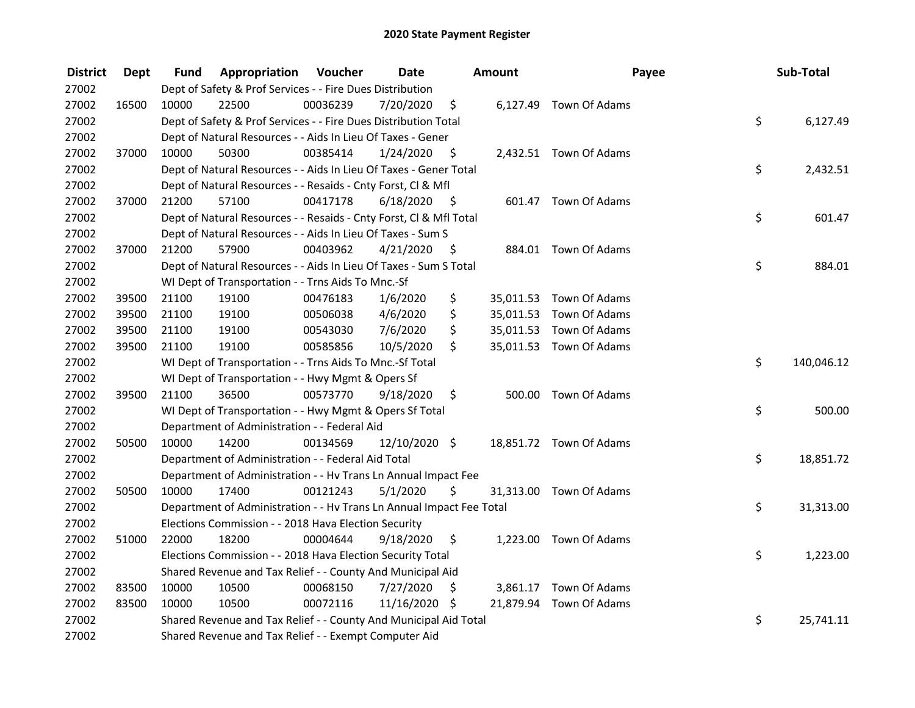| <b>District</b> | <b>Dept</b> | Fund  | Appropriation                                                        | Voucher  | <b>Date</b>   |             | <b>Amount</b> | Payee                   | Sub-Total        |
|-----------------|-------------|-------|----------------------------------------------------------------------|----------|---------------|-------------|---------------|-------------------------|------------------|
| 27002           |             |       | Dept of Safety & Prof Services - - Fire Dues Distribution            |          |               |             |               |                         |                  |
| 27002           | 16500       | 10000 | 22500                                                                | 00036239 | 7/20/2020     | \$          |               | 6,127.49 Town Of Adams  |                  |
| 27002           |             |       | Dept of Safety & Prof Services - - Fire Dues Distribution Total      |          |               |             |               |                         | \$<br>6,127.49   |
| 27002           |             |       | Dept of Natural Resources - - Aids In Lieu Of Taxes - Gener          |          |               |             |               |                         |                  |
| 27002           | 37000       | 10000 | 50300                                                                | 00385414 | 1/24/2020     | - \$        |               | 2,432.51 Town Of Adams  |                  |
| 27002           |             |       | Dept of Natural Resources - - Aids In Lieu Of Taxes - Gener Total    |          |               |             |               |                         | \$<br>2,432.51   |
| 27002           |             |       | Dept of Natural Resources - - Resaids - Cnty Forst, Cl & Mfl         |          |               |             |               |                         |                  |
| 27002           | 37000       | 21200 | 57100                                                                | 00417178 | 6/18/2020     | - \$        |               | 601.47 Town Of Adams    |                  |
| 27002           |             |       | Dept of Natural Resources - - Resaids - Cnty Forst, Cl & Mfl Total   |          |               |             |               |                         | \$<br>601.47     |
| 27002           |             |       | Dept of Natural Resources - - Aids In Lieu Of Taxes - Sum S          |          |               |             |               |                         |                  |
| 27002           | 37000       | 21200 | 57900                                                                | 00403962 | 4/21/2020     | - \$        |               | 884.01 Town Of Adams    |                  |
| 27002           |             |       | Dept of Natural Resources - - Aids In Lieu Of Taxes - Sum S Total    |          |               |             |               |                         | \$<br>884.01     |
| 27002           |             |       | WI Dept of Transportation - - Trns Aids To Mnc.-Sf                   |          |               |             |               |                         |                  |
| 27002           | 39500       | 21100 | 19100                                                                | 00476183 | 1/6/2020      | \$          |               | 35,011.53 Town Of Adams |                  |
| 27002           | 39500       | 21100 | 19100                                                                | 00506038 | 4/6/2020      | \$          |               | 35,011.53 Town Of Adams |                  |
| 27002           | 39500       | 21100 | 19100                                                                | 00543030 | 7/6/2020      | \$          |               | 35,011.53 Town Of Adams |                  |
| 27002           | 39500       | 21100 | 19100                                                                | 00585856 | 10/5/2020     | \$          |               | 35,011.53 Town Of Adams |                  |
| 27002           |             |       | WI Dept of Transportation - - Trns Aids To Mnc.-Sf Total             |          |               |             |               |                         | \$<br>140,046.12 |
| 27002           |             |       | WI Dept of Transportation - - Hwy Mgmt & Opers Sf                    |          |               |             |               |                         |                  |
| 27002           | 39500       | 21100 | 36500                                                                | 00573770 | 9/18/2020     | $\varsigma$ |               | 500.00 Town Of Adams    |                  |
| 27002           |             |       | WI Dept of Transportation - - Hwy Mgmt & Opers Sf Total              |          |               |             |               |                         | \$<br>500.00     |
| 27002           |             |       | Department of Administration - - Federal Aid                         |          |               |             |               |                         |                  |
| 27002           | 50500       | 10000 | 14200                                                                | 00134569 | 12/10/2020 \$ |             |               | 18,851.72 Town Of Adams |                  |
| 27002           |             |       | Department of Administration - - Federal Aid Total                   |          |               |             |               |                         | \$<br>18,851.72  |
| 27002           |             |       | Department of Administration - - Hv Trans Ln Annual Impact Fee       |          |               |             |               |                         |                  |
| 27002           | 50500       | 10000 | 17400                                                                | 00121243 | 5/1/2020      | Ŝ.          |               | 31,313.00 Town Of Adams |                  |
| 27002           |             |       | Department of Administration - - Hv Trans Ln Annual Impact Fee Total |          |               |             |               |                         | \$<br>31,313.00  |
| 27002           |             |       | Elections Commission - - 2018 Hava Election Security                 |          |               |             |               |                         |                  |
| 27002           | 51000       | 22000 | 18200                                                                | 00004644 | 9/18/2020     | $\zeta$     |               | 1,223.00 Town Of Adams  |                  |
| 27002           |             |       | Elections Commission - - 2018 Hava Election Security Total           |          |               |             |               |                         | \$<br>1,223.00   |
| 27002           |             |       | Shared Revenue and Tax Relief - - County And Municipal Aid           |          |               |             |               |                         |                  |
| 27002           | 83500       | 10000 | 10500                                                                | 00068150 | 7/27/2020     | \$          |               | 3,861.17 Town Of Adams  |                  |
| 27002           | 83500       | 10000 | 10500                                                                | 00072116 | 11/16/2020 \$ |             |               | 21,879.94 Town Of Adams |                  |
| 27002           |             |       | Shared Revenue and Tax Relief - - County And Municipal Aid Total     |          |               |             |               |                         | \$<br>25,741.11  |
| 27002           |             |       | Shared Revenue and Tax Relief - - Exempt Computer Aid                |          |               |             |               |                         |                  |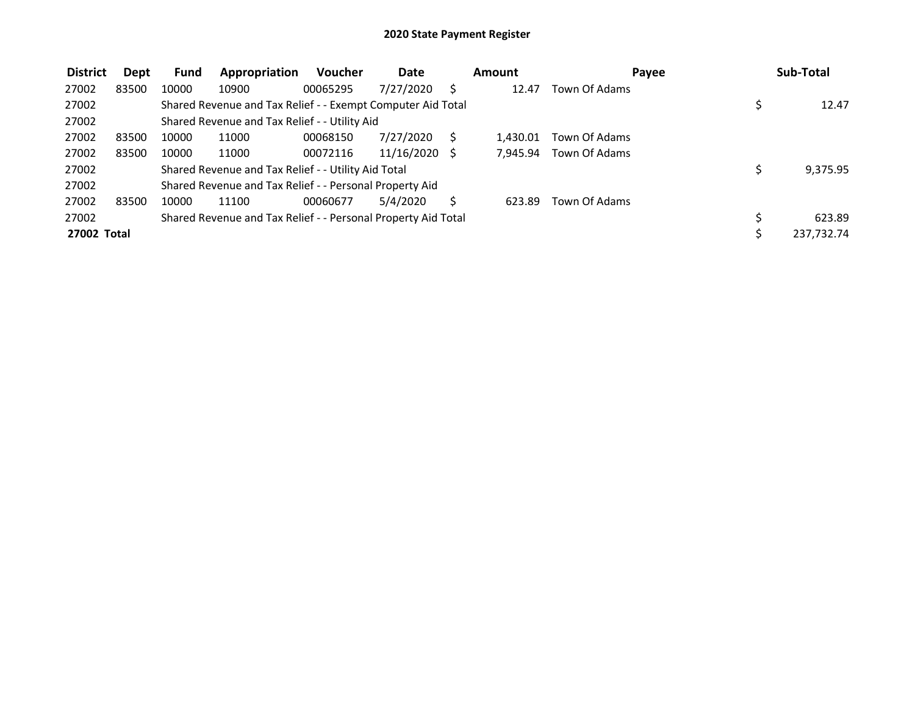| <b>District</b> | Dept  | Fund  | Appropriation                                                 | <b>Voucher</b> | Date            | Amount   | Pavee         | Sub-Total  |
|-----------------|-------|-------|---------------------------------------------------------------|----------------|-----------------|----------|---------------|------------|
| 27002           | 83500 | 10000 | 10900                                                         | 00065295       | 7/27/2020       | 12.47    | Town Of Adams |            |
| 27002           |       |       | Shared Revenue and Tax Relief - - Exempt Computer Aid Total   |                |                 |          |               | 12.47      |
| 27002           |       |       | Shared Revenue and Tax Relief - - Utility Aid                 |                |                 |          |               |            |
| 27002           | 83500 | 10000 | 11000                                                         | 00068150       | 7/27/2020       | 1,430.01 | Town Of Adams |            |
| 27002           | 83500 | 10000 | 11000                                                         | 00072116       | $11/16/2020$ \$ | 7,945.94 | Town Of Adams |            |
| 27002           |       |       | Shared Revenue and Tax Relief - - Utility Aid Total           |                |                 |          |               | 9,375.95   |
| 27002           |       |       | Shared Revenue and Tax Relief - - Personal Property Aid       |                |                 |          |               |            |
| 27002           | 83500 | 10000 | 11100                                                         | 00060677       | 5/4/2020        | 623.89   | Town Of Adams |            |
| 27002           |       |       | Shared Revenue and Tax Relief - - Personal Property Aid Total |                |                 |          |               | 623.89     |
| 27002 Total     |       |       |                                                               |                |                 |          |               | 237,732.74 |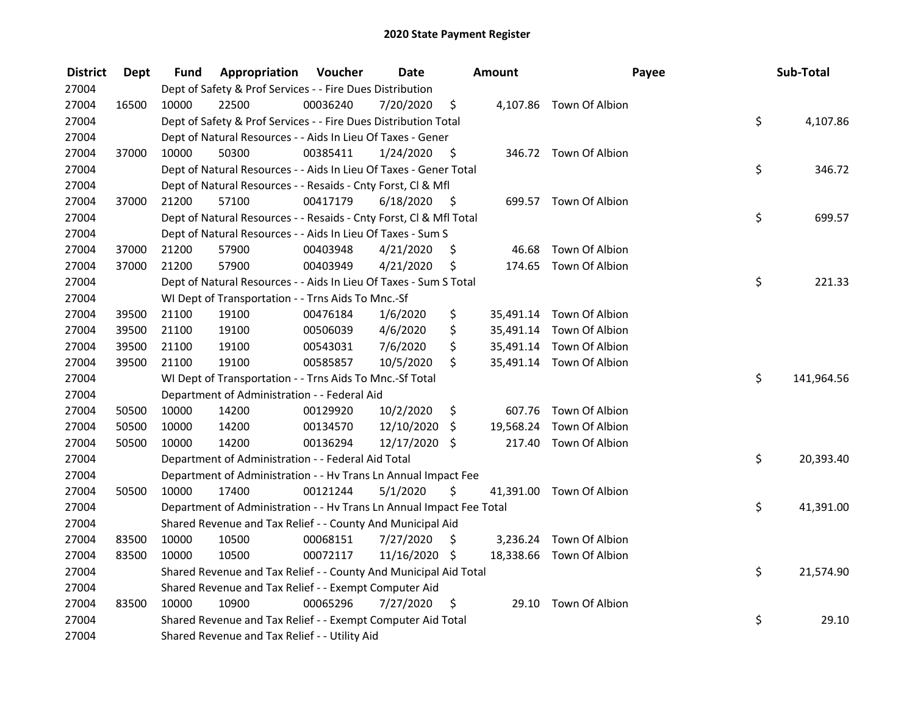| <b>District</b> | Dept  | Fund  | Appropriation                                                        | Voucher  | <b>Date</b>   |      | <b>Amount</b> | Payee                    | Sub-Total        |
|-----------------|-------|-------|----------------------------------------------------------------------|----------|---------------|------|---------------|--------------------------|------------------|
| 27004           |       |       | Dept of Safety & Prof Services - - Fire Dues Distribution            |          |               |      |               |                          |                  |
| 27004           | 16500 | 10000 | 22500                                                                | 00036240 | 7/20/2020     | \$   |               | 4,107.86 Town Of Albion  |                  |
| 27004           |       |       | Dept of Safety & Prof Services - - Fire Dues Distribution Total      |          |               |      |               |                          | \$<br>4,107.86   |
| 27004           |       |       | Dept of Natural Resources - - Aids In Lieu Of Taxes - Gener          |          |               |      |               |                          |                  |
| 27004           | 37000 | 10000 | 50300                                                                | 00385411 | 1/24/2020     | - \$ |               | 346.72 Town Of Albion    |                  |
| 27004           |       |       | Dept of Natural Resources - - Aids In Lieu Of Taxes - Gener Total    |          |               |      |               |                          | \$<br>346.72     |
| 27004           |       |       | Dept of Natural Resources - - Resaids - Cnty Forst, Cl & Mfl         |          |               |      |               |                          |                  |
| 27004           | 37000 | 21200 | 57100                                                                | 00417179 | 6/18/2020     | - \$ |               | 699.57 Town Of Albion    |                  |
| 27004           |       |       | Dept of Natural Resources - - Resaids - Cnty Forst, Cl & Mfl Total   |          |               |      |               |                          | \$<br>699.57     |
| 27004           |       |       | Dept of Natural Resources - - Aids In Lieu Of Taxes - Sum S          |          |               |      |               |                          |                  |
| 27004           | 37000 | 21200 | 57900                                                                | 00403948 | 4/21/2020     | \$   | 46.68         | Town Of Albion           |                  |
| 27004           | 37000 | 21200 | 57900                                                                | 00403949 | 4/21/2020     | \$   |               | 174.65 Town Of Albion    |                  |
| 27004           |       |       | Dept of Natural Resources - - Aids In Lieu Of Taxes - Sum S Total    |          |               |      |               |                          | \$<br>221.33     |
| 27004           |       |       | WI Dept of Transportation - - Trns Aids To Mnc.-Sf                   |          |               |      |               |                          |                  |
| 27004           | 39500 | 21100 | 19100                                                                | 00476184 | 1/6/2020      | \$   |               | 35,491.14 Town Of Albion |                  |
| 27004           | 39500 | 21100 | 19100                                                                | 00506039 | 4/6/2020      | \$   |               | 35,491.14 Town Of Albion |                  |
| 27004           | 39500 | 21100 | 19100                                                                | 00543031 | 7/6/2020      | \$   |               | 35,491.14 Town Of Albion |                  |
| 27004           | 39500 | 21100 | 19100                                                                | 00585857 | 10/5/2020     | \$   |               | 35,491.14 Town Of Albion |                  |
| 27004           |       |       | WI Dept of Transportation - - Trns Aids To Mnc.-Sf Total             |          |               |      |               |                          | \$<br>141,964.56 |
| 27004           |       |       | Department of Administration - - Federal Aid                         |          |               |      |               |                          |                  |
| 27004           | 50500 | 10000 | 14200                                                                | 00129920 | 10/2/2020     | \$   |               | 607.76 Town Of Albion    |                  |
| 27004           | 50500 | 10000 | 14200                                                                | 00134570 | 12/10/2020    | \$   |               | 19,568.24 Town Of Albion |                  |
| 27004           | 50500 | 10000 | 14200                                                                | 00136294 | 12/17/2020 \$ |      |               | 217.40 Town Of Albion    |                  |
| 27004           |       |       | Department of Administration - - Federal Aid Total                   |          |               |      |               |                          | \$<br>20,393.40  |
| 27004           |       |       | Department of Administration - - Hv Trans Ln Annual Impact Fee       |          |               |      |               |                          |                  |
| 27004           | 50500 | 10000 | 17400                                                                | 00121244 | 5/1/2020      | \$   |               | 41,391.00 Town Of Albion |                  |
| 27004           |       |       | Department of Administration - - Hv Trans Ln Annual Impact Fee Total |          |               |      |               |                          | \$<br>41,391.00  |
| 27004           |       |       | Shared Revenue and Tax Relief - - County And Municipal Aid           |          |               |      |               |                          |                  |
| 27004           | 83500 | 10000 | 10500                                                                | 00068151 | 7/27/2020     | \$   |               | 3,236.24 Town Of Albion  |                  |
| 27004           | 83500 | 10000 | 10500                                                                | 00072117 | 11/16/2020 \$ |      |               | 18,338.66 Town Of Albion |                  |
| 27004           |       |       | Shared Revenue and Tax Relief - - County And Municipal Aid Total     |          |               |      |               |                          | \$<br>21,574.90  |
| 27004           |       |       | Shared Revenue and Tax Relief - - Exempt Computer Aid                |          |               |      |               |                          |                  |
| 27004           | 83500 | 10000 | 10900                                                                | 00065296 | 7/27/2020     | \$   |               | 29.10 Town Of Albion     |                  |
| 27004           |       |       | Shared Revenue and Tax Relief - - Exempt Computer Aid Total          |          |               |      |               |                          | \$<br>29.10      |
| 27004           |       |       | Shared Revenue and Tax Relief - - Utility Aid                        |          |               |      |               |                          |                  |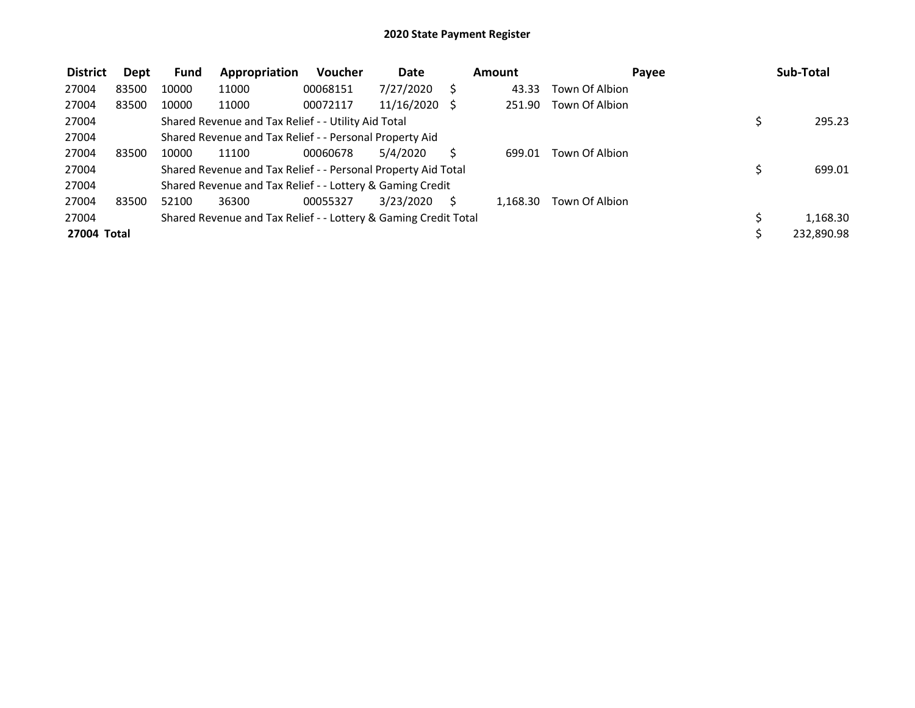| <b>District</b> | Dept  | <b>Fund</b> | Appropriation                                                   | <b>Voucher</b> | Date       |    | Amount   | Payee          | Sub-Total  |
|-----------------|-------|-------------|-----------------------------------------------------------------|----------------|------------|----|----------|----------------|------------|
| 27004           | 83500 | 10000       | 11000                                                           | 00068151       | 7/27/2020  |    | 43.33    | Town Of Albion |            |
| 27004           | 83500 | 10000       | 11000                                                           | 00072117       | 11/16/2020 | -S | 251.90   | Town Of Albion |            |
| 27004           |       |             | Shared Revenue and Tax Relief - - Utility Aid Total             |                |            |    |          |                | 295.23     |
| 27004           |       |             | Shared Revenue and Tax Relief - - Personal Property Aid         |                |            |    |          |                |            |
| 27004           | 83500 | 10000       | 11100                                                           | 00060678       | 5/4/2020   |    | 699.01   | Town Of Albion |            |
| 27004           |       |             | Shared Revenue and Tax Relief - - Personal Property Aid Total   |                |            |    |          |                | 699.01     |
| 27004           |       |             | Shared Revenue and Tax Relief - - Lottery & Gaming Credit       |                |            |    |          |                |            |
| 27004           | 83500 | 52100       | 36300                                                           | 00055327       | 3/23/2020  | S  | 1.168.30 | Town Of Albion |            |
| 27004           |       |             | Shared Revenue and Tax Relief - - Lottery & Gaming Credit Total |                |            |    |          |                | 1,168.30   |
| 27004 Total     |       |             |                                                                 |                |            |    |          |                | 232,890.98 |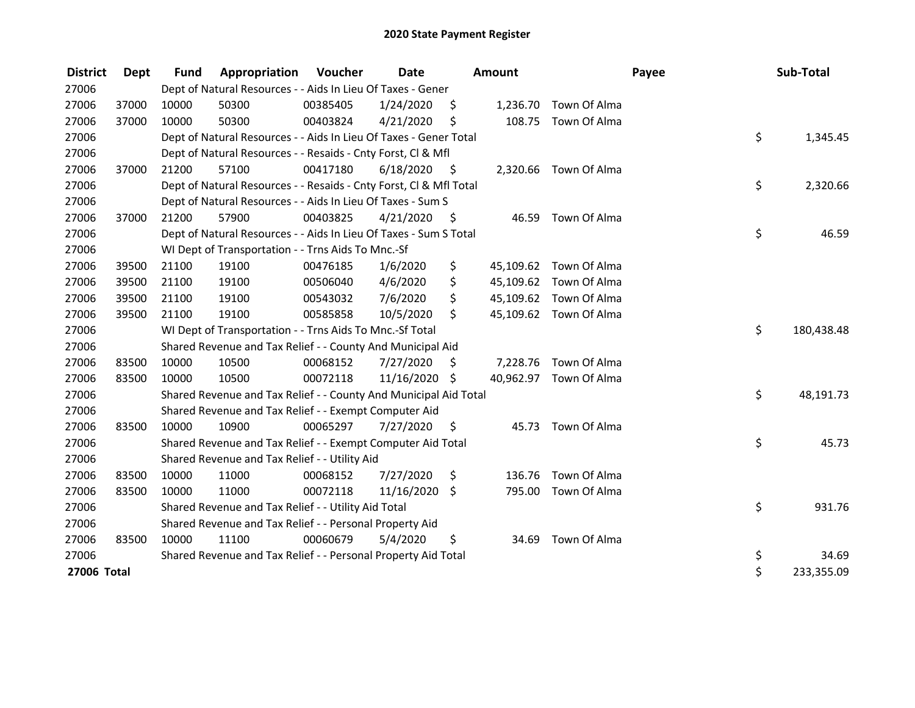| <b>District</b> | Dept  | <b>Fund</b> | Appropriation                                                      | Voucher  | <b>Date</b>     |      | <b>Amount</b> |                        | Payee | Sub-Total  |
|-----------------|-------|-------------|--------------------------------------------------------------------|----------|-----------------|------|---------------|------------------------|-------|------------|
| 27006           |       |             | Dept of Natural Resources - - Aids In Lieu Of Taxes - Gener        |          |                 |      |               |                        |       |            |
| 27006           | 37000 | 10000       | 50300                                                              | 00385405 | 1/24/2020       | \$   |               | 1,236.70 Town Of Alma  |       |            |
| 27006           | 37000 | 10000       | 50300                                                              | 00403824 | 4/21/2020       | \$   | 108.75        | Town Of Alma           |       |            |
| 27006           |       |             | Dept of Natural Resources - - Aids In Lieu Of Taxes - Gener Total  |          |                 |      |               |                        | \$    | 1,345.45   |
| 27006           |       |             | Dept of Natural Resources - - Resaids - Cnty Forst, CI & Mfl       |          |                 |      |               |                        |       |            |
| 27006           | 37000 | 21200       | 57100                                                              | 00417180 | 6/18/2020       | - \$ |               | 2,320.66 Town Of Alma  |       |            |
| 27006           |       |             | Dept of Natural Resources - - Resaids - Cnty Forst, Cl & Mfl Total |          |                 |      |               |                        | \$    | 2,320.66   |
| 27006           |       |             | Dept of Natural Resources - - Aids In Lieu Of Taxes - Sum S        |          |                 |      |               |                        |       |            |
| 27006           | 37000 | 21200       | 57900                                                              | 00403825 | 4/21/2020       | \$.  | 46.59         | Town Of Alma           |       |            |
| 27006           |       |             | Dept of Natural Resources - - Aids In Lieu Of Taxes - Sum S Total  |          |                 |      |               |                        | \$    | 46.59      |
| 27006           |       |             | WI Dept of Transportation - - Trns Aids To Mnc.-Sf                 |          |                 |      |               |                        |       |            |
| 27006           | 39500 | 21100       | 19100                                                              | 00476185 | 1/6/2020        | \$   |               | 45,109.62 Town Of Alma |       |            |
| 27006           | 39500 | 21100       | 19100                                                              | 00506040 | 4/6/2020        | \$   |               | 45,109.62 Town Of Alma |       |            |
| 27006           | 39500 | 21100       | 19100                                                              | 00543032 | 7/6/2020        | \$   |               | 45,109.62 Town Of Alma |       |            |
| 27006           | 39500 | 21100       | 19100                                                              | 00585858 | 10/5/2020       | \$   |               | 45,109.62 Town Of Alma |       |            |
| 27006           |       |             | WI Dept of Transportation - - Trns Aids To Mnc.-Sf Total           |          |                 |      |               |                        | \$    | 180,438.48 |
| 27006           |       |             | Shared Revenue and Tax Relief - - County And Municipal Aid         |          |                 |      |               |                        |       |            |
| 27006           | 83500 | 10000       | 10500                                                              | 00068152 | 7/27/2020       | \$.  |               | 7,228.76 Town Of Alma  |       |            |
| 27006           | 83500 | 10000       | 10500                                                              | 00072118 | 11/16/2020 \$   |      |               | 40,962.97 Town Of Alma |       |            |
| 27006           |       |             | Shared Revenue and Tax Relief - - County And Municipal Aid Total   |          |                 |      |               |                        | \$    | 48,191.73  |
| 27006           |       |             | Shared Revenue and Tax Relief - - Exempt Computer Aid              |          |                 |      |               |                        |       |            |
| 27006           | 83500 | 10000       | 10900                                                              | 00065297 | 7/27/2020       | \$   |               | 45.73 Town Of Alma     |       |            |
| 27006           |       |             | Shared Revenue and Tax Relief - - Exempt Computer Aid Total        |          |                 |      |               |                        | \$    | 45.73      |
| 27006           |       |             | Shared Revenue and Tax Relief - - Utility Aid                      |          |                 |      |               |                        |       |            |
| 27006           | 83500 | 10000       | 11000                                                              | 00068152 | 7/27/2020       | \$   | 136.76        | Town Of Alma           |       |            |
| 27006           | 83500 | 10000       | 11000                                                              | 00072118 | $11/16/2020$ \$ |      | 795.00        | Town Of Alma           |       |            |
| 27006           |       |             | Shared Revenue and Tax Relief - - Utility Aid Total                |          |                 |      |               |                        | \$    | 931.76     |
| 27006           |       |             | Shared Revenue and Tax Relief - - Personal Property Aid            |          |                 |      |               |                        |       |            |
| 27006           | 83500 | 10000       | 11100                                                              | 00060679 | 5/4/2020        | \$   |               | 34.69 Town Of Alma     |       |            |
| 27006           |       |             | Shared Revenue and Tax Relief - - Personal Property Aid Total      |          |                 |      |               |                        | \$    | 34.69      |
| 27006 Total     |       |             |                                                                    |          |                 |      |               |                        | \$    | 233,355.09 |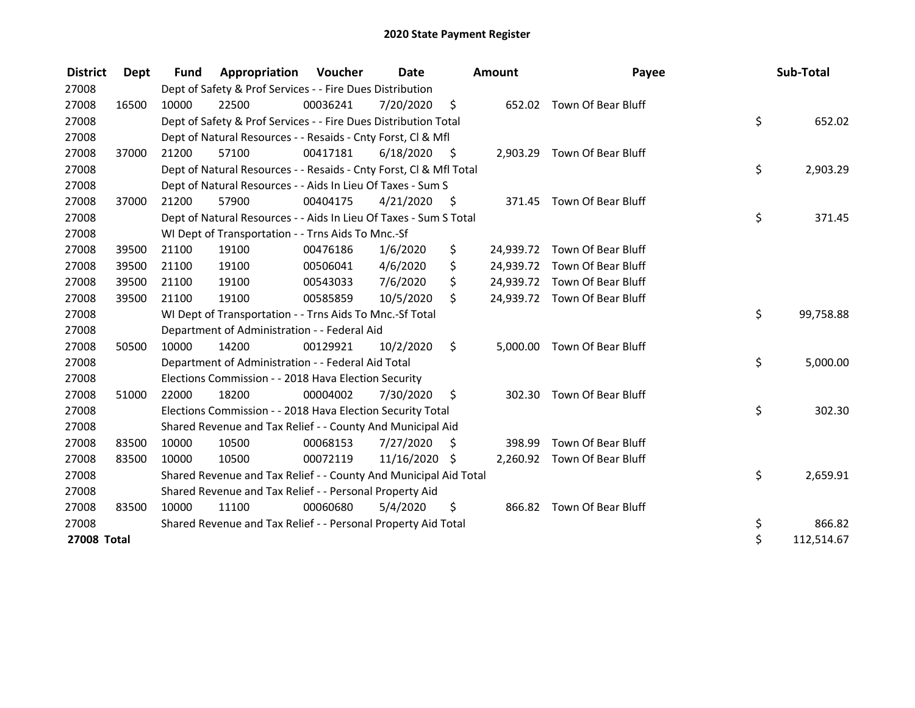| <b>District</b>    | Dept  | <b>Fund</b> | Appropriation                                                      | Voucher  | <b>Date</b> |      | <b>Amount</b> | Payee                        | Sub-Total        |
|--------------------|-------|-------------|--------------------------------------------------------------------|----------|-------------|------|---------------|------------------------------|------------------|
| 27008              |       |             | Dept of Safety & Prof Services - - Fire Dues Distribution          |          |             |      |               |                              |                  |
| 27008              | 16500 | 10000       | 22500                                                              | 00036241 | 7/20/2020   | \$   |               | 652.02 Town Of Bear Bluff    |                  |
| 27008              |       |             | Dept of Safety & Prof Services - - Fire Dues Distribution Total    |          |             |      |               |                              | \$<br>652.02     |
| 27008              |       |             | Dept of Natural Resources - - Resaids - Cnty Forst, CI & Mfl       |          |             |      |               |                              |                  |
| 27008              | 37000 | 21200       | 57100                                                              | 00417181 | 6/18/2020   | - \$ |               | 2,903.29 Town Of Bear Bluff  |                  |
| 27008              |       |             | Dept of Natural Resources - - Resaids - Cnty Forst, Cl & Mfl Total |          |             |      |               |                              | \$<br>2,903.29   |
| 27008              |       |             | Dept of Natural Resources - - Aids In Lieu Of Taxes - Sum S        |          |             |      |               |                              |                  |
| 27008              | 37000 | 21200       | 57900                                                              | 00404175 | 4/21/2020   | - \$ |               | 371.45 Town Of Bear Bluff    |                  |
| 27008              |       |             | Dept of Natural Resources - - Aids In Lieu Of Taxes - Sum S Total  |          |             |      |               |                              | \$<br>371.45     |
| 27008              |       |             | WI Dept of Transportation - - Trns Aids To Mnc.-Sf                 |          |             |      |               |                              |                  |
| 27008              | 39500 | 21100       | 19100                                                              | 00476186 | 1/6/2020    | \$   |               | 24,939.72 Town Of Bear Bluff |                  |
| 27008              | 39500 | 21100       | 19100                                                              | 00506041 | 4/6/2020    | \$   |               | 24,939.72 Town Of Bear Bluff |                  |
| 27008              | 39500 | 21100       | 19100                                                              | 00543033 | 7/6/2020    | \$   |               | 24,939.72 Town Of Bear Bluff |                  |
| 27008              | 39500 | 21100       | 19100                                                              | 00585859 | 10/5/2020   | \$   |               | 24,939.72 Town Of Bear Bluff |                  |
| 27008              |       |             | WI Dept of Transportation - - Trns Aids To Mnc.-Sf Total           |          |             |      |               |                              | \$<br>99,758.88  |
| 27008              |       |             | Department of Administration - - Federal Aid                       |          |             |      |               |                              |                  |
| 27008              | 50500 | 10000       | 14200                                                              | 00129921 | 10/2/2020   | \$   |               | 5,000.00 Town Of Bear Bluff  |                  |
| 27008              |       |             | Department of Administration - - Federal Aid Total                 |          |             |      |               |                              | \$<br>5,000.00   |
| 27008              |       |             | Elections Commission - - 2018 Hava Election Security               |          |             |      |               |                              |                  |
| 27008              | 51000 | 22000       | 18200                                                              | 00004002 | 7/30/2020   | \$   | 302.30        | Town Of Bear Bluff           |                  |
| 27008              |       |             | Elections Commission - - 2018 Hava Election Security Total         |          |             |      |               |                              | \$<br>302.30     |
| 27008              |       |             | Shared Revenue and Tax Relief - - County And Municipal Aid         |          |             |      |               |                              |                  |
| 27008              | 83500 | 10000       | 10500                                                              | 00068153 | 7/27/2020   | \$   | 398.99        | Town Of Bear Bluff           |                  |
| 27008              | 83500 | 10000       | 10500                                                              | 00072119 | 11/16/2020  | \$   |               | 2,260.92 Town Of Bear Bluff  |                  |
| 27008              |       |             | Shared Revenue and Tax Relief - - County And Municipal Aid Total   |          |             |      |               |                              | \$<br>2,659.91   |
| 27008              |       |             | Shared Revenue and Tax Relief - - Personal Property Aid            |          |             |      |               |                              |                  |
| 27008              | 83500 | 10000       | 11100                                                              | 00060680 | 5/4/2020    | \$   |               | 866.82 Town Of Bear Bluff    |                  |
| 27008              |       |             | Shared Revenue and Tax Relief - - Personal Property Aid Total      |          |             |      |               |                              | \$<br>866.82     |
| <b>27008 Total</b> |       |             |                                                                    |          |             |      |               |                              | \$<br>112,514.67 |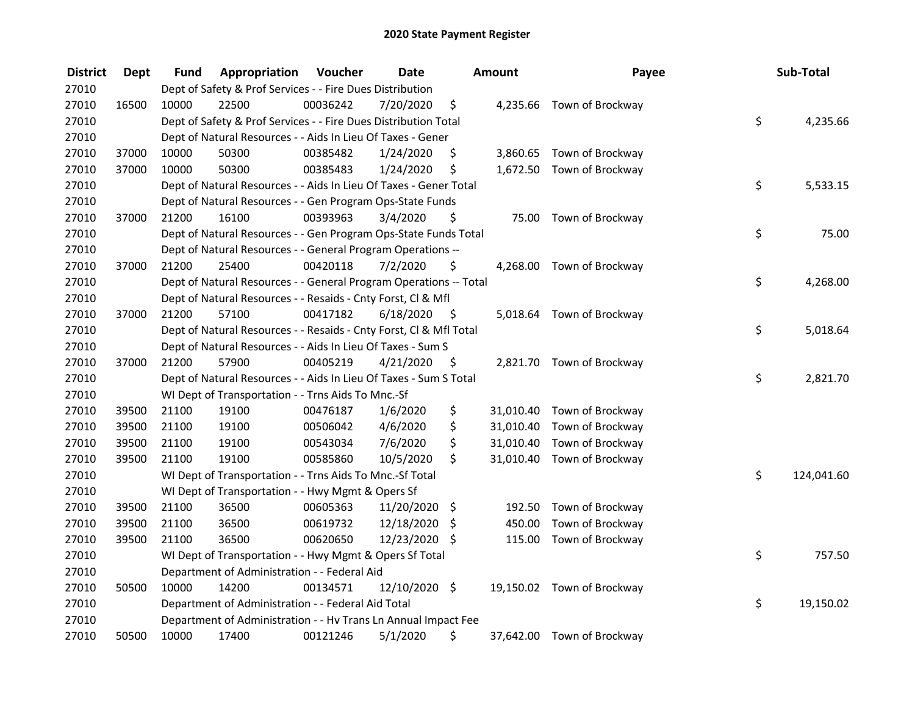| <b>District</b> | <b>Dept</b> | Fund  | Appropriation                                                      | Voucher  | <b>Date</b>   |      | <b>Amount</b> | Payee                      | Sub-Total        |
|-----------------|-------------|-------|--------------------------------------------------------------------|----------|---------------|------|---------------|----------------------------|------------------|
| 27010           |             |       | Dept of Safety & Prof Services - - Fire Dues Distribution          |          |               |      |               |                            |                  |
| 27010           | 16500       | 10000 | 22500                                                              | 00036242 | 7/20/2020     | \$   |               | 4,235.66 Town of Brockway  |                  |
| 27010           |             |       | Dept of Safety & Prof Services - - Fire Dues Distribution Total    |          |               |      |               |                            | \$<br>4,235.66   |
| 27010           |             |       | Dept of Natural Resources - - Aids In Lieu Of Taxes - Gener        |          |               |      |               |                            |                  |
| 27010           | 37000       | 10000 | 50300                                                              | 00385482 | 1/24/2020     | \$   |               | 3,860.65 Town of Brockway  |                  |
| 27010           | 37000       | 10000 | 50300                                                              | 00385483 | 1/24/2020     | \$   |               | 1,672.50 Town of Brockway  |                  |
| 27010           |             |       | Dept of Natural Resources - - Aids In Lieu Of Taxes - Gener Total  |          |               |      |               |                            | \$<br>5,533.15   |
| 27010           |             |       | Dept of Natural Resources - - Gen Program Ops-State Funds          |          |               |      |               |                            |                  |
| 27010           | 37000       | 21200 | 16100                                                              | 00393963 | 3/4/2020      | \$   |               | 75.00 Town of Brockway     |                  |
| 27010           |             |       | Dept of Natural Resources - - Gen Program Ops-State Funds Total    |          |               |      |               |                            | \$<br>75.00      |
| 27010           |             |       | Dept of Natural Resources - - General Program Operations --        |          |               |      |               |                            |                  |
| 27010           | 37000       | 21200 | 25400                                                              | 00420118 | 7/2/2020      | \$   |               | 4,268.00 Town of Brockway  |                  |
| 27010           |             |       | Dept of Natural Resources - - General Program Operations -- Total  |          |               |      |               |                            | \$<br>4,268.00   |
| 27010           |             |       | Dept of Natural Resources - - Resaids - Cnty Forst, Cl & Mfl       |          |               |      |               |                            |                  |
| 27010           | 37000       | 21200 | 57100                                                              | 00417182 | 6/18/2020     | - \$ |               | 5,018.64 Town of Brockway  |                  |
| 27010           |             |       | Dept of Natural Resources - - Resaids - Cnty Forst, Cl & Mfl Total |          |               |      |               |                            | \$<br>5,018.64   |
| 27010           |             |       | Dept of Natural Resources - - Aids In Lieu Of Taxes - Sum S        |          |               |      |               |                            |                  |
| 27010           | 37000       | 21200 | 57900                                                              | 00405219 | 4/21/2020     | \$   |               | 2,821.70 Town of Brockway  |                  |
| 27010           |             |       | Dept of Natural Resources - - Aids In Lieu Of Taxes - Sum S Total  |          |               |      |               |                            | \$<br>2,821.70   |
| 27010           |             |       | WI Dept of Transportation - - Trns Aids To Mnc.-Sf                 |          |               |      |               |                            |                  |
| 27010           | 39500       | 21100 | 19100                                                              | 00476187 | 1/6/2020      | \$   |               | 31,010.40 Town of Brockway |                  |
| 27010           | 39500       | 21100 | 19100                                                              | 00506042 | 4/6/2020      | \$   |               | 31,010.40 Town of Brockway |                  |
| 27010           | 39500       | 21100 | 19100                                                              | 00543034 | 7/6/2020      | \$   | 31,010.40     | Town of Brockway           |                  |
| 27010           | 39500       | 21100 | 19100                                                              | 00585860 | 10/5/2020     | \$   |               | 31,010.40 Town of Brockway |                  |
| 27010           |             |       | WI Dept of Transportation - - Trns Aids To Mnc.-Sf Total           |          |               |      |               |                            | \$<br>124,041.60 |
| 27010           |             |       | WI Dept of Transportation - - Hwy Mgmt & Opers Sf                  |          |               |      |               |                            |                  |
| 27010           | 39500       | 21100 | 36500                                                              | 00605363 | 11/20/2020    | \$   | 192.50        | Town of Brockway           |                  |
| 27010           | 39500       | 21100 | 36500                                                              | 00619732 | 12/18/2020    | -S   | 450.00        | Town of Brockway           |                  |
| 27010           | 39500       | 21100 | 36500                                                              | 00620650 | 12/23/2020 \$ |      | 115.00        | Town of Brockway           |                  |
| 27010           |             |       | WI Dept of Transportation - - Hwy Mgmt & Opers Sf Total            |          |               |      |               |                            | \$<br>757.50     |
| 27010           |             |       | Department of Administration - - Federal Aid                       |          |               |      |               |                            |                  |
| 27010           | 50500       | 10000 | 14200                                                              | 00134571 | 12/10/2020 \$ |      |               | 19,150.02 Town of Brockway |                  |
| 27010           |             |       | Department of Administration - - Federal Aid Total                 |          |               |      |               |                            | \$<br>19,150.02  |
| 27010           |             |       | Department of Administration - - Hv Trans Ln Annual Impact Fee     |          |               |      |               |                            |                  |
| 27010           | 50500       | 10000 | 17400                                                              | 00121246 | 5/1/2020      | \$   |               | 37,642.00 Town of Brockway |                  |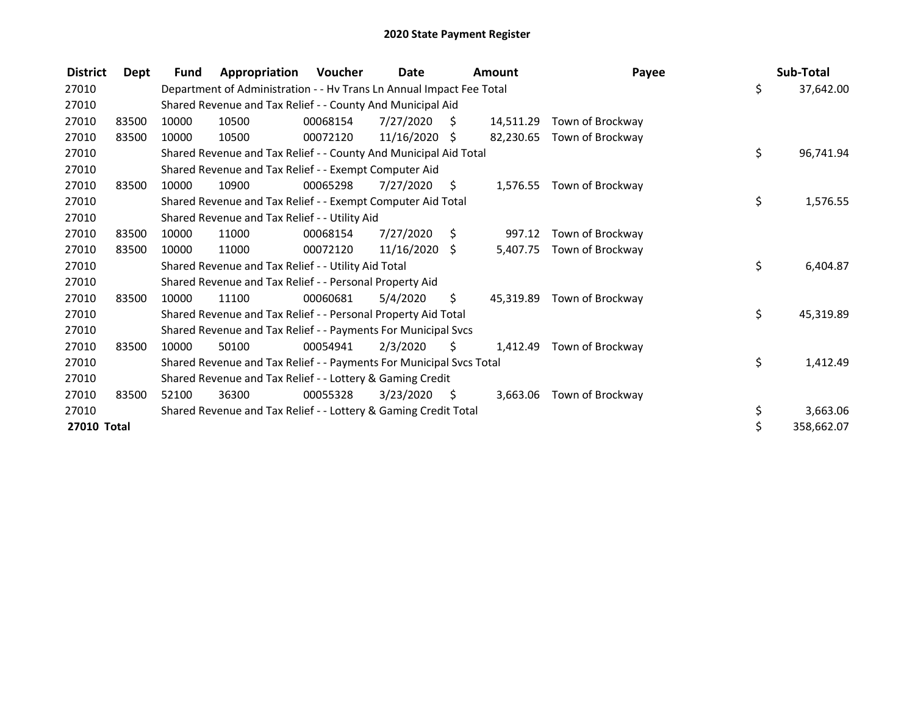| <b>District</b> | Dept  | <b>Fund</b> | Appropriation                                                        | Voucher  | Date            |      | Amount    | Payee                      | Sub-Total        |
|-----------------|-------|-------------|----------------------------------------------------------------------|----------|-----------------|------|-----------|----------------------------|------------------|
| 27010           |       |             | Department of Administration - - Hv Trans Ln Annual Impact Fee Total |          |                 |      |           |                            | \$<br>37,642.00  |
| 27010           |       |             | Shared Revenue and Tax Relief - - County And Municipal Aid           |          |                 |      |           |                            |                  |
| 27010           | 83500 | 10000       | 10500                                                                | 00068154 | 7/27/2020       | - \$ | 14,511.29 | Town of Brockway           |                  |
| 27010           | 83500 | 10000       | 10500                                                                | 00072120 | $11/16/2020$ \$ |      | 82,230.65 | Town of Brockway           |                  |
| 27010           |       |             | Shared Revenue and Tax Relief - - County And Municipal Aid Total     |          |                 |      |           |                            | \$<br>96,741.94  |
| 27010           |       |             | Shared Revenue and Tax Relief - - Exempt Computer Aid                |          |                 |      |           |                            |                  |
| 27010           | 83500 | 10000       | 10900                                                                | 00065298 | 7/27/2020       | S.   | 1,576.55  | Town of Brockway           |                  |
| 27010           |       |             | Shared Revenue and Tax Relief - - Exempt Computer Aid Total          |          |                 |      |           |                            | \$<br>1,576.55   |
| 27010           |       |             | Shared Revenue and Tax Relief - - Utility Aid                        |          |                 |      |           |                            |                  |
| 27010           | 83500 | 10000       | 11000                                                                | 00068154 | 7/27/2020       | \$   | 997.12    | Town of Brockway           |                  |
| 27010           | 83500 | 10000       | 11000                                                                | 00072120 | $11/16/2020$ \$ |      | 5,407.75  | Town of Brockway           |                  |
| 27010           |       |             | Shared Revenue and Tax Relief - - Utility Aid Total                  |          |                 |      |           |                            | \$<br>6,404.87   |
| 27010           |       |             | Shared Revenue and Tax Relief - - Personal Property Aid              |          |                 |      |           |                            |                  |
| 27010           | 83500 | 10000       | 11100                                                                | 00060681 | 5/4/2020        | \$.  |           | 45,319.89 Town of Brockway |                  |
| 27010           |       |             | Shared Revenue and Tax Relief - - Personal Property Aid Total        |          |                 |      |           |                            | \$<br>45,319.89  |
| 27010           |       |             | Shared Revenue and Tax Relief - - Payments For Municipal Svcs        |          |                 |      |           |                            |                  |
| 27010           | 83500 | 10000       | 50100                                                                | 00054941 | 2/3/2020        | S.   | 1.412.49  | Town of Brockway           |                  |
| 27010           |       |             | Shared Revenue and Tax Relief - - Payments For Municipal Svcs Total  |          |                 |      |           |                            | \$<br>1,412.49   |
| 27010           |       |             | Shared Revenue and Tax Relief - - Lottery & Gaming Credit            |          |                 |      |           |                            |                  |
| 27010           | 83500 | 52100       | 36300                                                                | 00055328 | 3/23/2020       | - \$ | 3,663.06  | Town of Brockway           |                  |
| 27010           |       |             | Shared Revenue and Tax Relief - - Lottery & Gaming Credit Total      |          |                 |      |           |                            | \$<br>3,663.06   |
| 27010 Total     |       |             |                                                                      |          |                 |      |           |                            | \$<br>358,662.07 |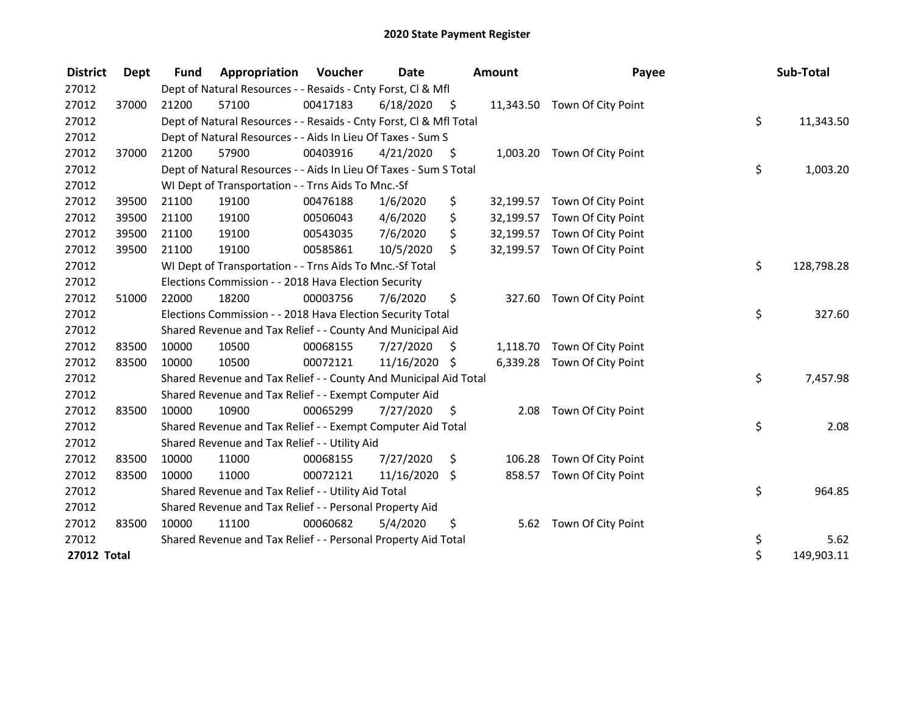| <b>District</b>    | Dept  | <b>Fund</b> | Appropriation                                                      | Voucher  | <b>Date</b>   |      | <b>Amount</b> | Payee                        | Sub-Total        |
|--------------------|-------|-------------|--------------------------------------------------------------------|----------|---------------|------|---------------|------------------------------|------------------|
| 27012              |       |             | Dept of Natural Resources - - Resaids - Cnty Forst, Cl & Mfl       |          |               |      |               |                              |                  |
| 27012              | 37000 | 21200       | 57100                                                              | 00417183 | 6/18/2020     | - \$ |               | 11,343.50 Town Of City Point |                  |
| 27012              |       |             | Dept of Natural Resources - - Resaids - Cnty Forst, CI & Mfl Total |          |               |      |               |                              | \$<br>11,343.50  |
| 27012              |       |             | Dept of Natural Resources - - Aids In Lieu Of Taxes - Sum S        |          |               |      |               |                              |                  |
| 27012              | 37000 | 21200       | 57900                                                              | 00403916 | 4/21/2020     | - \$ |               | 1,003.20 Town Of City Point  |                  |
| 27012              |       |             | Dept of Natural Resources - - Aids In Lieu Of Taxes - Sum S Total  |          |               |      |               |                              | \$<br>1,003.20   |
| 27012              |       |             | WI Dept of Transportation - - Trns Aids To Mnc.-Sf                 |          |               |      |               |                              |                  |
| 27012              | 39500 | 21100       | 19100                                                              | 00476188 | 1/6/2020      | \$   | 32,199.57     | Town Of City Point           |                  |
| 27012              | 39500 | 21100       | 19100                                                              | 00506043 | 4/6/2020      | \$   | 32,199.57     | Town Of City Point           |                  |
| 27012              | 39500 | 21100       | 19100                                                              | 00543035 | 7/6/2020      | \$   | 32,199.57     | Town Of City Point           |                  |
| 27012              | 39500 | 21100       | 19100                                                              | 00585861 | 10/5/2020     | \$   | 32,199.57     | Town Of City Point           |                  |
| 27012              |       |             | WI Dept of Transportation - - Trns Aids To Mnc.-Sf Total           |          |               |      |               |                              | \$<br>128,798.28 |
| 27012              |       |             | Elections Commission - - 2018 Hava Election Security               |          |               |      |               |                              |                  |
| 27012              | 51000 | 22000       | 18200                                                              | 00003756 | 7/6/2020      | \$   | 327.60        | Town Of City Point           |                  |
| 27012              |       |             | Elections Commission - - 2018 Hava Election Security Total         |          |               |      |               |                              | \$<br>327.60     |
| 27012              |       |             | Shared Revenue and Tax Relief - - County And Municipal Aid         |          |               |      |               |                              |                  |
| 27012              | 83500 | 10000       | 10500                                                              | 00068155 | 7/27/2020     | S    | 1,118.70      | Town Of City Point           |                  |
| 27012              | 83500 | 10000       | 10500                                                              | 00072121 | 11/16/2020 \$ |      |               | 6,339.28 Town Of City Point  |                  |
| 27012              |       |             | Shared Revenue and Tax Relief - - County And Municipal Aid Total   |          |               |      |               |                              | \$<br>7,457.98   |
| 27012              |       |             | Shared Revenue and Tax Relief - - Exempt Computer Aid              |          |               |      |               |                              |                  |
| 27012              | 83500 | 10000       | 10900                                                              | 00065299 | 7/27/2020     | \$   | 2.08          | Town Of City Point           |                  |
| 27012              |       |             | Shared Revenue and Tax Relief - - Exempt Computer Aid Total        |          |               |      |               |                              | \$<br>2.08       |
| 27012              |       |             | Shared Revenue and Tax Relief - - Utility Aid                      |          |               |      |               |                              |                  |
| 27012              | 83500 | 10000       | 11000                                                              | 00068155 | 7/27/2020     | \$   | 106.28        | Town Of City Point           |                  |
| 27012              | 83500 | 10000       | 11000                                                              | 00072121 | 11/16/2020 \$ |      | 858.57        | Town Of City Point           |                  |
| 27012              |       |             | Shared Revenue and Tax Relief - - Utility Aid Total                |          |               |      |               |                              | \$<br>964.85     |
| 27012              |       |             | Shared Revenue and Tax Relief - - Personal Property Aid            |          |               |      |               |                              |                  |
| 27012              | 83500 | 10000       | 11100                                                              | 00060682 | 5/4/2020      | \$.  | 5.62          | Town Of City Point           |                  |
| 27012              |       |             | Shared Revenue and Tax Relief - - Personal Property Aid Total      |          |               |      |               |                              | \$<br>5.62       |
| <b>27012 Total</b> |       |             |                                                                    |          |               |      |               |                              | \$<br>149,903.11 |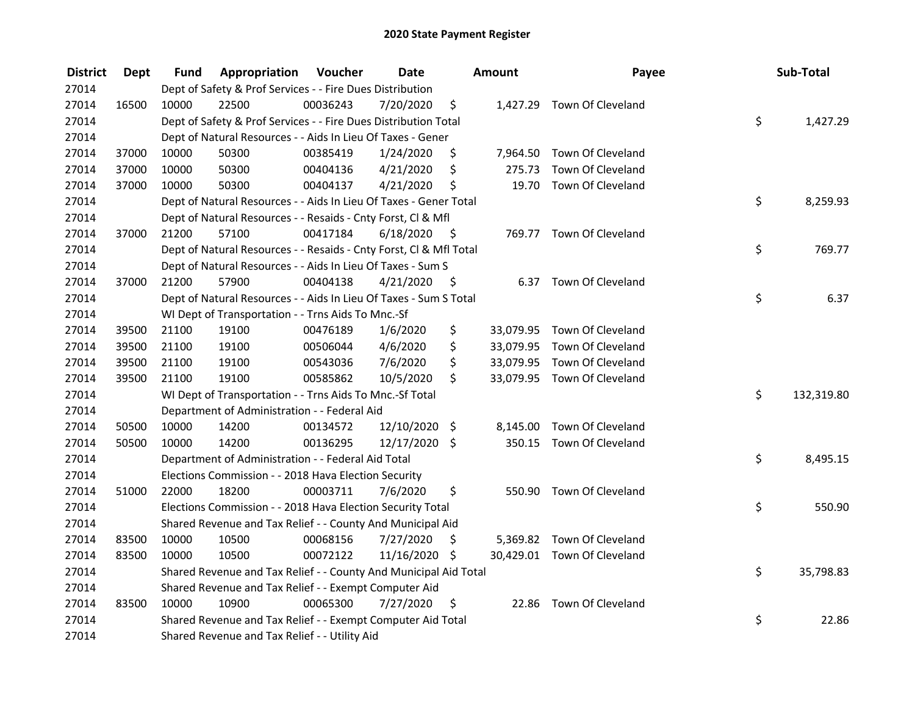| <b>District</b> | Dept  | Fund  | Appropriation                                                      | Voucher  | <b>Date</b>     |      | <b>Amount</b> | Payee                       | Sub-Total        |
|-----------------|-------|-------|--------------------------------------------------------------------|----------|-----------------|------|---------------|-----------------------------|------------------|
| 27014           |       |       | Dept of Safety & Prof Services - - Fire Dues Distribution          |          |                 |      |               |                             |                  |
| 27014           | 16500 | 10000 | 22500                                                              | 00036243 | 7/20/2020       | \$   |               | 1,427.29 Town Of Cleveland  |                  |
| 27014           |       |       | Dept of Safety & Prof Services - - Fire Dues Distribution Total    |          |                 |      |               |                             | \$<br>1,427.29   |
| 27014           |       |       | Dept of Natural Resources - - Aids In Lieu Of Taxes - Gener        |          |                 |      |               |                             |                  |
| 27014           | 37000 | 10000 | 50300                                                              | 00385419 | 1/24/2020       | \$   |               | 7,964.50 Town Of Cleveland  |                  |
| 27014           | 37000 | 10000 | 50300                                                              | 00404136 | 4/21/2020       | \$   | 275.73        | Town Of Cleveland           |                  |
| 27014           | 37000 | 10000 | 50300                                                              | 00404137 | 4/21/2020       | \$   |               | 19.70 Town Of Cleveland     |                  |
| 27014           |       |       | Dept of Natural Resources - - Aids In Lieu Of Taxes - Gener Total  |          |                 |      |               |                             | \$<br>8,259.93   |
| 27014           |       |       | Dept of Natural Resources - - Resaids - Cnty Forst, Cl & Mfl       |          |                 |      |               |                             |                  |
| 27014           | 37000 | 21200 | 57100                                                              | 00417184 | 6/18/2020       | - \$ |               | 769.77 Town Of Cleveland    |                  |
| 27014           |       |       | Dept of Natural Resources - - Resaids - Cnty Forst, Cl & Mfl Total |          |                 |      |               |                             | \$<br>769.77     |
| 27014           |       |       | Dept of Natural Resources - - Aids In Lieu Of Taxes - Sum S        |          |                 |      |               |                             |                  |
| 27014           | 37000 | 21200 | 57900                                                              | 00404138 | 4/21/2020       | -\$  |               | 6.37 Town Of Cleveland      |                  |
| 27014           |       |       | Dept of Natural Resources - - Aids In Lieu Of Taxes - Sum S Total  |          |                 |      |               |                             | \$<br>6.37       |
| 27014           |       |       | WI Dept of Transportation - - Trns Aids To Mnc.-Sf                 |          |                 |      |               |                             |                  |
| 27014           | 39500 | 21100 | 19100                                                              | 00476189 | 1/6/2020        | \$   |               | 33,079.95 Town Of Cleveland |                  |
| 27014           | 39500 | 21100 | 19100                                                              | 00506044 | 4/6/2020        | \$   |               | 33,079.95 Town Of Cleveland |                  |
| 27014           | 39500 | 21100 | 19100                                                              | 00543036 | 7/6/2020        | \$   |               | 33,079.95 Town Of Cleveland |                  |
| 27014           | 39500 | 21100 | 19100                                                              | 00585862 | 10/5/2020       | \$   |               | 33,079.95 Town Of Cleveland |                  |
| 27014           |       |       | WI Dept of Transportation - - Trns Aids To Mnc.-Sf Total           |          |                 |      |               |                             | \$<br>132,319.80 |
| 27014           |       |       | Department of Administration - - Federal Aid                       |          |                 |      |               |                             |                  |
| 27014           | 50500 | 10000 | 14200                                                              | 00134572 | $12/10/2020$ \$ |      |               | 8,145.00 Town Of Cleveland  |                  |
| 27014           | 50500 | 10000 | 14200                                                              | 00136295 | 12/17/2020 \$   |      |               | 350.15 Town Of Cleveland    |                  |
| 27014           |       |       | Department of Administration - - Federal Aid Total                 |          |                 |      |               |                             | \$<br>8,495.15   |
| 27014           |       |       | Elections Commission - - 2018 Hava Election Security               |          |                 |      |               |                             |                  |
| 27014           | 51000 | 22000 | 18200                                                              | 00003711 | 7/6/2020        | \$   |               | 550.90 Town Of Cleveland    |                  |
| 27014           |       |       | Elections Commission - - 2018 Hava Election Security Total         |          |                 |      |               |                             | \$<br>550.90     |
| 27014           |       |       | Shared Revenue and Tax Relief - - County And Municipal Aid         |          |                 |      |               |                             |                  |
| 27014           | 83500 | 10000 | 10500                                                              | 00068156 | 7/27/2020       | \$   |               | 5,369.82 Town Of Cleveland  |                  |
| 27014           | 83500 | 10000 | 10500                                                              | 00072122 | 11/16/2020 \$   |      |               | 30,429.01 Town Of Cleveland |                  |
| 27014           |       |       | Shared Revenue and Tax Relief - - County And Municipal Aid Total   |          |                 |      |               |                             | \$<br>35,798.83  |
| 27014           |       |       | Shared Revenue and Tax Relief - - Exempt Computer Aid              |          |                 |      |               |                             |                  |
| 27014           | 83500 | 10000 | 10900                                                              | 00065300 | 7/27/2020       | \$   | 22.86         | Town Of Cleveland           |                  |
| 27014           |       |       | Shared Revenue and Tax Relief - - Exempt Computer Aid Total        |          |                 |      |               |                             | \$<br>22.86      |
| 27014           |       |       | Shared Revenue and Tax Relief - - Utility Aid                      |          |                 |      |               |                             |                  |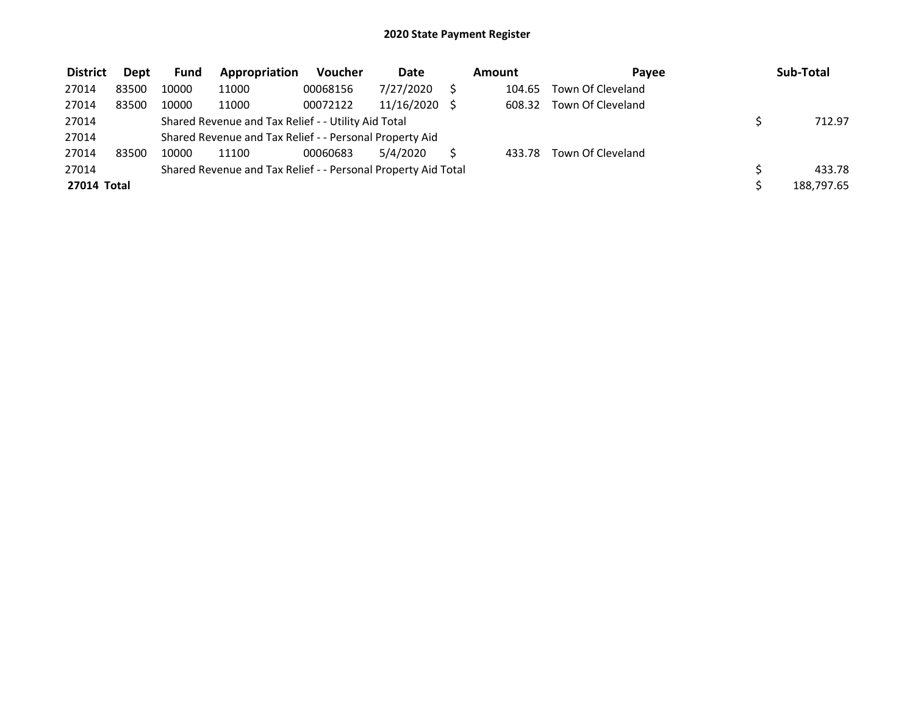| <b>District</b> | Dept  | <b>Fund</b> | Appropriation                                                 | Voucher  | <b>Date</b>   | Amount | Pavee             | Sub-Total  |
|-----------------|-------|-------------|---------------------------------------------------------------|----------|---------------|--------|-------------------|------------|
| 27014           | 83500 | 10000       | 11000                                                         | 00068156 | 7/27/2020     | 104.65 | Town Of Cleveland |            |
| 27014           | 83500 | 10000       | 11000                                                         | 00072122 | 11/16/2020 \$ | 608.32 | Town Of Cleveland |            |
| 27014           |       |             | Shared Revenue and Tax Relief - - Utility Aid Total           |          |               |        |                   | 712.97     |
| 27014           |       |             | Shared Revenue and Tax Relief - - Personal Property Aid       |          |               |        |                   |            |
| 27014           | 83500 | 10000       | 11100                                                         | 00060683 | 5/4/2020      | 433.78 | Town Of Cleveland |            |
| 27014           |       |             | Shared Revenue and Tax Relief - - Personal Property Aid Total |          |               |        |                   | 433.78     |
| 27014 Total     |       |             |                                                               |          |               |        |                   | 188,797.65 |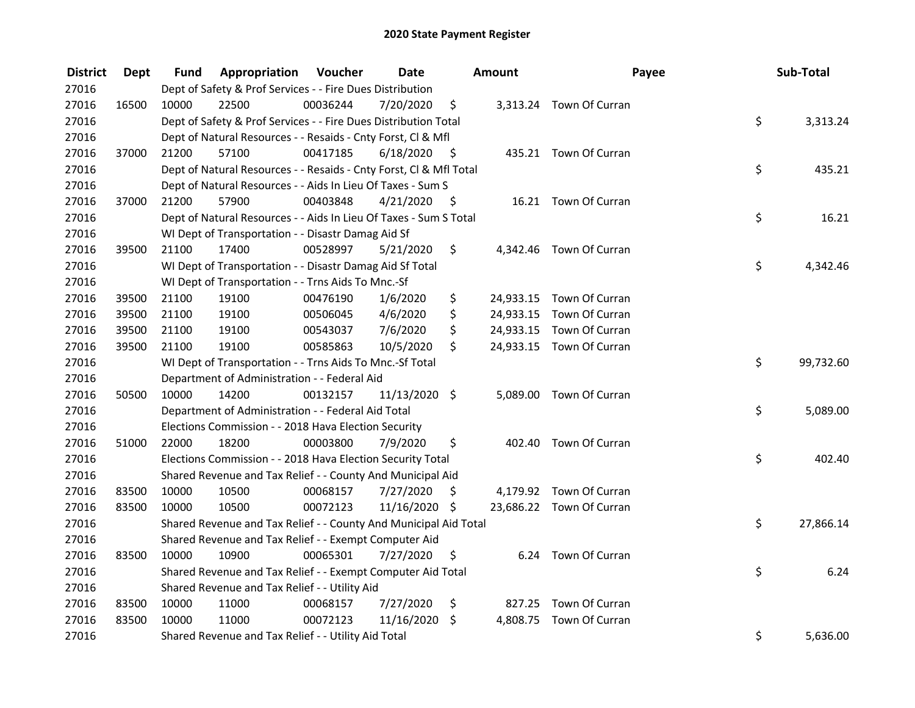| <b>District</b> | Dept  | Fund  | Appropriation                                                      | Voucher  | <b>Date</b>   |      | Amount   | Payee                    | Sub-Total       |
|-----------------|-------|-------|--------------------------------------------------------------------|----------|---------------|------|----------|--------------------------|-----------------|
| 27016           |       |       | Dept of Safety & Prof Services - - Fire Dues Distribution          |          |               |      |          |                          |                 |
| 27016           | 16500 | 10000 | 22500                                                              | 00036244 | 7/20/2020     | \$   |          | 3,313.24 Town Of Curran  |                 |
| 27016           |       |       | Dept of Safety & Prof Services - - Fire Dues Distribution Total    |          |               |      |          |                          | \$<br>3,313.24  |
| 27016           |       |       | Dept of Natural Resources - - Resaids - Cnty Forst, Cl & Mfl       |          |               |      |          |                          |                 |
| 27016           | 37000 | 21200 | 57100                                                              | 00417185 | 6/18/2020     | - \$ |          | 435.21 Town Of Curran    |                 |
| 27016           |       |       | Dept of Natural Resources - - Resaids - Cnty Forst, CI & Mfl Total |          |               |      |          |                          | \$<br>435.21    |
| 27016           |       |       | Dept of Natural Resources - - Aids In Lieu Of Taxes - Sum S        |          |               |      |          |                          |                 |
| 27016           | 37000 | 21200 | 57900                                                              | 00403848 | 4/21/2020     | - \$ |          | 16.21 Town Of Curran     |                 |
| 27016           |       |       | Dept of Natural Resources - - Aids In Lieu Of Taxes - Sum S Total  |          |               |      |          |                          | \$<br>16.21     |
| 27016           |       |       | WI Dept of Transportation - - Disastr Damag Aid Sf                 |          |               |      |          |                          |                 |
| 27016           | 39500 | 21100 | 17400                                                              | 00528997 | 5/21/2020     | \$   |          | 4,342.46 Town Of Curran  |                 |
| 27016           |       |       | WI Dept of Transportation - - Disastr Damag Aid Sf Total           |          |               |      |          |                          | \$<br>4,342.46  |
| 27016           |       |       | WI Dept of Transportation - - Trns Aids To Mnc.-Sf                 |          |               |      |          |                          |                 |
| 27016           | 39500 | 21100 | 19100                                                              | 00476190 | 1/6/2020      | \$   |          | 24,933.15 Town Of Curran |                 |
| 27016           | 39500 | 21100 | 19100                                                              | 00506045 | 4/6/2020      | \$   |          | 24,933.15 Town Of Curran |                 |
| 27016           | 39500 | 21100 | 19100                                                              | 00543037 | 7/6/2020      | \$   |          | 24,933.15 Town Of Curran |                 |
| 27016           | 39500 | 21100 | 19100                                                              | 00585863 | 10/5/2020     | \$   |          | 24,933.15 Town Of Curran |                 |
| 27016           |       |       | WI Dept of Transportation - - Trns Aids To Mnc.-Sf Total           |          |               |      |          |                          | \$<br>99,732.60 |
| 27016           |       |       | Department of Administration - - Federal Aid                       |          |               |      |          |                          |                 |
| 27016           | 50500 | 10000 | 14200                                                              | 00132157 | 11/13/2020 \$ |      |          | 5,089.00 Town Of Curran  |                 |
| 27016           |       |       | Department of Administration - - Federal Aid Total                 |          |               |      |          |                          | \$<br>5,089.00  |
| 27016           |       |       | Elections Commission - - 2018 Hava Election Security               |          |               |      |          |                          |                 |
| 27016           | 51000 | 22000 | 18200                                                              | 00003800 | 7/9/2020      | \$   |          | 402.40 Town Of Curran    |                 |
| 27016           |       |       | Elections Commission - - 2018 Hava Election Security Total         |          |               |      |          |                          | \$<br>402.40    |
| 27016           |       |       | Shared Revenue and Tax Relief - - County And Municipal Aid         |          |               |      |          |                          |                 |
| 27016           | 83500 | 10000 | 10500                                                              | 00068157 | 7/27/2020     | S    |          | 4,179.92 Town Of Curran  |                 |
| 27016           | 83500 | 10000 | 10500                                                              | 00072123 | 11/16/2020 \$ |      |          | 23,686.22 Town Of Curran |                 |
| 27016           |       |       | Shared Revenue and Tax Relief - - County And Municipal Aid Total   |          |               |      |          |                          | \$<br>27,866.14 |
| 27016           |       |       | Shared Revenue and Tax Relief - - Exempt Computer Aid              |          |               |      |          |                          |                 |
| 27016           | 83500 | 10000 | 10900                                                              | 00065301 | 7/27/2020     | \$   |          | 6.24 Town Of Curran      |                 |
| 27016           |       |       | Shared Revenue and Tax Relief - - Exempt Computer Aid Total        |          |               |      |          |                          | \$<br>6.24      |
| 27016           |       |       | Shared Revenue and Tax Relief - - Utility Aid                      |          |               |      |          |                          |                 |
| 27016           | 83500 | 10000 | 11000                                                              | 00068157 | 7/27/2020     | \$   |          | 827.25 Town Of Curran    |                 |
| 27016           | 83500 | 10000 | 11000                                                              | 00072123 | 11/16/2020    | \$   | 4,808.75 | Town Of Curran           |                 |
| 27016           |       |       | Shared Revenue and Tax Relief - - Utility Aid Total                |          |               |      |          |                          | \$<br>5,636.00  |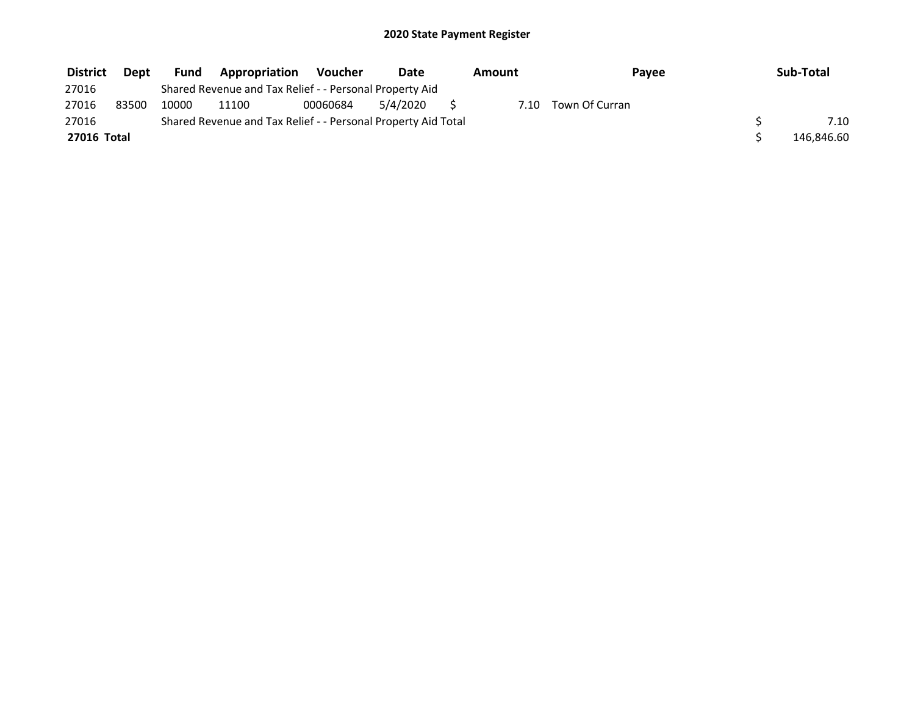| <b>District</b> | Dept  | <b>Fund</b> | <b>Appropriation</b>                                          | Voucher  | Date     | Amount | Payee          | Sub-Total  |
|-----------------|-------|-------------|---------------------------------------------------------------|----------|----------|--------|----------------|------------|
| 27016           |       |             | Shared Revenue and Tax Relief - - Personal Property Aid       |          |          |        |                |            |
| 27016           | 83500 | 10000       | 11100                                                         | 00060684 | 5/4/2020 | 7.10   | Town Of Curran |            |
| 27016           |       |             | Shared Revenue and Tax Relief - - Personal Property Aid Total |          |          |        |                | 7.10       |
| 27016 Total     |       |             |                                                               |          |          |        |                | 146,846.60 |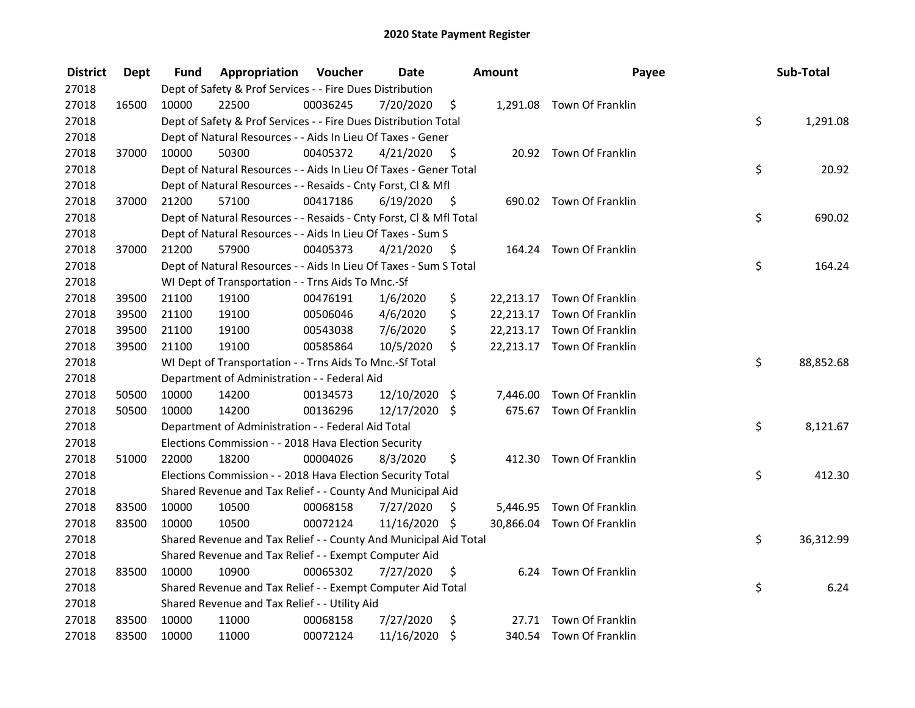| <b>District</b> | Dept  | Fund  | Appropriation                                                      | Voucher  | <b>Date</b>   |      | Amount | Payee                      | Sub-Total       |
|-----------------|-------|-------|--------------------------------------------------------------------|----------|---------------|------|--------|----------------------------|-----------------|
| 27018           |       |       | Dept of Safety & Prof Services - - Fire Dues Distribution          |          |               |      |        |                            |                 |
| 27018           | 16500 | 10000 | 22500                                                              | 00036245 | 7/20/2020     | \$   |        | 1,291.08 Town Of Franklin  |                 |
| 27018           |       |       | Dept of Safety & Prof Services - - Fire Dues Distribution Total    |          |               |      |        |                            | \$<br>1,291.08  |
| 27018           |       |       | Dept of Natural Resources - - Aids In Lieu Of Taxes - Gener        |          |               |      |        |                            |                 |
| 27018           | 37000 | 10000 | 50300                                                              | 00405372 | 4/21/2020     | - \$ |        | 20.92 Town Of Franklin     |                 |
| 27018           |       |       | Dept of Natural Resources - - Aids In Lieu Of Taxes - Gener Total  |          |               |      |        |                            | \$<br>20.92     |
| 27018           |       |       | Dept of Natural Resources - - Resaids - Cnty Forst, Cl & Mfl       |          |               |      |        |                            |                 |
| 27018           | 37000 | 21200 | 57100                                                              | 00417186 | 6/19/2020     | - \$ |        | 690.02 Town Of Franklin    |                 |
| 27018           |       |       | Dept of Natural Resources - - Resaids - Cnty Forst, Cl & Mfl Total |          |               |      |        |                            | \$<br>690.02    |
| 27018           |       |       | Dept of Natural Resources - - Aids In Lieu Of Taxes - Sum S        |          |               |      |        |                            |                 |
| 27018           | 37000 | 21200 | 57900                                                              | 00405373 | 4/21/2020     | - \$ |        | 164.24 Town Of Franklin    |                 |
| 27018           |       |       | Dept of Natural Resources - - Aids In Lieu Of Taxes - Sum S Total  |          |               |      |        |                            | \$<br>164.24    |
| 27018           |       |       | WI Dept of Transportation - - Trns Aids To Mnc.-Sf                 |          |               |      |        |                            |                 |
| 27018           | 39500 | 21100 | 19100                                                              | 00476191 | 1/6/2020      | \$   |        | 22,213.17 Town Of Franklin |                 |
| 27018           | 39500 | 21100 | 19100                                                              | 00506046 | 4/6/2020      | \$   |        | 22,213.17 Town Of Franklin |                 |
| 27018           | 39500 | 21100 | 19100                                                              | 00543038 | 7/6/2020      | \$   |        | 22,213.17 Town Of Franklin |                 |
| 27018           | 39500 | 21100 | 19100                                                              | 00585864 | 10/5/2020     | \$   |        | 22,213.17 Town Of Franklin |                 |
| 27018           |       |       | WI Dept of Transportation - - Trns Aids To Mnc.-Sf Total           |          |               |      |        |                            | \$<br>88,852.68 |
| 27018           |       |       | Department of Administration - - Federal Aid                       |          |               |      |        |                            |                 |
| 27018           | 50500 | 10000 | 14200                                                              | 00134573 | 12/10/2020 \$ |      |        | 7,446.00 Town Of Franklin  |                 |
| 27018           | 50500 | 10000 | 14200                                                              | 00136296 | 12/17/2020 \$ |      |        | 675.67 Town Of Franklin    |                 |
| 27018           |       |       | Department of Administration - - Federal Aid Total                 |          |               |      |        |                            | \$<br>8,121.67  |
| 27018           |       |       | Elections Commission - - 2018 Hava Election Security               |          |               |      |        |                            |                 |
| 27018           | 51000 | 22000 | 18200                                                              | 00004026 | 8/3/2020      | \$   |        | 412.30 Town Of Franklin    |                 |
| 27018           |       |       | Elections Commission - - 2018 Hava Election Security Total         |          |               |      |        |                            | \$<br>412.30    |
| 27018           |       |       | Shared Revenue and Tax Relief - - County And Municipal Aid         |          |               |      |        |                            |                 |
| 27018           | 83500 | 10000 | 10500                                                              | 00068158 | 7/27/2020     | \$   |        | 5,446.95 Town Of Franklin  |                 |
| 27018           | 83500 | 10000 | 10500                                                              | 00072124 | 11/16/2020 \$ |      |        | 30,866.04 Town Of Franklin |                 |
| 27018           |       |       | Shared Revenue and Tax Relief - - County And Municipal Aid Total   |          |               |      |        |                            | \$<br>36,312.99 |
| 27018           |       |       | Shared Revenue and Tax Relief - - Exempt Computer Aid              |          |               |      |        |                            |                 |
| 27018           | 83500 | 10000 | 10900                                                              | 00065302 | 7/27/2020     | \$   |        | 6.24 Town Of Franklin      |                 |
| 27018           |       |       | Shared Revenue and Tax Relief - - Exempt Computer Aid Total        |          |               |      |        |                            | \$<br>6.24      |
| 27018           |       |       | Shared Revenue and Tax Relief - - Utility Aid                      |          |               |      |        |                            |                 |
| 27018           | 83500 | 10000 | 11000                                                              | 00068158 | 7/27/2020     | \$   |        | 27.71 Town Of Franklin     |                 |
| 27018           | 83500 | 10000 | 11000                                                              | 00072124 | 11/16/2020    | \$   |        | 340.54 Town Of Franklin    |                 |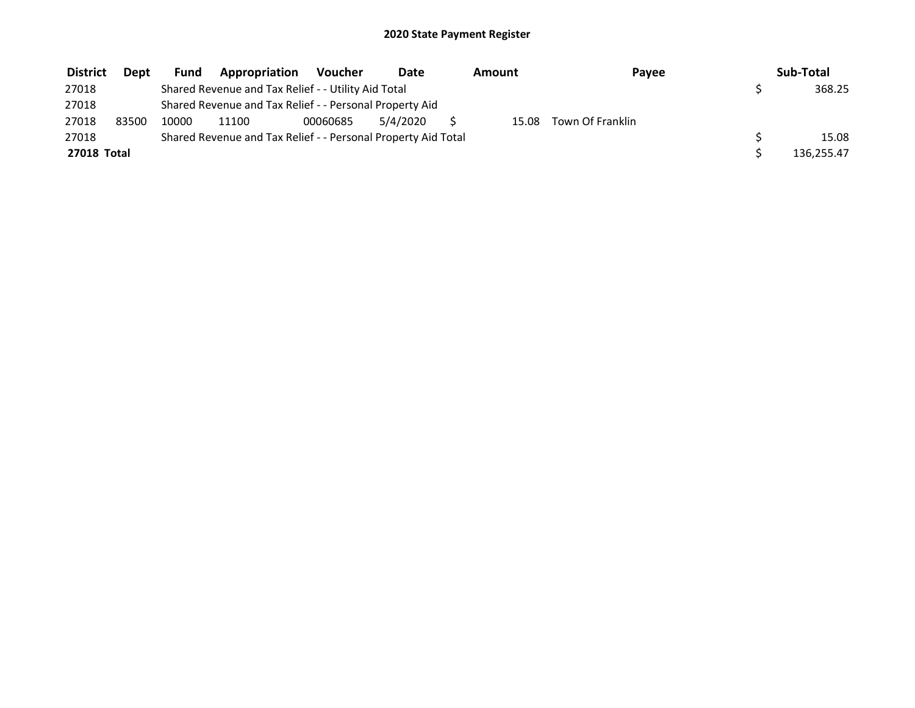| <b>District</b> | Dept  | <b>Fund</b> | Appropriation                                                 | <b>Voucher</b> | Date     | Amount | Payee            | Sub-Total  |
|-----------------|-------|-------------|---------------------------------------------------------------|----------------|----------|--------|------------------|------------|
| 27018           |       |             | Shared Revenue and Tax Relief - - Utility Aid Total           |                |          |        |                  | 368.25     |
| 27018           |       |             | Shared Revenue and Tax Relief - - Personal Property Aid       |                |          |        |                  |            |
| 27018           | 83500 | 10000       | 11100                                                         | 00060685       | 5/4/2020 | 15.08  | Town Of Franklin |            |
| 27018           |       |             | Shared Revenue and Tax Relief - - Personal Property Aid Total |                |          |        |                  | 15.08      |
| 27018 Total     |       |             |                                                               |                |          |        |                  | 136,255.47 |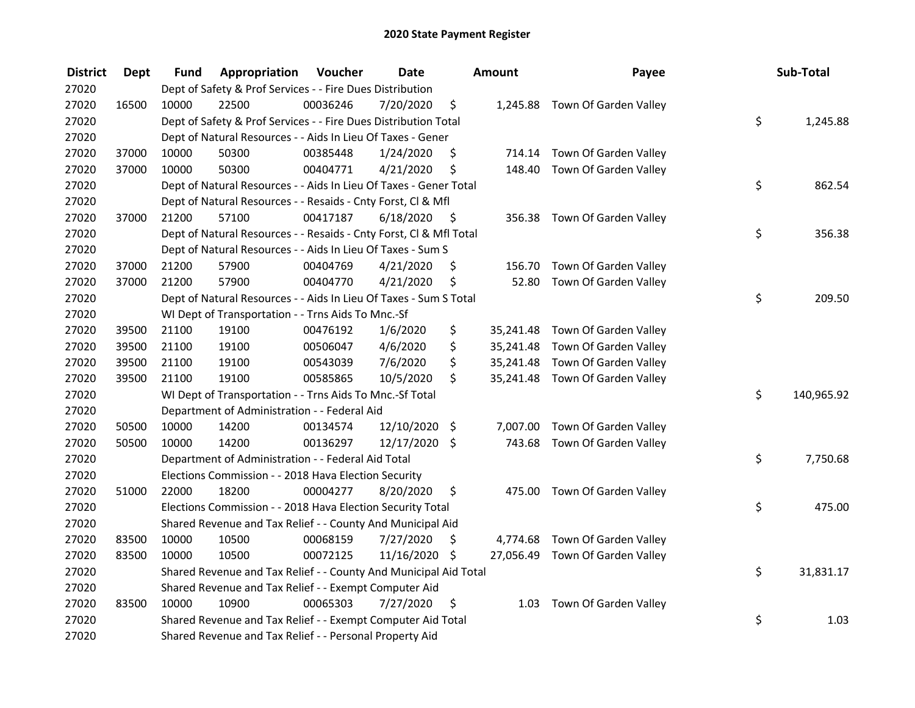| <b>District</b> | <b>Dept</b> | Fund  | Appropriation                                                      | Voucher  | <b>Date</b>   |      | Amount | Payee                           | Sub-Total        |
|-----------------|-------------|-------|--------------------------------------------------------------------|----------|---------------|------|--------|---------------------------------|------------------|
| 27020           |             |       | Dept of Safety & Prof Services - - Fire Dues Distribution          |          |               |      |        |                                 |                  |
| 27020           | 16500       | 10000 | 22500                                                              | 00036246 | 7/20/2020     | \$   |        | 1,245.88 Town Of Garden Valley  |                  |
| 27020           |             |       | Dept of Safety & Prof Services - - Fire Dues Distribution Total    |          |               |      |        |                                 | \$<br>1,245.88   |
| 27020           |             |       | Dept of Natural Resources - - Aids In Lieu Of Taxes - Gener        |          |               |      |        |                                 |                  |
| 27020           | 37000       | 10000 | 50300                                                              | 00385448 | 1/24/2020     | \$   |        | 714.14 Town Of Garden Valley    |                  |
| 27020           | 37000       | 10000 | 50300                                                              | 00404771 | 4/21/2020     | \$   |        | 148.40 Town Of Garden Valley    |                  |
| 27020           |             |       | Dept of Natural Resources - - Aids In Lieu Of Taxes - Gener Total  |          |               |      |        |                                 | \$<br>862.54     |
| 27020           |             |       | Dept of Natural Resources - - Resaids - Cnty Forst, Cl & Mfl       |          |               |      |        |                                 |                  |
| 27020           | 37000       | 21200 | 57100                                                              | 00417187 | 6/18/2020     | - \$ |        | 356.38 Town Of Garden Valley    |                  |
| 27020           |             |       | Dept of Natural Resources - - Resaids - Cnty Forst, CI & Mfl Total |          |               |      |        |                                 | \$<br>356.38     |
| 27020           |             |       | Dept of Natural Resources - - Aids In Lieu Of Taxes - Sum S        |          |               |      |        |                                 |                  |
| 27020           | 37000       | 21200 | 57900                                                              | 00404769 | 4/21/2020     | \$   |        | 156.70 Town Of Garden Valley    |                  |
| 27020           | 37000       | 21200 | 57900                                                              | 00404770 | 4/21/2020     | \$   |        | 52.80 Town Of Garden Valley     |                  |
| 27020           |             |       | Dept of Natural Resources - - Aids In Lieu Of Taxes - Sum S Total  |          |               |      |        |                                 | \$<br>209.50     |
| 27020           |             |       | WI Dept of Transportation - - Trns Aids To Mnc.-Sf                 |          |               |      |        |                                 |                  |
| 27020           | 39500       | 21100 | 19100                                                              | 00476192 | 1/6/2020      | \$   |        | 35,241.48 Town Of Garden Valley |                  |
| 27020           | 39500       | 21100 | 19100                                                              | 00506047 | 4/6/2020      | \$   |        | 35,241.48 Town Of Garden Valley |                  |
| 27020           | 39500       | 21100 | 19100                                                              | 00543039 | 7/6/2020      | \$   |        | 35,241.48 Town Of Garden Valley |                  |
| 27020           | 39500       | 21100 | 19100                                                              | 00585865 | 10/5/2020     | \$   |        | 35,241.48 Town Of Garden Valley |                  |
| 27020           |             |       | WI Dept of Transportation - - Trns Aids To Mnc.-Sf Total           |          |               |      |        |                                 | \$<br>140,965.92 |
| 27020           |             |       | Department of Administration - - Federal Aid                       |          |               |      |        |                                 |                  |
| 27020           | 50500       | 10000 | 14200                                                              | 00134574 | 12/10/2020    | -\$  |        | 7,007.00 Town Of Garden Valley  |                  |
| 27020           | 50500       | 10000 | 14200                                                              | 00136297 | 12/17/2020 \$ |      |        | 743.68 Town Of Garden Valley    |                  |
| 27020           |             |       | Department of Administration - - Federal Aid Total                 |          |               |      |        |                                 | \$<br>7,750.68   |
| 27020           |             |       | Elections Commission - - 2018 Hava Election Security               |          |               |      |        |                                 |                  |
| 27020           | 51000       | 22000 | 18200                                                              | 00004277 | 8/20/2020     | \$   |        | 475.00 Town Of Garden Valley    |                  |
| 27020           |             |       | Elections Commission - - 2018 Hava Election Security Total         |          |               |      |        |                                 | \$<br>475.00     |
| 27020           |             |       | Shared Revenue and Tax Relief - - County And Municipal Aid         |          |               |      |        |                                 |                  |
| 27020           | 83500       | 10000 | 10500                                                              | 00068159 | 7/27/2020     | \$   |        | 4,774.68 Town Of Garden Valley  |                  |
| 27020           | 83500       | 10000 | 10500                                                              | 00072125 | 11/16/2020 \$ |      |        | 27,056.49 Town Of Garden Valley |                  |
| 27020           |             |       | Shared Revenue and Tax Relief - - County And Municipal Aid Total   |          |               |      |        |                                 | \$<br>31,831.17  |
| 27020           |             |       | Shared Revenue and Tax Relief - - Exempt Computer Aid              |          |               |      |        |                                 |                  |
| 27020           | 83500       | 10000 | 10900                                                              | 00065303 | 7/27/2020     | \$   |        | 1.03 Town Of Garden Valley      |                  |
| 27020           |             |       | Shared Revenue and Tax Relief - - Exempt Computer Aid Total        |          |               |      |        |                                 | \$<br>1.03       |
| 27020           |             |       | Shared Revenue and Tax Relief - - Personal Property Aid            |          |               |      |        |                                 |                  |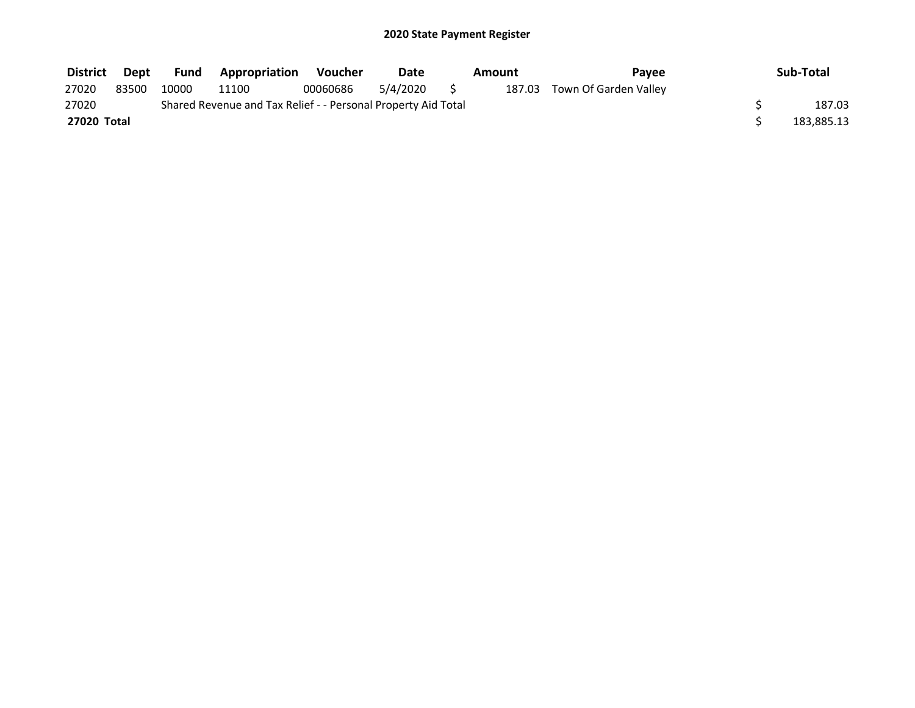| <b>District</b> | Dept  | <b>Fund</b> | <b>Appropriation</b>                                          | Voucher  | Date     | Amount | Pavee                        | Sub-Total  |
|-----------------|-------|-------------|---------------------------------------------------------------|----------|----------|--------|------------------------------|------------|
| 27020           | 83500 | 10000       | 11100                                                         | 00060686 | 5/4/2020 |        | 187.03 Town Of Garden Valley |            |
| 27020           |       |             | Shared Revenue and Tax Relief - - Personal Property Aid Total |          |          |        |                              | 187.03     |
| 27020 Total     |       |             |                                                               |          |          |        |                              | 183,885.13 |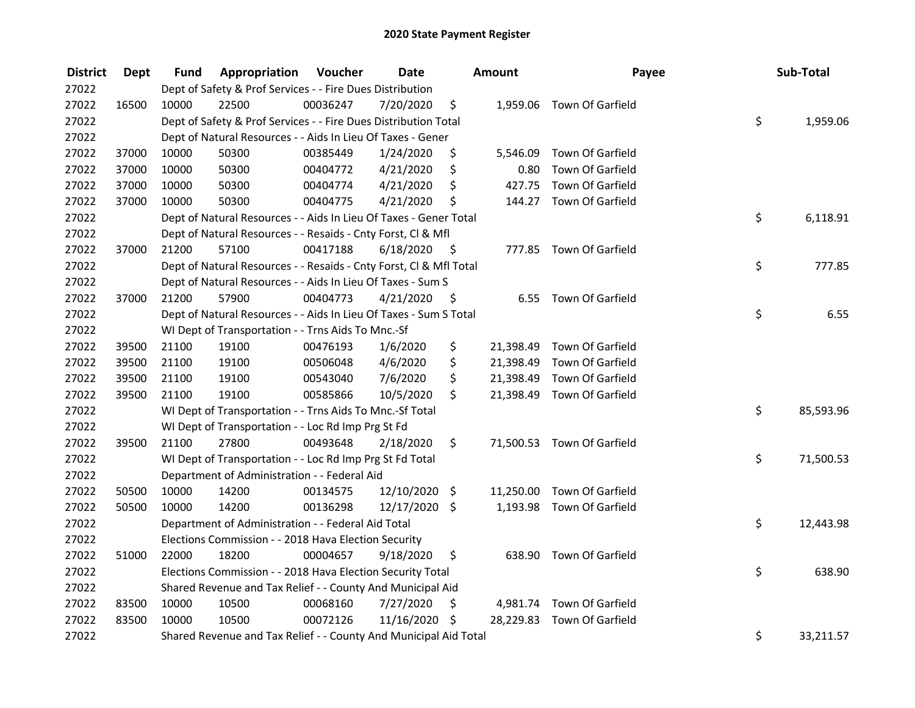| <b>District</b> | <b>Dept</b> | Fund  | Appropriation                                                      | Voucher  | <b>Date</b>   |      | Amount    | Payee                      | Sub-Total       |
|-----------------|-------------|-------|--------------------------------------------------------------------|----------|---------------|------|-----------|----------------------------|-----------------|
| 27022           |             |       | Dept of Safety & Prof Services - - Fire Dues Distribution          |          |               |      |           |                            |                 |
| 27022           | 16500       | 10000 | 22500                                                              | 00036247 | 7/20/2020     | \$   |           | 1,959.06 Town Of Garfield  |                 |
| 27022           |             |       | Dept of Safety & Prof Services - - Fire Dues Distribution Total    |          |               |      |           |                            | \$<br>1,959.06  |
| 27022           |             |       | Dept of Natural Resources - - Aids In Lieu Of Taxes - Gener        |          |               |      |           |                            |                 |
| 27022           | 37000       | 10000 | 50300                                                              | 00385449 | 1/24/2020     | \$   | 5,546.09  | Town Of Garfield           |                 |
| 27022           | 37000       | 10000 | 50300                                                              | 00404772 | 4/21/2020     | \$   | 0.80      | Town Of Garfield           |                 |
| 27022           | 37000       | 10000 | 50300                                                              | 00404774 | 4/21/2020     | \$   | 427.75    | Town Of Garfield           |                 |
| 27022           | 37000       | 10000 | 50300                                                              | 00404775 | 4/21/2020     | \$   |           | 144.27 Town Of Garfield    |                 |
| 27022           |             |       | Dept of Natural Resources - - Aids In Lieu Of Taxes - Gener Total  |          |               |      |           |                            | \$<br>6,118.91  |
| 27022           |             |       | Dept of Natural Resources - - Resaids - Cnty Forst, Cl & Mfl       |          |               |      |           |                            |                 |
| 27022           | 37000       | 21200 | 57100                                                              | 00417188 | 6/18/2020     | - \$ |           | 777.85 Town Of Garfield    |                 |
| 27022           |             |       | Dept of Natural Resources - - Resaids - Cnty Forst, Cl & Mfl Total |          |               |      |           |                            | \$<br>777.85    |
| 27022           |             |       | Dept of Natural Resources - - Aids In Lieu Of Taxes - Sum S        |          |               |      |           |                            |                 |
| 27022           | 37000       | 21200 | 57900                                                              | 00404773 | 4/21/2020     | -S   |           | 6.55 Town Of Garfield      |                 |
| 27022           |             |       | Dept of Natural Resources - - Aids In Lieu Of Taxes - Sum S Total  |          |               |      |           |                            | \$<br>6.55      |
| 27022           |             |       | WI Dept of Transportation - - Trns Aids To Mnc.-Sf                 |          |               |      |           |                            |                 |
| 27022           | 39500       | 21100 | 19100                                                              | 00476193 | 1/6/2020      | \$   | 21,398.49 | Town Of Garfield           |                 |
| 27022           | 39500       | 21100 | 19100                                                              | 00506048 | 4/6/2020      | \$   | 21,398.49 | Town Of Garfield           |                 |
| 27022           | 39500       | 21100 | 19100                                                              | 00543040 | 7/6/2020      | \$   | 21,398.49 | Town Of Garfield           |                 |
| 27022           | 39500       | 21100 | 19100                                                              | 00585866 | 10/5/2020     | \$   |           | 21,398.49 Town Of Garfield |                 |
| 27022           |             |       | WI Dept of Transportation - - Trns Aids To Mnc.-Sf Total           |          |               |      |           |                            | \$<br>85,593.96 |
| 27022           |             |       | WI Dept of Transportation - - Loc Rd Imp Prg St Fd                 |          |               |      |           |                            |                 |
| 27022           | 39500       | 21100 | 27800                                                              | 00493648 | 2/18/2020     | \$.  |           | 71,500.53 Town Of Garfield |                 |
| 27022           |             |       | WI Dept of Transportation - - Loc Rd Imp Prg St Fd Total           |          |               |      |           |                            | \$<br>71,500.53 |
| 27022           |             |       | Department of Administration - - Federal Aid                       |          |               |      |           |                            |                 |
| 27022           | 50500       | 10000 | 14200                                                              | 00134575 | 12/10/2020    | \$   |           | 11,250.00 Town Of Garfield |                 |
| 27022           | 50500       | 10000 | 14200                                                              | 00136298 | 12/17/2020 \$ |      |           | 1,193.98 Town Of Garfield  |                 |
| 27022           |             |       | Department of Administration - - Federal Aid Total                 |          |               |      |           |                            | \$<br>12,443.98 |
| 27022           |             |       | Elections Commission - - 2018 Hava Election Security               |          |               |      |           |                            |                 |
| 27022           | 51000       | 22000 | 18200                                                              | 00004657 | 9/18/2020     | \$   |           | 638.90 Town Of Garfield    |                 |
| 27022           |             |       | Elections Commission - - 2018 Hava Election Security Total         |          |               |      |           |                            | \$<br>638.90    |
| 27022           |             |       | Shared Revenue and Tax Relief - - County And Municipal Aid         |          |               |      |           |                            |                 |
| 27022           | 83500       | 10000 | 10500                                                              | 00068160 | 7/27/2020     | \$   |           | 4,981.74 Town Of Garfield  |                 |
| 27022           | 83500       | 10000 | 10500                                                              | 00072126 | 11/16/2020 \$ |      |           | 28,229.83 Town Of Garfield |                 |
| 27022           |             |       | Shared Revenue and Tax Relief - - County And Municipal Aid Total   |          |               |      |           |                            | \$<br>33,211.57 |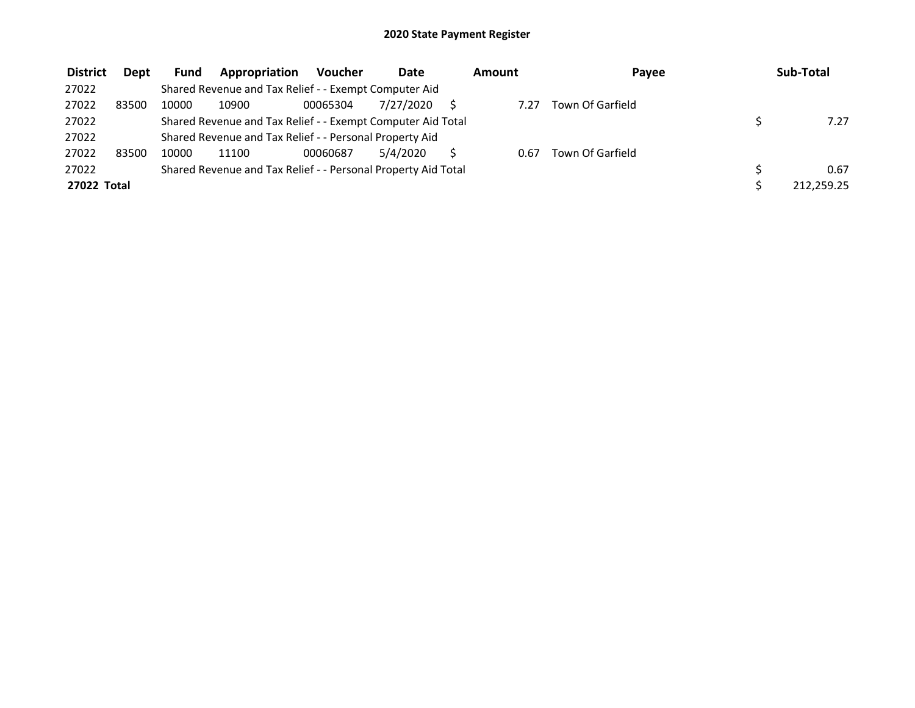| <b>District</b> | <b>Dept</b> | <b>Fund</b> | Appropriation                                                 | <b>Voucher</b> | <b>Date</b> | Amount | Payee            | Sub-Total  |
|-----------------|-------------|-------------|---------------------------------------------------------------|----------------|-------------|--------|------------------|------------|
| 27022           |             |             | Shared Revenue and Tax Relief - - Exempt Computer Aid         |                |             |        |                  |            |
| 27022           | 83500       | 10000       | 10900                                                         | 00065304       | 7/27/2020   | 7.27   | Town Of Garfield |            |
| 27022           |             |             | Shared Revenue and Tax Relief - - Exempt Computer Aid Total   |                |             |        |                  | 7.27       |
| 27022           |             |             | Shared Revenue and Tax Relief - - Personal Property Aid       |                |             |        |                  |            |
| 27022           | 83500       | 10000       | 11100                                                         | 00060687       | 5/4/2020    | 0.67   | Town Of Garfield |            |
| 27022           |             |             | Shared Revenue and Tax Relief - - Personal Property Aid Total |                |             |        |                  | 0.67       |
| 27022 Total     |             |             |                                                               |                |             |        |                  | 212.259.25 |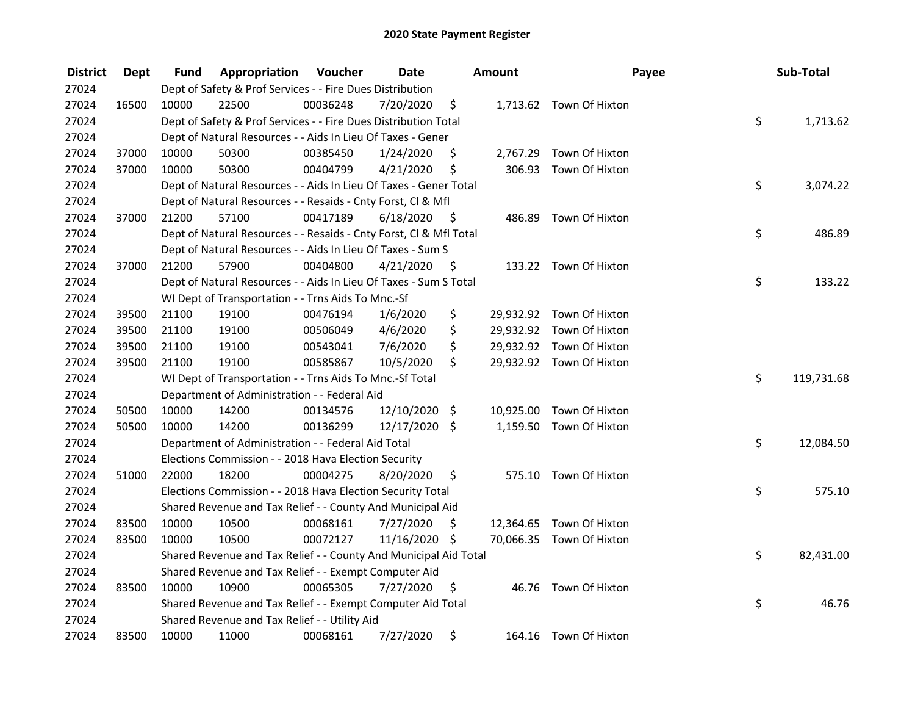| <b>District</b> | Dept  | Fund  | Appropriation                                                      | Voucher  | <b>Date</b>   |      | <b>Amount</b> | Payee                    | Sub-Total        |
|-----------------|-------|-------|--------------------------------------------------------------------|----------|---------------|------|---------------|--------------------------|------------------|
| 27024           |       |       | Dept of Safety & Prof Services - - Fire Dues Distribution          |          |               |      |               |                          |                  |
| 27024           | 16500 | 10000 | 22500                                                              | 00036248 | 7/20/2020     | \$   |               | 1,713.62 Town Of Hixton  |                  |
| 27024           |       |       | Dept of Safety & Prof Services - - Fire Dues Distribution Total    |          |               |      |               |                          | \$<br>1,713.62   |
| 27024           |       |       | Dept of Natural Resources - - Aids In Lieu Of Taxes - Gener        |          |               |      |               |                          |                  |
| 27024           | 37000 | 10000 | 50300                                                              | 00385450 | 1/24/2020     | \$   | 2,767.29      | Town Of Hixton           |                  |
| 27024           | 37000 | 10000 | 50300                                                              | 00404799 | 4/21/2020     | \$   |               | 306.93 Town Of Hixton    |                  |
| 27024           |       |       | Dept of Natural Resources - - Aids In Lieu Of Taxes - Gener Total  |          |               |      |               |                          | \$<br>3,074.22   |
| 27024           |       |       | Dept of Natural Resources - - Resaids - Cnty Forst, CI & Mfl       |          |               |      |               |                          |                  |
| 27024           | 37000 | 21200 | 57100                                                              | 00417189 | 6/18/2020     | - \$ |               | 486.89 Town Of Hixton    |                  |
| 27024           |       |       | Dept of Natural Resources - - Resaids - Cnty Forst, Cl & Mfl Total |          |               |      |               |                          | \$<br>486.89     |
| 27024           |       |       | Dept of Natural Resources - - Aids In Lieu Of Taxes - Sum S        |          |               |      |               |                          |                  |
| 27024           | 37000 | 21200 | 57900                                                              | 00404800 | 4/21/2020     | -\$  |               | 133.22 Town Of Hixton    |                  |
| 27024           |       |       | Dept of Natural Resources - - Aids In Lieu Of Taxes - Sum S Total  |          |               |      |               |                          | \$<br>133.22     |
| 27024           |       |       | WI Dept of Transportation - - Trns Aids To Mnc.-Sf                 |          |               |      |               |                          |                  |
| 27024           | 39500 | 21100 | 19100                                                              | 00476194 | 1/6/2020      | \$   |               | 29,932.92 Town Of Hixton |                  |
| 27024           | 39500 | 21100 | 19100                                                              | 00506049 | 4/6/2020      | \$   |               | 29,932.92 Town Of Hixton |                  |
| 27024           | 39500 | 21100 | 19100                                                              | 00543041 | 7/6/2020      | \$   |               | 29,932.92 Town Of Hixton |                  |
| 27024           | 39500 | 21100 | 19100                                                              | 00585867 | 10/5/2020     | \$   |               | 29,932.92 Town Of Hixton |                  |
| 27024           |       |       | WI Dept of Transportation - - Trns Aids To Mnc.-Sf Total           |          |               |      |               |                          | \$<br>119,731.68 |
| 27024           |       |       | Department of Administration - - Federal Aid                       |          |               |      |               |                          |                  |
| 27024           | 50500 | 10000 | 14200                                                              | 00134576 | 12/10/2020 \$ |      |               | 10,925.00 Town Of Hixton |                  |
| 27024           | 50500 | 10000 | 14200                                                              | 00136299 | 12/17/2020 \$ |      |               | 1,159.50 Town Of Hixton  |                  |
| 27024           |       |       | Department of Administration - - Federal Aid Total                 |          |               |      |               |                          | \$<br>12,084.50  |
| 27024           |       |       | Elections Commission - - 2018 Hava Election Security               |          |               |      |               |                          |                  |
| 27024           | 51000 | 22000 | 18200                                                              | 00004275 | 8/20/2020     | \$.  |               | 575.10 Town Of Hixton    |                  |
| 27024           |       |       | Elections Commission - - 2018 Hava Election Security Total         |          |               |      |               |                          | \$<br>575.10     |
| 27024           |       |       | Shared Revenue and Tax Relief - - County And Municipal Aid         |          |               |      |               |                          |                  |
| 27024           | 83500 | 10000 | 10500                                                              | 00068161 | 7/27/2020     | \$   |               | 12,364.65 Town Of Hixton |                  |
| 27024           | 83500 | 10000 | 10500                                                              | 00072127 | 11/16/2020 \$ |      |               | 70,066.35 Town Of Hixton |                  |
| 27024           |       |       | Shared Revenue and Tax Relief - - County And Municipal Aid Total   |          |               |      |               |                          | \$<br>82,431.00  |
| 27024           |       |       | Shared Revenue and Tax Relief - - Exempt Computer Aid              |          |               |      |               |                          |                  |
| 27024           | 83500 | 10000 | 10900                                                              | 00065305 | 7/27/2020     | \$   |               | 46.76 Town Of Hixton     |                  |
| 27024           |       |       | Shared Revenue and Tax Relief - - Exempt Computer Aid Total        |          |               |      |               |                          | \$<br>46.76      |
| 27024           |       |       | Shared Revenue and Tax Relief - - Utility Aid                      |          |               |      |               |                          |                  |
| 27024           | 83500 | 10000 | 11000                                                              | 00068161 | 7/27/2020     | \$   |               | 164.16 Town Of Hixton    |                  |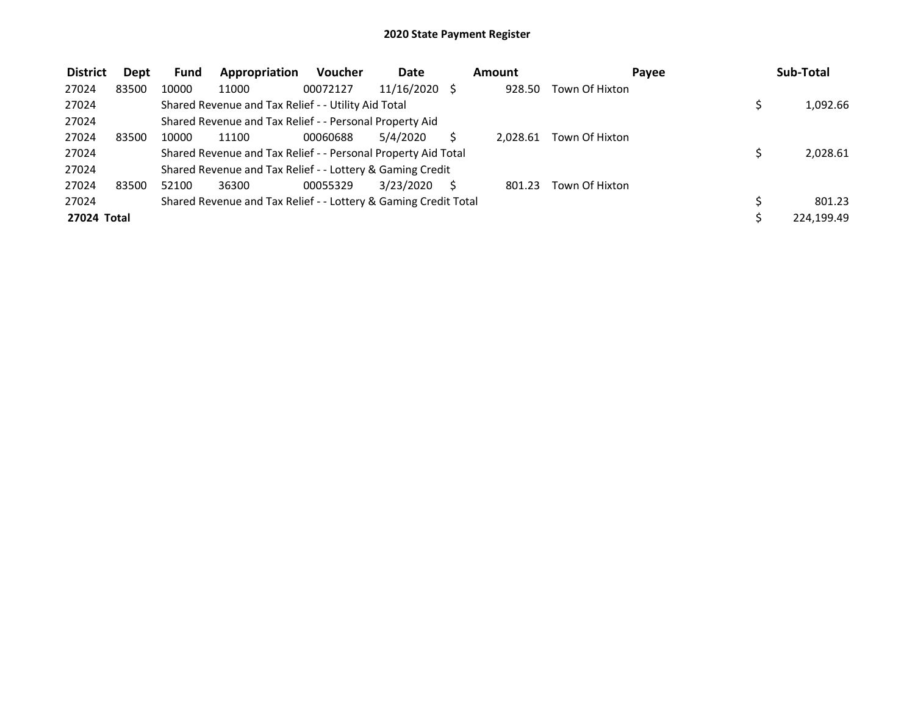| <b>District</b> | Dept  | <b>Fund</b> | Appropriation                                                   | <b>Voucher</b> | <b>Date</b>   | Amount   | Pavee          | Sub-Total  |
|-----------------|-------|-------------|-----------------------------------------------------------------|----------------|---------------|----------|----------------|------------|
| 27024           | 83500 | 10000       | 11000                                                           | 00072127       | 11/16/2020 \$ | 928.50   | Town Of Hixton |            |
| 27024           |       |             | Shared Revenue and Tax Relief - - Utility Aid Total             |                |               |          |                | 1,092.66   |
| 27024           |       |             | Shared Revenue and Tax Relief - - Personal Property Aid         |                |               |          |                |            |
| 27024           | 83500 | 10000       | 11100                                                           | 00060688       | 5/4/2020      | 2.028.61 | Town Of Hixton |            |
| 27024           |       |             | Shared Revenue and Tax Relief - - Personal Property Aid Total   |                |               |          |                | 2,028.61   |
| 27024           |       |             | Shared Revenue and Tax Relief - - Lottery & Gaming Credit       |                |               |          |                |            |
| 27024           | 83500 | 52100       | 36300                                                           | 00055329       | 3/23/2020     | 801.23   | Town Of Hixton |            |
| 27024           |       |             | Shared Revenue and Tax Relief - - Lottery & Gaming Credit Total |                |               |          |                | 801.23     |
| 27024 Total     |       |             |                                                                 |                |               |          |                | 224,199.49 |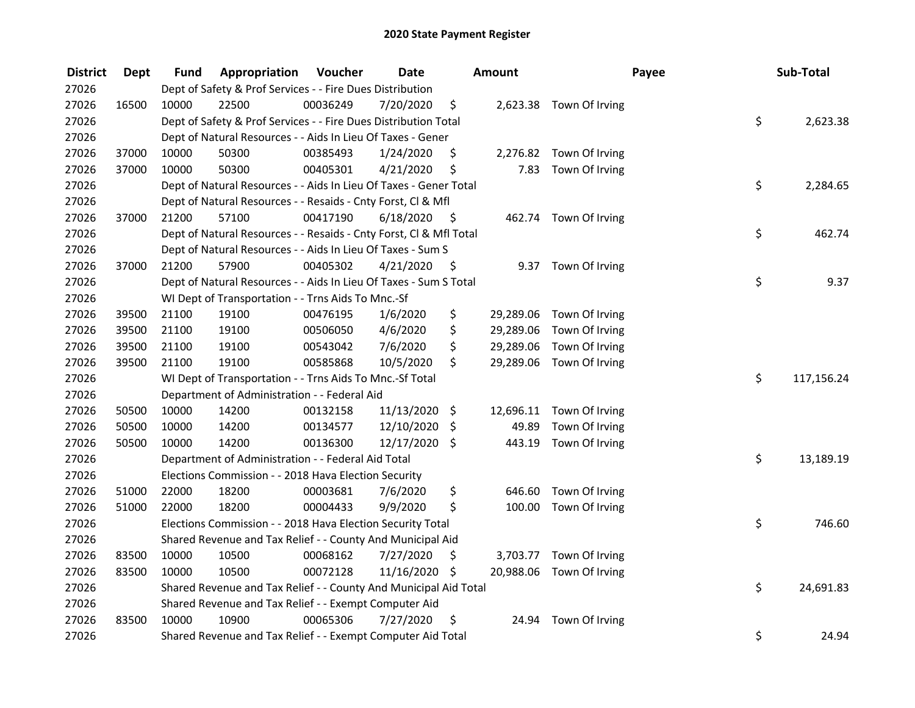| <b>District</b> | <b>Dept</b> | Fund  | Appropriation                                                      | Voucher  | <b>Date</b>   |      | Amount    |                          | Payee | Sub-Total  |
|-----------------|-------------|-------|--------------------------------------------------------------------|----------|---------------|------|-----------|--------------------------|-------|------------|
| 27026           |             |       | Dept of Safety & Prof Services - - Fire Dues Distribution          |          |               |      |           |                          |       |            |
| 27026           | 16500       | 10000 | 22500                                                              | 00036249 | 7/20/2020     | \$   |           | 2,623.38 Town Of Irving  |       |            |
| 27026           |             |       | Dept of Safety & Prof Services - - Fire Dues Distribution Total    |          |               |      |           |                          | \$    | 2,623.38   |
| 27026           |             |       | Dept of Natural Resources - - Aids In Lieu Of Taxes - Gener        |          |               |      |           |                          |       |            |
| 27026           | 37000       | 10000 | 50300                                                              | 00385493 | 1/24/2020     | \$   |           | 2,276.82 Town Of Irving  |       |            |
| 27026           | 37000       | 10000 | 50300                                                              | 00405301 | 4/21/2020     | \$   | 7.83      | Town Of Irving           |       |            |
| 27026           |             |       | Dept of Natural Resources - - Aids In Lieu Of Taxes - Gener Total  |          |               |      |           |                          | \$    | 2,284.65   |
| 27026           |             |       | Dept of Natural Resources - - Resaids - Cnty Forst, CI & Mfl       |          |               |      |           |                          |       |            |
| 27026           | 37000       | 21200 | 57100                                                              | 00417190 | 6/18/2020     | - \$ |           | 462.74 Town Of Irving    |       |            |
| 27026           |             |       | Dept of Natural Resources - - Resaids - Cnty Forst, Cl & Mfl Total |          |               |      |           |                          | \$    | 462.74     |
| 27026           |             |       | Dept of Natural Resources - - Aids In Lieu Of Taxes - Sum S        |          |               |      |           |                          |       |            |
| 27026           | 37000       | 21200 | 57900                                                              | 00405302 | 4/21/2020     | \$   |           | 9.37 Town Of Irving      |       |            |
| 27026           |             |       | Dept of Natural Resources - - Aids In Lieu Of Taxes - Sum S Total  |          |               |      |           |                          | \$    | 9.37       |
| 27026           |             |       | WI Dept of Transportation - - Trns Aids To Mnc.-Sf                 |          |               |      |           |                          |       |            |
| 27026           | 39500       | 21100 | 19100                                                              | 00476195 | 1/6/2020      | \$   | 29,289.06 | Town Of Irving           |       |            |
| 27026           | 39500       | 21100 | 19100                                                              | 00506050 | 4/6/2020      | \$   | 29,289.06 | Town Of Irving           |       |            |
| 27026           | 39500       | 21100 | 19100                                                              | 00543042 | 7/6/2020      | \$   | 29,289.06 | Town Of Irving           |       |            |
| 27026           | 39500       | 21100 | 19100                                                              | 00585868 | 10/5/2020     | \$   |           | 29,289.06 Town Of Irving |       |            |
| 27026           |             |       | WI Dept of Transportation - - Trns Aids To Mnc.-Sf Total           |          |               |      |           |                          | \$    | 117,156.24 |
| 27026           |             |       | Department of Administration - - Federal Aid                       |          |               |      |           |                          |       |            |
| 27026           | 50500       | 10000 | 14200                                                              | 00132158 | 11/13/2020 \$ |      |           | 12,696.11 Town Of Irving |       |            |
| 27026           | 50500       | 10000 | 14200                                                              | 00134577 | 12/10/2020    | \$   | 49.89     | Town Of Irving           |       |            |
| 27026           | 50500       | 10000 | 14200                                                              | 00136300 | 12/17/2020 \$ |      | 443.19    | Town Of Irving           |       |            |
| 27026           |             |       | Department of Administration - - Federal Aid Total                 |          |               |      |           |                          | \$    | 13,189.19  |
| 27026           |             |       | Elections Commission - - 2018 Hava Election Security               |          |               |      |           |                          |       |            |
| 27026           | 51000       | 22000 | 18200                                                              | 00003681 | 7/6/2020      | \$   | 646.60    | Town Of Irving           |       |            |
| 27026           | 51000       | 22000 | 18200                                                              | 00004433 | 9/9/2020      | \$   |           | 100.00 Town Of Irving    |       |            |
| 27026           |             |       | Elections Commission - - 2018 Hava Election Security Total         |          |               |      |           |                          | \$    | 746.60     |
| 27026           |             |       | Shared Revenue and Tax Relief - - County And Municipal Aid         |          |               |      |           |                          |       |            |
| 27026           | 83500       | 10000 | 10500                                                              | 00068162 | 7/27/2020     | \$   |           | 3,703.77 Town Of Irving  |       |            |
| 27026           | 83500       | 10000 | 10500                                                              | 00072128 | 11/16/2020 \$ |      |           | 20,988.06 Town Of Irving |       |            |
| 27026           |             |       | Shared Revenue and Tax Relief - - County And Municipal Aid Total   |          |               |      |           |                          | \$    | 24,691.83  |
| 27026           |             |       | Shared Revenue and Tax Relief - - Exempt Computer Aid              |          |               |      |           |                          |       |            |
| 27026           | 83500       | 10000 | 10900                                                              | 00065306 | 7/27/2020     | \$   | 24.94     | Town Of Irving           |       |            |
| 27026           |             |       | Shared Revenue and Tax Relief - - Exempt Computer Aid Total        |          |               |      |           |                          | \$    | 24.94      |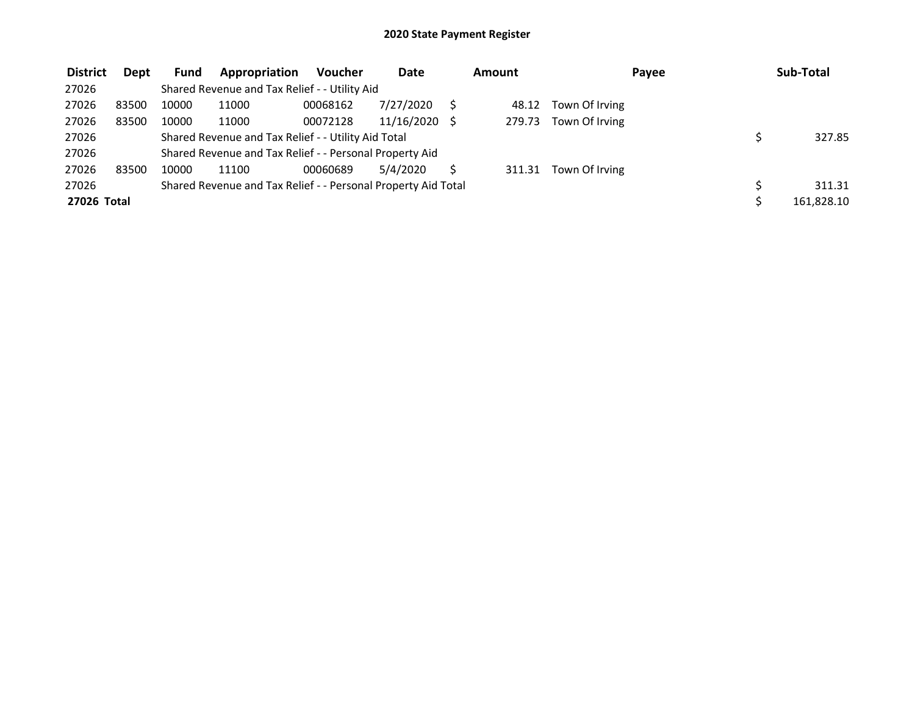| <b>District</b> | <b>Dept</b> | Fund  | Appropriation                                                 | <b>Voucher</b> | Date       | Amount |                | Payee | Sub-Total  |
|-----------------|-------------|-------|---------------------------------------------------------------|----------------|------------|--------|----------------|-------|------------|
| 27026           |             |       | Shared Revenue and Tax Relief - - Utility Aid                 |                |            |        |                |       |            |
| 27026           | 83500       | 10000 | 11000                                                         | 00068162       | 7/27/2020  | 48.12  | Town Of Irving |       |            |
| 27026           | 83500       | 10000 | 11000                                                         | 00072128       | 11/16/2020 | 279.73 | Town Of Irving |       |            |
| 27026           |             |       | Shared Revenue and Tax Relief - - Utility Aid Total           |                |            |        |                |       | 327.85     |
| 27026           |             |       | Shared Revenue and Tax Relief - - Personal Property Aid       |                |            |        |                |       |            |
| 27026           | 83500       | 10000 | 11100                                                         | 00060689       | 5/4/2020   | 311.31 | Town Of Irving |       |            |
| 27026           |             |       | Shared Revenue and Tax Relief - - Personal Property Aid Total |                |            |        |                |       | 311.31     |
| 27026 Total     |             |       |                                                               |                |            |        |                |       | 161,828.10 |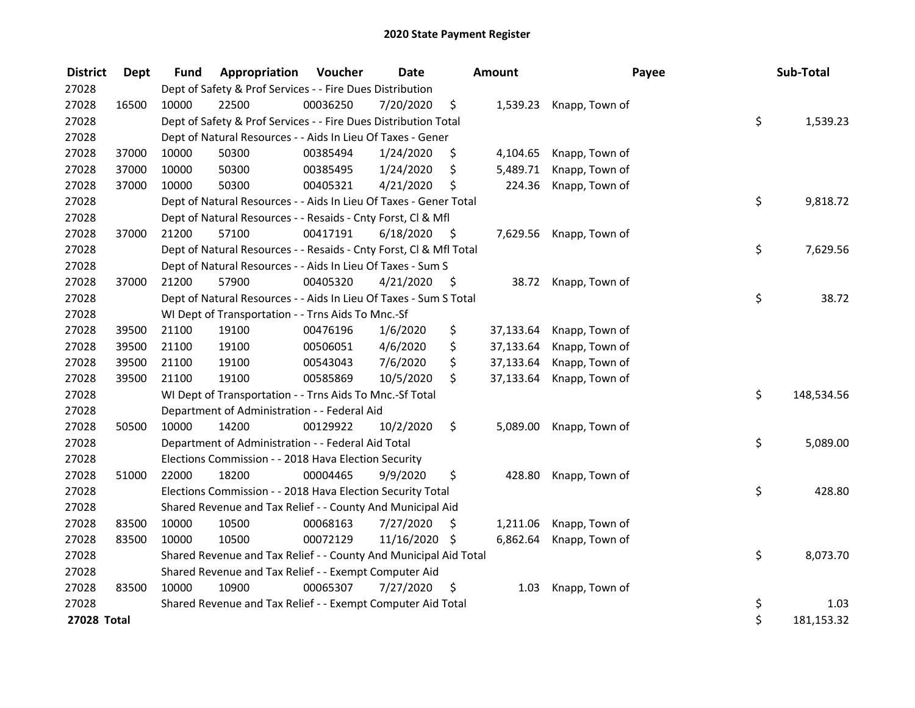| <b>District</b> | Dept  | <b>Fund</b> | Appropriation                                                      | Voucher  | <b>Date</b>   |      | Amount    | Payee                   | Sub-Total        |
|-----------------|-------|-------------|--------------------------------------------------------------------|----------|---------------|------|-----------|-------------------------|------------------|
| 27028           |       |             | Dept of Safety & Prof Services - - Fire Dues Distribution          |          |               |      |           |                         |                  |
| 27028           | 16500 | 10000       | 22500                                                              | 00036250 | 7/20/2020     | \$.  |           | 1,539.23 Knapp, Town of |                  |
| 27028           |       |             | Dept of Safety & Prof Services - - Fire Dues Distribution Total    |          |               |      |           |                         | \$<br>1,539.23   |
| 27028           |       |             | Dept of Natural Resources - - Aids In Lieu Of Taxes - Gener        |          |               |      |           |                         |                  |
| 27028           | 37000 | 10000       | 50300                                                              | 00385494 | 1/24/2020     | \$   | 4,104.65  | Knapp, Town of          |                  |
| 27028           | 37000 | 10000       | 50300                                                              | 00385495 | 1/24/2020     | \$   | 5,489.71  | Knapp, Town of          |                  |
| 27028           | 37000 | 10000       | 50300                                                              | 00405321 | 4/21/2020     | \$   | 224.36    | Knapp, Town of          |                  |
| 27028           |       |             | Dept of Natural Resources - - Aids In Lieu Of Taxes - Gener Total  |          |               |      |           |                         | \$<br>9,818.72   |
| 27028           |       |             | Dept of Natural Resources - - Resaids - Cnty Forst, Cl & Mfl       |          |               |      |           |                         |                  |
| 27028           | 37000 | 21200       | 57100                                                              | 00417191 | 6/18/2020     | - \$ | 7,629.56  | Knapp, Town of          |                  |
| 27028           |       |             | Dept of Natural Resources - - Resaids - Cnty Forst, Cl & Mfl Total |          |               |      |           |                         | \$<br>7,629.56   |
| 27028           |       |             | Dept of Natural Resources - - Aids In Lieu Of Taxes - Sum S        |          |               |      |           |                         |                  |
| 27028           | 37000 | 21200       | 57900                                                              | 00405320 | 4/21/2020     | - \$ |           | 38.72 Knapp, Town of    |                  |
| 27028           |       |             | Dept of Natural Resources - - Aids In Lieu Of Taxes - Sum S Total  |          |               |      |           |                         | \$<br>38.72      |
| 27028           |       |             | WI Dept of Transportation - - Trns Aids To Mnc.-Sf                 |          |               |      |           |                         |                  |
| 27028           | 39500 | 21100       | 19100                                                              | 00476196 | 1/6/2020      | \$   | 37,133.64 | Knapp, Town of          |                  |
| 27028           | 39500 | 21100       | 19100                                                              | 00506051 | 4/6/2020      | \$   | 37,133.64 | Knapp, Town of          |                  |
| 27028           | 39500 | 21100       | 19100                                                              | 00543043 | 7/6/2020      | \$   | 37,133.64 | Knapp, Town of          |                  |
| 27028           | 39500 | 21100       | 19100                                                              | 00585869 | 10/5/2020     | \$   | 37,133.64 | Knapp, Town of          |                  |
| 27028           |       |             | WI Dept of Transportation - - Trns Aids To Mnc.-Sf Total           |          |               |      |           |                         | \$<br>148,534.56 |
| 27028           |       |             | Department of Administration - - Federal Aid                       |          |               |      |           |                         |                  |
| 27028           | 50500 | 10000       | 14200                                                              | 00129922 | 10/2/2020     | \$   | 5,089.00  | Knapp, Town of          |                  |
| 27028           |       |             | Department of Administration - - Federal Aid Total                 |          |               |      |           |                         | \$<br>5,089.00   |
| 27028           |       |             | Elections Commission - - 2018 Hava Election Security               |          |               |      |           |                         |                  |
| 27028           | 51000 | 22000       | 18200                                                              | 00004465 | 9/9/2020      | \$   | 428.80    | Knapp, Town of          |                  |
| 27028           |       |             | Elections Commission - - 2018 Hava Election Security Total         |          |               |      |           |                         | \$<br>428.80     |
| 27028           |       |             | Shared Revenue and Tax Relief - - County And Municipal Aid         |          |               |      |           |                         |                  |
| 27028           | 83500 | 10000       | 10500                                                              | 00068163 | 7/27/2020     | S    | 1,211.06  | Knapp, Town of          |                  |
| 27028           | 83500 | 10000       | 10500                                                              | 00072129 | 11/16/2020 \$ |      | 6,862.64  | Knapp, Town of          |                  |
| 27028           |       |             | Shared Revenue and Tax Relief - - County And Municipal Aid Total   |          |               |      |           |                         | \$<br>8,073.70   |
| 27028           |       |             | Shared Revenue and Tax Relief - - Exempt Computer Aid              |          |               |      |           |                         |                  |
| 27028           | 83500 | 10000       | 10900                                                              | 00065307 | 7/27/2020     | \$   | 1.03      | Knapp, Town of          |                  |
| 27028           |       |             | Shared Revenue and Tax Relief - - Exempt Computer Aid Total        |          |               |      |           |                         | \$<br>1.03       |
| 27028 Total     |       |             |                                                                    |          |               |      |           |                         | \$<br>181,153.32 |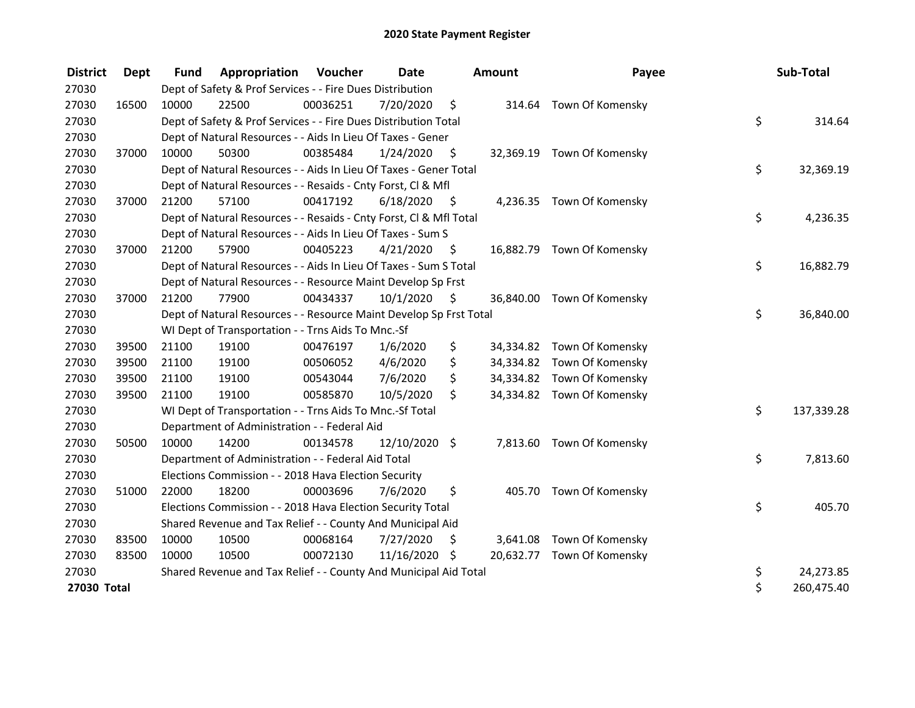| <b>District</b> | <b>Dept</b> | <b>Fund</b> | Appropriation                                                      | Voucher  | Date          |                    | <b>Amount</b> | Payee                      | Sub-Total        |
|-----------------|-------------|-------------|--------------------------------------------------------------------|----------|---------------|--------------------|---------------|----------------------------|------------------|
| 27030           |             |             | Dept of Safety & Prof Services - - Fire Dues Distribution          |          |               |                    |               |                            |                  |
| 27030           | 16500       | 10000       | 22500                                                              | 00036251 | 7/20/2020     | $\ddot{\varsigma}$ |               | 314.64 Town Of Komensky    |                  |
| 27030           |             |             | Dept of Safety & Prof Services - - Fire Dues Distribution Total    |          |               |                    |               |                            | \$<br>314.64     |
| 27030           |             |             | Dept of Natural Resources - - Aids In Lieu Of Taxes - Gener        |          |               |                    |               |                            |                  |
| 27030           | 37000       | 10000       | 50300                                                              | 00385484 | 1/24/2020     | \$                 |               | 32,369.19 Town Of Komensky |                  |
| 27030           |             |             | Dept of Natural Resources - - Aids In Lieu Of Taxes - Gener Total  |          |               |                    |               |                            | \$<br>32,369.19  |
| 27030           |             |             | Dept of Natural Resources - - Resaids - Cnty Forst, CI & Mfl       |          |               |                    |               |                            |                  |
| 27030           | 37000       | 21200       | 57100                                                              | 00417192 | 6/18/2020     | - \$               |               | 4,236.35 Town Of Komensky  |                  |
| 27030           |             |             | Dept of Natural Resources - - Resaids - Cnty Forst, Cl & Mfl Total |          |               |                    |               |                            | \$<br>4,236.35   |
| 27030           |             |             | Dept of Natural Resources - - Aids In Lieu Of Taxes - Sum S        |          |               |                    |               |                            |                  |
| 27030           | 37000       | 21200       | 57900                                                              | 00405223 | 4/21/2020     | -\$                |               | 16,882.79 Town Of Komensky |                  |
| 27030           |             |             | Dept of Natural Resources - - Aids In Lieu Of Taxes - Sum S Total  |          |               |                    |               |                            | \$<br>16,882.79  |
| 27030           |             |             | Dept of Natural Resources - - Resource Maint Develop Sp Frst       |          |               |                    |               |                            |                  |
| 27030           | 37000       | 21200       | 77900                                                              | 00434337 | 10/1/2020     | - \$               |               | 36,840.00 Town Of Komensky |                  |
| 27030           |             |             | Dept of Natural Resources - - Resource Maint Develop Sp Frst Total |          |               |                    |               |                            | \$<br>36,840.00  |
| 27030           |             |             | WI Dept of Transportation - - Trns Aids To Mnc.-Sf                 |          |               |                    |               |                            |                  |
| 27030           | 39500       | 21100       | 19100                                                              | 00476197 | 1/6/2020      | \$                 |               | 34,334.82 Town Of Komensky |                  |
| 27030           | 39500       | 21100       | 19100                                                              | 00506052 | 4/6/2020      | \$                 |               | 34,334.82 Town Of Komensky |                  |
| 27030           | 39500       | 21100       | 19100                                                              | 00543044 | 7/6/2020      | \$                 |               | 34,334.82 Town Of Komensky |                  |
| 27030           | 39500       | 21100       | 19100                                                              | 00585870 | 10/5/2020     | \$                 |               | 34,334.82 Town Of Komensky |                  |
| 27030           |             |             | WI Dept of Transportation - - Trns Aids To Mnc.-Sf Total           |          |               |                    |               |                            | \$<br>137,339.28 |
| 27030           |             |             | Department of Administration - - Federal Aid                       |          |               |                    |               |                            |                  |
| 27030           | 50500       | 10000       | 14200                                                              | 00134578 | 12/10/2020 \$ |                    |               | 7,813.60 Town Of Komensky  |                  |
| 27030           |             |             | Department of Administration - - Federal Aid Total                 |          |               |                    |               |                            | \$<br>7,813.60   |
| 27030           |             |             | Elections Commission - - 2018 Hava Election Security               |          |               |                    |               |                            |                  |
| 27030           | 51000       | 22000       | 18200                                                              | 00003696 | 7/6/2020      | \$                 |               | 405.70 Town Of Komensky    |                  |
| 27030           |             |             | Elections Commission - - 2018 Hava Election Security Total         |          |               |                    |               |                            | \$<br>405.70     |
| 27030           |             |             | Shared Revenue and Tax Relief - - County And Municipal Aid         |          |               |                    |               |                            |                  |
| 27030           | 83500       | 10000       | 10500                                                              | 00068164 | 7/27/2020     | \$                 |               | 3,641.08 Town Of Komensky  |                  |
| 27030           | 83500       | 10000       | 10500                                                              | 00072130 | 11/16/2020 \$ |                    |               | 20,632.77 Town Of Komensky |                  |
| 27030           |             |             | Shared Revenue and Tax Relief - - County And Municipal Aid Total   |          |               |                    |               |                            | \$<br>24,273.85  |
| 27030 Total     |             |             |                                                                    |          |               |                    |               |                            | \$<br>260,475.40 |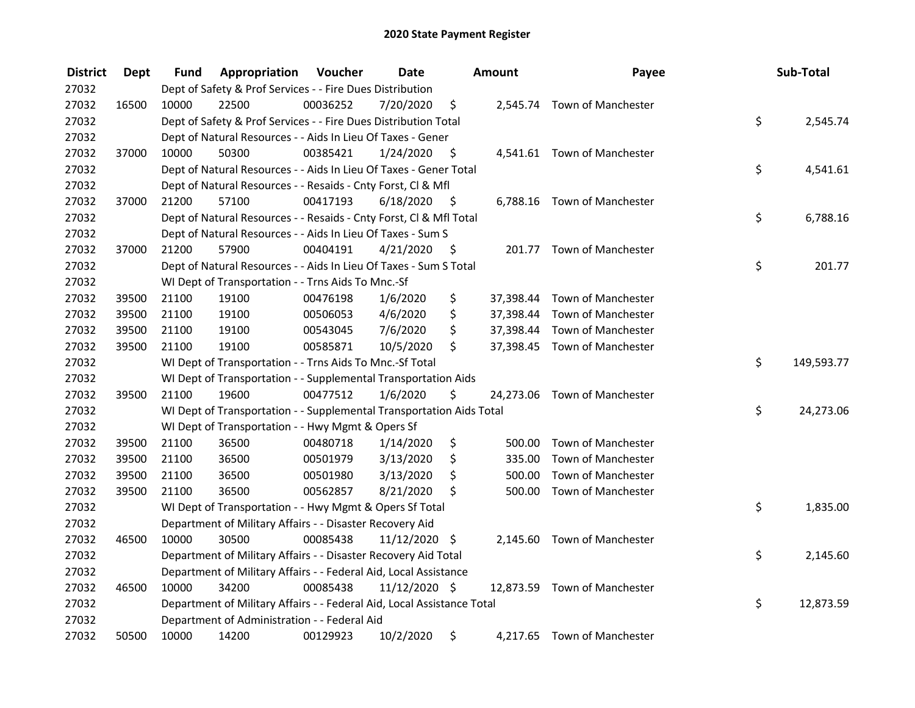| <b>District</b> | <b>Dept</b> | Fund  | Appropriation                                                          | Voucher  | <b>Date</b>   |      | Amount | Payee                        | Sub-Total        |
|-----------------|-------------|-------|------------------------------------------------------------------------|----------|---------------|------|--------|------------------------------|------------------|
| 27032           |             |       | Dept of Safety & Prof Services - - Fire Dues Distribution              |          |               |      |        |                              |                  |
| 27032           | 16500       | 10000 | 22500                                                                  | 00036252 | 7/20/2020     | \$   |        | 2,545.74 Town of Manchester  |                  |
| 27032           |             |       | Dept of Safety & Prof Services - - Fire Dues Distribution Total        |          |               |      |        |                              | \$<br>2,545.74   |
| 27032           |             |       | Dept of Natural Resources - - Aids In Lieu Of Taxes - Gener            |          |               |      |        |                              |                  |
| 27032           | 37000       | 10000 | 50300                                                                  | 00385421 | 1/24/2020     | \$   |        | 4,541.61 Town of Manchester  |                  |
| 27032           |             |       | Dept of Natural Resources - - Aids In Lieu Of Taxes - Gener Total      |          |               |      |        |                              | \$<br>4,541.61   |
| 27032           |             |       | Dept of Natural Resources - - Resaids - Cnty Forst, Cl & Mfl           |          |               |      |        |                              |                  |
| 27032           | 37000       | 21200 | 57100                                                                  | 00417193 | 6/18/2020     | - \$ |        | 6,788.16 Town of Manchester  |                  |
| 27032           |             |       | Dept of Natural Resources - - Resaids - Cnty Forst, Cl & Mfl Total     |          |               |      |        |                              | \$<br>6,788.16   |
| 27032           |             |       | Dept of Natural Resources - - Aids In Lieu Of Taxes - Sum S            |          |               |      |        |                              |                  |
| 27032           | 37000       | 21200 | 57900                                                                  | 00404191 | 4/21/2020     | -S   |        | 201.77 Town of Manchester    |                  |
| 27032           |             |       | Dept of Natural Resources - - Aids In Lieu Of Taxes - Sum S Total      |          |               |      |        |                              | \$<br>201.77     |
| 27032           |             |       | WI Dept of Transportation - - Trns Aids To Mnc.-Sf                     |          |               |      |        |                              |                  |
| 27032           | 39500       | 21100 | 19100                                                                  | 00476198 | 1/6/2020      | \$   |        | 37,398.44 Town of Manchester |                  |
| 27032           | 39500       | 21100 | 19100                                                                  | 00506053 | 4/6/2020      | \$   |        | 37,398.44 Town of Manchester |                  |
| 27032           | 39500       | 21100 | 19100                                                                  | 00543045 | 7/6/2020      | \$   |        | 37,398.44 Town of Manchester |                  |
| 27032           | 39500       | 21100 | 19100                                                                  | 00585871 | 10/5/2020     | \$   |        | 37,398.45 Town of Manchester |                  |
| 27032           |             |       | WI Dept of Transportation - - Trns Aids To Mnc.-Sf Total               |          |               |      |        |                              | \$<br>149,593.77 |
| 27032           |             |       | WI Dept of Transportation - - Supplemental Transportation Aids         |          |               |      |        |                              |                  |
| 27032           | 39500       | 21100 | 19600                                                                  | 00477512 | 1/6/2020      | \$   |        | 24,273.06 Town of Manchester |                  |
| 27032           |             |       | WI Dept of Transportation - - Supplemental Transportation Aids Total   |          |               |      |        |                              | \$<br>24,273.06  |
| 27032           |             |       | WI Dept of Transportation - - Hwy Mgmt & Opers Sf                      |          |               |      |        |                              |                  |
| 27032           | 39500       | 21100 | 36500                                                                  | 00480718 | 1/14/2020     | \$   | 500.00 | <b>Town of Manchester</b>    |                  |
| 27032           | 39500       | 21100 | 36500                                                                  | 00501979 | 3/13/2020     | \$   | 335.00 | Town of Manchester           |                  |
| 27032           | 39500       | 21100 | 36500                                                                  | 00501980 | 3/13/2020     | \$   | 500.00 | Town of Manchester           |                  |
| 27032           | 39500       | 21100 | 36500                                                                  | 00562857 | 8/21/2020     | \$   |        | 500.00 Town of Manchester    |                  |
| 27032           |             |       | WI Dept of Transportation - - Hwy Mgmt & Opers Sf Total                |          |               |      |        |                              | \$<br>1,835.00   |
| 27032           |             |       | Department of Military Affairs - - Disaster Recovery Aid               |          |               |      |        |                              |                  |
| 27032           | 46500       | 10000 | 30500                                                                  | 00085438 | 11/12/2020 \$ |      |        | 2,145.60 Town of Manchester  |                  |
| 27032           |             |       | Department of Military Affairs - - Disaster Recovery Aid Total         |          |               |      |        |                              | \$<br>2,145.60   |
| 27032           |             |       | Department of Military Affairs - - Federal Aid, Local Assistance       |          |               |      |        |                              |                  |
| 27032           | 46500       | 10000 | 34200                                                                  | 00085438 | 11/12/2020 \$ |      |        | 12,873.59 Town of Manchester |                  |
| 27032           |             |       | Department of Military Affairs - - Federal Aid, Local Assistance Total |          |               |      |        |                              | \$<br>12,873.59  |
| 27032           |             |       | Department of Administration - - Federal Aid                           |          |               |      |        |                              |                  |
| 27032           | 50500       | 10000 | 14200                                                                  | 00129923 | 10/2/2020     | \$   |        | 4,217.65 Town of Manchester  |                  |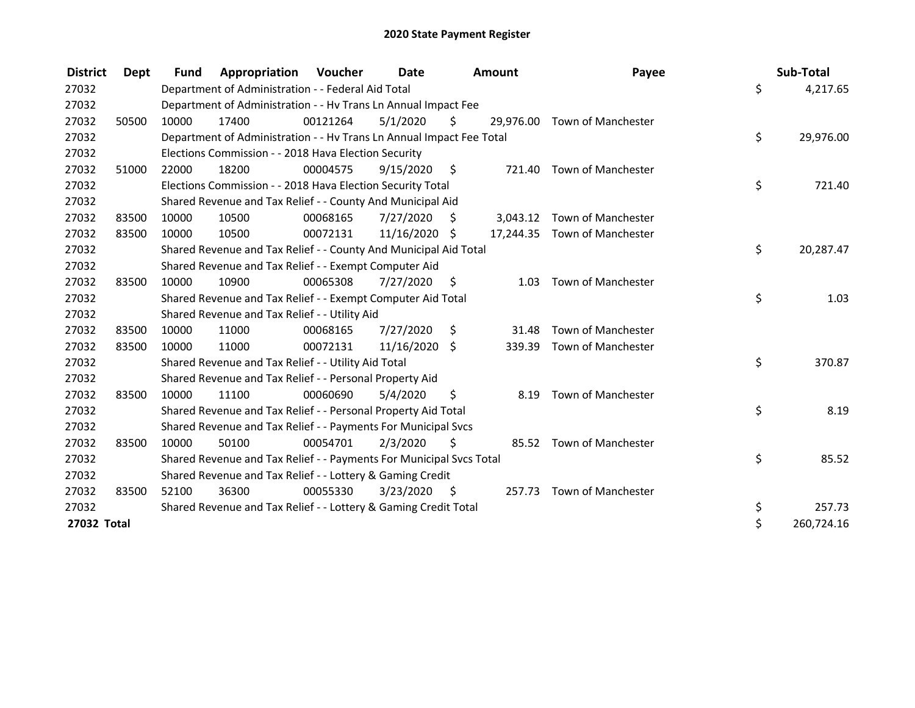| <b>District</b> | Dept  | <b>Fund</b> | Appropriation                                                        | <b>Voucher</b> | <b>Date</b> |      | Amount   | Payee                        | Sub-Total        |
|-----------------|-------|-------------|----------------------------------------------------------------------|----------------|-------------|------|----------|------------------------------|------------------|
| 27032           |       |             | Department of Administration - - Federal Aid Total                   |                |             |      |          |                              | \$<br>4,217.65   |
| 27032           |       |             | Department of Administration - - Hv Trans Ln Annual Impact Fee       |                |             |      |          |                              |                  |
| 27032           | 50500 | 10000       | 17400                                                                | 00121264       | 5/1/2020    | Ś.   |          | 29,976.00 Town of Manchester |                  |
| 27032           |       |             | Department of Administration - - Hv Trans Ln Annual Impact Fee Total |                |             |      |          |                              | \$<br>29,976.00  |
| 27032           |       |             | Elections Commission - - 2018 Hava Election Security                 |                |             |      |          |                              |                  |
| 27032           | 51000 | 22000       | 18200                                                                | 00004575       | 9/15/2020   | - \$ | 721.40   | Town of Manchester           |                  |
| 27032           |       |             | Elections Commission - - 2018 Hava Election Security Total           |                |             |      |          |                              | \$<br>721.40     |
| 27032           |       |             | Shared Revenue and Tax Relief - - County And Municipal Aid           |                |             |      |          |                              |                  |
| 27032           | 83500 | 10000       | 10500                                                                | 00068165       | 7/27/2020   | S    | 3,043.12 | Town of Manchester           |                  |
| 27032           | 83500 | 10000       | 10500                                                                | 00072131       | 11/16/2020  | S    |          | 17,244.35 Town of Manchester |                  |
| 27032           |       |             | Shared Revenue and Tax Relief - - County And Municipal Aid Total     |                |             |      |          |                              | \$<br>20,287.47  |
| 27032           |       |             | Shared Revenue and Tax Relief - - Exempt Computer Aid                |                |             |      |          |                              |                  |
| 27032           | 83500 | 10000       | 10900                                                                | 00065308       | 7/27/2020   | - \$ | 1.03     | Town of Manchester           |                  |
| 27032           |       |             | Shared Revenue and Tax Relief - - Exempt Computer Aid Total          |                |             |      |          |                              | \$<br>1.03       |
| 27032           |       |             | Shared Revenue and Tax Relief - - Utility Aid                        |                |             |      |          |                              |                  |
| 27032           | 83500 | 10000       | 11000                                                                | 00068165       | 7/27/2020   | \$   | 31.48    | Town of Manchester           |                  |
| 27032           | 83500 | 10000       | 11000                                                                | 00072131       | 11/16/2020  | Ŝ.   | 339.39   | Town of Manchester           |                  |
| 27032           |       |             | Shared Revenue and Tax Relief - - Utility Aid Total                  |                |             |      |          |                              | \$<br>370.87     |
| 27032           |       |             | Shared Revenue and Tax Relief - - Personal Property Aid              |                |             |      |          |                              |                  |
| 27032           | 83500 | 10000       | 11100                                                                | 00060690       | 5/4/2020    | \$   | 8.19     | Town of Manchester           |                  |
| 27032           |       |             | Shared Revenue and Tax Relief - - Personal Property Aid Total        |                |             |      |          |                              | \$<br>8.19       |
| 27032           |       |             | Shared Revenue and Tax Relief - - Payments For Municipal Svcs        |                |             |      |          |                              |                  |
| 27032           | 83500 | 10000       | 50100                                                                | 00054701       | 2/3/2020    | Ŝ.   | 85.52    | Town of Manchester           |                  |
| 27032           |       |             | Shared Revenue and Tax Relief - - Payments For Municipal Svcs Total  |                |             |      |          |                              | \$<br>85.52      |
| 27032           |       |             | Shared Revenue and Tax Relief - - Lottery & Gaming Credit            |                |             |      |          |                              |                  |
| 27032           | 83500 | 52100       | 36300                                                                | 00055330       | 3/23/2020   | - \$ | 257.73   | <b>Town of Manchester</b>    |                  |
| 27032           |       |             | Shared Revenue and Tax Relief - - Lottery & Gaming Credit Total      |                |             |      |          |                              | \$<br>257.73     |
| 27032 Total     |       |             |                                                                      |                |             |      |          |                              | \$<br>260,724.16 |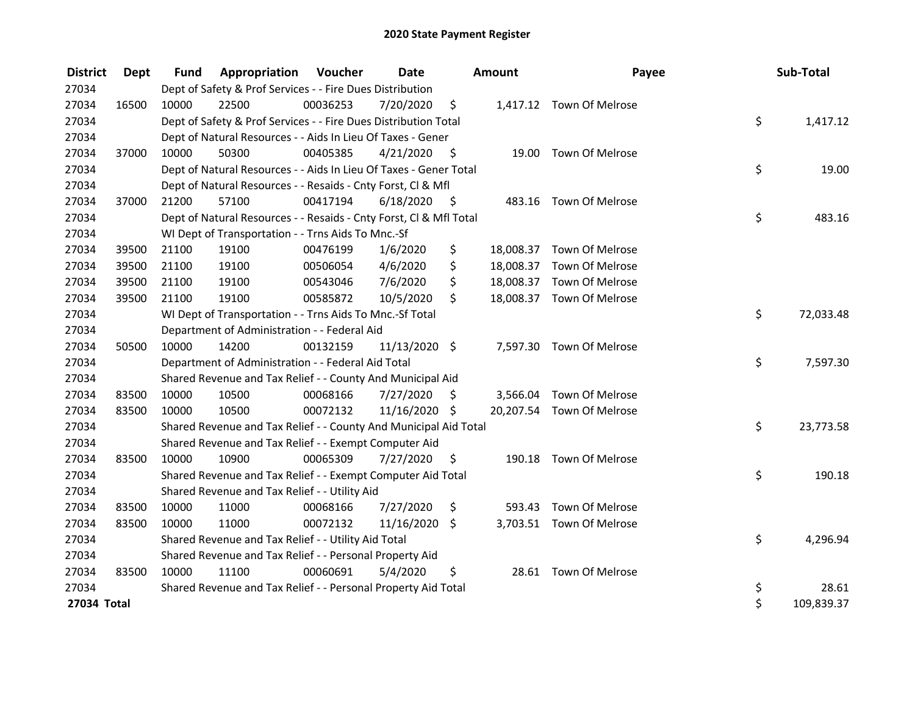| <b>District</b> | Dept  | <b>Fund</b> | Appropriation                                                      | Voucher  | <b>Date</b>   |      | <b>Amount</b> | Payee                     | Sub-Total        |
|-----------------|-------|-------------|--------------------------------------------------------------------|----------|---------------|------|---------------|---------------------------|------------------|
| 27034           |       |             | Dept of Safety & Prof Services - - Fire Dues Distribution          |          |               |      |               |                           |                  |
| 27034           | 16500 | 10000       | 22500                                                              | 00036253 | 7/20/2020     | \$   |               | 1,417.12 Town Of Melrose  |                  |
| 27034           |       |             | Dept of Safety & Prof Services - - Fire Dues Distribution Total    |          |               |      |               |                           | \$<br>1,417.12   |
| 27034           |       |             | Dept of Natural Resources - - Aids In Lieu Of Taxes - Gener        |          |               |      |               |                           |                  |
| 27034           | 37000 | 10000       | 50300                                                              | 00405385 | 4/21/2020     | - \$ | 19.00         | Town Of Melrose           |                  |
| 27034           |       |             | Dept of Natural Resources - - Aids In Lieu Of Taxes - Gener Total  |          |               |      |               |                           | \$<br>19.00      |
| 27034           |       |             | Dept of Natural Resources - - Resaids - Cnty Forst, Cl & Mfl       |          |               |      |               |                           |                  |
| 27034           | 37000 | 21200       | 57100                                                              | 00417194 | 6/18/2020     | - \$ |               | 483.16 Town Of Melrose    |                  |
| 27034           |       |             | Dept of Natural Resources - - Resaids - Cnty Forst, Cl & Mfl Total |          |               |      |               |                           | \$<br>483.16     |
| 27034           |       |             | WI Dept of Transportation - - Trns Aids To Mnc.-Sf                 |          |               |      |               |                           |                  |
| 27034           | 39500 | 21100       | 19100                                                              | 00476199 | 1/6/2020      | \$   |               | 18,008.37 Town Of Melrose |                  |
| 27034           | 39500 | 21100       | 19100                                                              | 00506054 | 4/6/2020      | \$   |               | 18,008.37 Town Of Melrose |                  |
| 27034           | 39500 | 21100       | 19100                                                              | 00543046 | 7/6/2020      | \$   |               | 18,008.37 Town Of Melrose |                  |
| 27034           | 39500 | 21100       | 19100                                                              | 00585872 | 10/5/2020     | \$   |               | 18,008.37 Town Of Melrose |                  |
| 27034           |       |             | WI Dept of Transportation - - Trns Aids To Mnc.-Sf Total           |          |               |      |               |                           | \$<br>72,033.48  |
| 27034           |       |             | Department of Administration - - Federal Aid                       |          |               |      |               |                           |                  |
| 27034           | 50500 | 10000       | 14200                                                              | 00132159 | 11/13/2020 \$ |      | 7,597.30      | Town Of Melrose           |                  |
| 27034           |       |             | Department of Administration - - Federal Aid Total                 |          |               |      |               |                           | \$<br>7,597.30   |
| 27034           |       |             | Shared Revenue and Tax Relief - - County And Municipal Aid         |          |               |      |               |                           |                  |
| 27034           | 83500 | 10000       | 10500                                                              | 00068166 | 7/27/2020     | S    |               | 3,566.04 Town Of Melrose  |                  |
| 27034           | 83500 | 10000       | 10500                                                              | 00072132 | 11/16/2020 \$ |      |               | 20,207.54 Town Of Melrose |                  |
| 27034           |       |             | Shared Revenue and Tax Relief - - County And Municipal Aid Total   |          |               |      |               |                           | \$<br>23,773.58  |
| 27034           |       |             | Shared Revenue and Tax Relief - - Exempt Computer Aid              |          |               |      |               |                           |                  |
| 27034           | 83500 | 10000       | 10900                                                              | 00065309 | 7/27/2020     | \$   |               | 190.18 Town Of Melrose    |                  |
| 27034           |       |             | Shared Revenue and Tax Relief - - Exempt Computer Aid Total        |          |               |      |               |                           | \$<br>190.18     |
| 27034           |       |             | Shared Revenue and Tax Relief - - Utility Aid                      |          |               |      |               |                           |                  |
| 27034           | 83500 | 10000       | 11000                                                              | 00068166 | 7/27/2020     | \$   | 593.43        | Town Of Melrose           |                  |
| 27034           | 83500 | 10000       | 11000                                                              | 00072132 | 11/16/2020 \$ |      |               | 3,703.51 Town Of Melrose  |                  |
| 27034           |       |             | Shared Revenue and Tax Relief - - Utility Aid Total                |          |               |      |               |                           | \$<br>4,296.94   |
| 27034           |       |             | Shared Revenue and Tax Relief - - Personal Property Aid            |          |               |      |               |                           |                  |
| 27034           | 83500 | 10000       | 11100                                                              | 00060691 | 5/4/2020      | \$   |               | 28.61 Town Of Melrose     |                  |
| 27034           |       |             | Shared Revenue and Tax Relief - - Personal Property Aid Total      |          |               |      |               |                           | \$<br>28.61      |
| 27034 Total     |       |             |                                                                    |          |               |      |               |                           | \$<br>109,839.37 |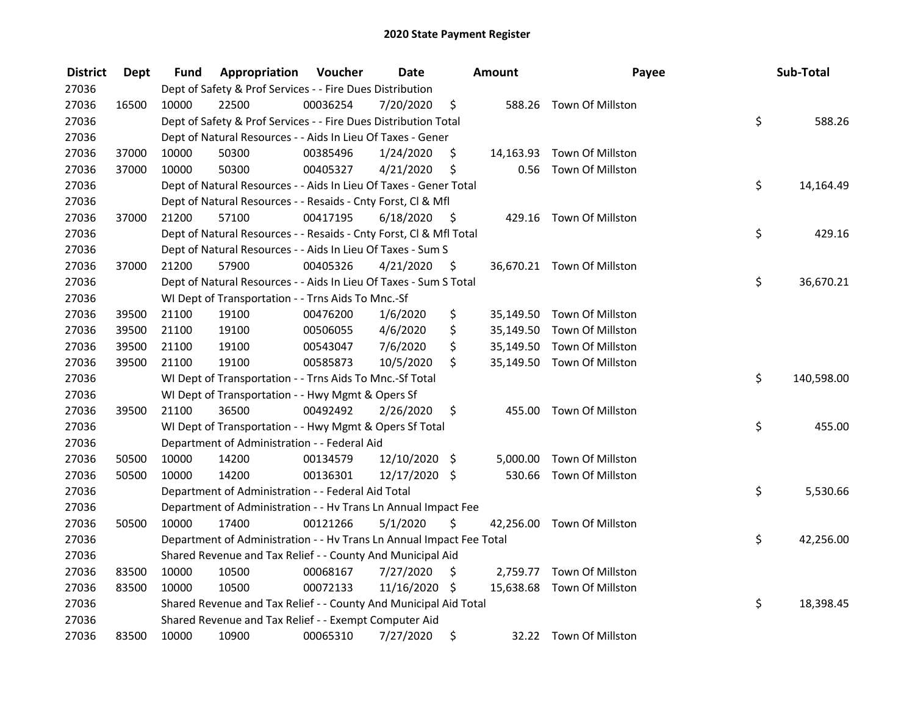| <b>District</b> | <b>Dept</b> | Fund  | Appropriation                                                        | Voucher  | <b>Date</b>   |      | <b>Amount</b> | Payee                      | Sub-Total        |
|-----------------|-------------|-------|----------------------------------------------------------------------|----------|---------------|------|---------------|----------------------------|------------------|
| 27036           |             |       | Dept of Safety & Prof Services - - Fire Dues Distribution            |          |               |      |               |                            |                  |
| 27036           | 16500       | 10000 | 22500                                                                | 00036254 | 7/20/2020     | \$   |               | 588.26 Town Of Millston    |                  |
| 27036           |             |       | Dept of Safety & Prof Services - - Fire Dues Distribution Total      |          |               |      |               |                            | \$<br>588.26     |
| 27036           |             |       | Dept of Natural Resources - - Aids In Lieu Of Taxes - Gener          |          |               |      |               |                            |                  |
| 27036           | 37000       | 10000 | 50300                                                                | 00385496 | 1/24/2020     | \$   |               | 14,163.93 Town Of Millston |                  |
| 27036           | 37000       | 10000 | 50300                                                                | 00405327 | 4/21/2020     | \$   | 0.56          | Town Of Millston           |                  |
| 27036           |             |       | Dept of Natural Resources - - Aids In Lieu Of Taxes - Gener Total    |          |               |      |               |                            | \$<br>14,164.49  |
| 27036           |             |       | Dept of Natural Resources - - Resaids - Cnty Forst, Cl & Mfl         |          |               |      |               |                            |                  |
| 27036           | 37000       | 21200 | 57100                                                                | 00417195 | 6/18/2020     | - \$ |               | 429.16 Town Of Millston    |                  |
| 27036           |             |       | Dept of Natural Resources - - Resaids - Cnty Forst, CI & Mfl Total   |          |               |      |               |                            | \$<br>429.16     |
| 27036           |             |       | Dept of Natural Resources - - Aids In Lieu Of Taxes - Sum S          |          |               |      |               |                            |                  |
| 27036           | 37000       | 21200 | 57900                                                                | 00405326 | 4/21/2020     | \$.  |               | 36,670.21 Town Of Millston |                  |
| 27036           |             |       | Dept of Natural Resources - - Aids In Lieu Of Taxes - Sum S Total    |          |               |      |               |                            | \$<br>36,670.21  |
| 27036           |             |       | WI Dept of Transportation - - Trns Aids To Mnc.-Sf                   |          |               |      |               |                            |                  |
| 27036           | 39500       | 21100 | 19100                                                                | 00476200 | 1/6/2020      | \$   | 35,149.50     | Town Of Millston           |                  |
| 27036           | 39500       | 21100 | 19100                                                                | 00506055 | 4/6/2020      | \$   |               | 35,149.50 Town Of Millston |                  |
| 27036           | 39500       | 21100 | 19100                                                                | 00543047 | 7/6/2020      | \$   |               | 35,149.50 Town Of Millston |                  |
| 27036           | 39500       | 21100 | 19100                                                                | 00585873 | 10/5/2020     | \$   |               | 35,149.50 Town Of Millston |                  |
| 27036           |             |       | WI Dept of Transportation - - Trns Aids To Mnc.-Sf Total             |          |               |      |               |                            | \$<br>140,598.00 |
| 27036           |             |       | WI Dept of Transportation - - Hwy Mgmt & Opers Sf                    |          |               |      |               |                            |                  |
| 27036           | 39500       | 21100 | 36500                                                                | 00492492 | 2/26/2020     | \$   |               | 455.00 Town Of Millston    |                  |
| 27036           |             |       | WI Dept of Transportation - - Hwy Mgmt & Opers Sf Total              |          |               |      |               |                            | \$<br>455.00     |
| 27036           |             |       | Department of Administration - - Federal Aid                         |          |               |      |               |                            |                  |
| 27036           | 50500       | 10000 | 14200                                                                | 00134579 | 12/10/2020 \$ |      | 5,000.00      | Town Of Millston           |                  |
| 27036           | 50500       | 10000 | 14200                                                                | 00136301 | 12/17/2020 \$ |      |               | 530.66 Town Of Millston    |                  |
| 27036           |             |       | Department of Administration - - Federal Aid Total                   |          |               |      |               |                            | \$<br>5,530.66   |
| 27036           |             |       | Department of Administration - - Hv Trans Ln Annual Impact Fee       |          |               |      |               |                            |                  |
| 27036           | 50500       | 10000 | 17400                                                                | 00121266 | 5/1/2020      | \$.  |               | 42,256.00 Town Of Millston |                  |
| 27036           |             |       | Department of Administration - - Hv Trans Ln Annual Impact Fee Total |          |               |      |               |                            | \$<br>42,256.00  |
| 27036           |             |       | Shared Revenue and Tax Relief - - County And Municipal Aid           |          |               |      |               |                            |                  |
| 27036           | 83500       | 10000 | 10500                                                                | 00068167 | 7/27/2020     | \$   |               | 2,759.77 Town Of Millston  |                  |
| 27036           | 83500       | 10000 | 10500                                                                | 00072133 | 11/16/2020 \$ |      |               | 15,638.68 Town Of Millston |                  |
| 27036           |             |       | Shared Revenue and Tax Relief - - County And Municipal Aid Total     |          |               |      |               |                            | \$<br>18,398.45  |
| 27036           |             |       | Shared Revenue and Tax Relief - - Exempt Computer Aid                |          |               |      |               |                            |                  |
| 27036           | 83500       | 10000 | 10900                                                                | 00065310 | 7/27/2020     | \$   |               | 32.22 Town Of Millston     |                  |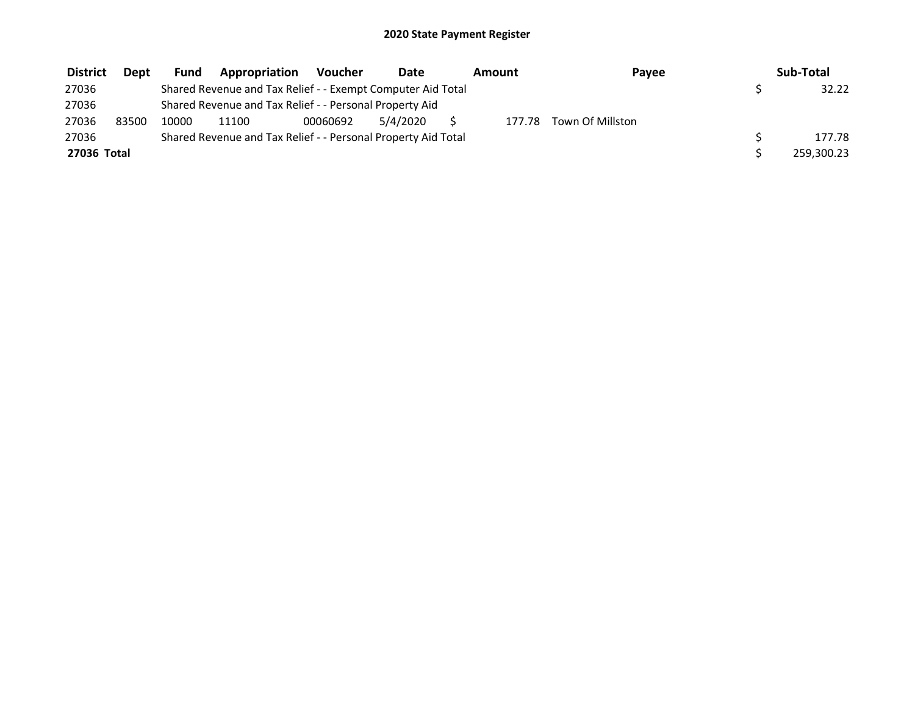| <b>District</b> | <b>Dept</b> | <b>Fund</b> | Appropriation                                                 | Voucher  | Date     | Amount | Payee            | Sub-Total  |
|-----------------|-------------|-------------|---------------------------------------------------------------|----------|----------|--------|------------------|------------|
| 27036           |             |             | Shared Revenue and Tax Relief - - Exempt Computer Aid Total   |          |          |        |                  | 32.22      |
| 27036           |             |             | Shared Revenue and Tax Relief - - Personal Property Aid       |          |          |        |                  |            |
| 27036           | 83500       | 10000       | 11100                                                         | 00060692 | 5/4/2020 | 177.78 | Town Of Millston |            |
| 27036           |             |             | Shared Revenue and Tax Relief - - Personal Property Aid Total |          |          |        |                  | 177.78     |
| 27036 Total     |             |             |                                                               |          |          |        |                  | 259,300.23 |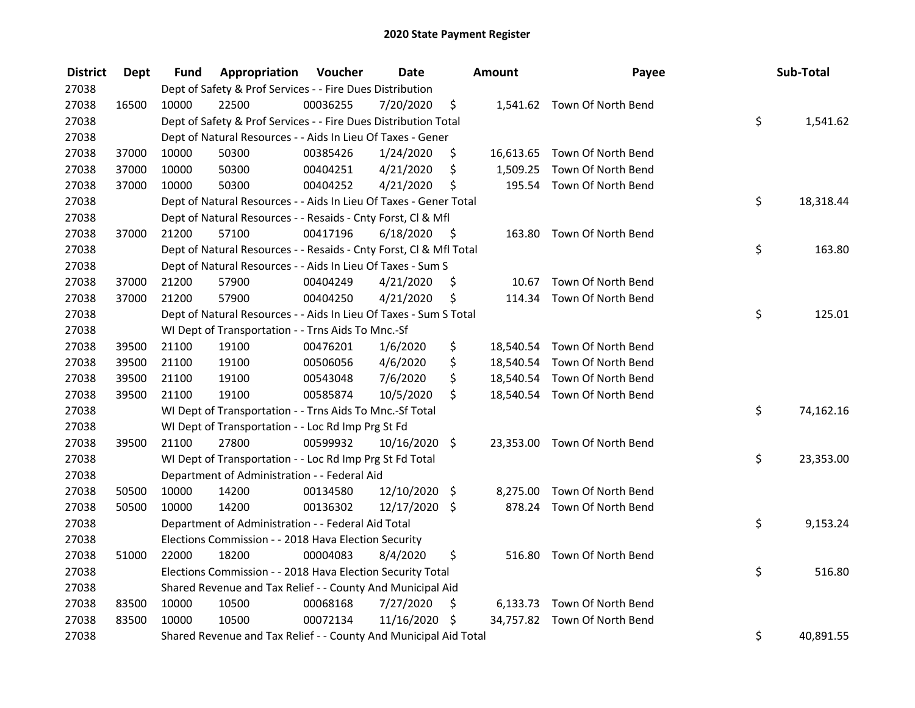| <b>District</b> | <b>Dept</b> | Fund  | Appropriation                                                      | Voucher  | <b>Date</b>     |      | Amount   | Payee                        | Sub-Total       |
|-----------------|-------------|-------|--------------------------------------------------------------------|----------|-----------------|------|----------|------------------------------|-----------------|
| 27038           |             |       | Dept of Safety & Prof Services - - Fire Dues Distribution          |          |                 |      |          |                              |                 |
| 27038           | 16500       | 10000 | 22500                                                              | 00036255 | 7/20/2020       | \$   |          | 1,541.62 Town Of North Bend  |                 |
| 27038           |             |       | Dept of Safety & Prof Services - - Fire Dues Distribution Total    |          |                 |      |          |                              | \$<br>1,541.62  |
| 27038           |             |       | Dept of Natural Resources - - Aids In Lieu Of Taxes - Gener        |          |                 |      |          |                              |                 |
| 27038           | 37000       | 10000 | 50300                                                              | 00385426 | 1/24/2020       | \$   |          | 16,613.65 Town Of North Bend |                 |
| 27038           | 37000       | 10000 | 50300                                                              | 00404251 | 4/21/2020       | \$   | 1,509.25 | Town Of North Bend           |                 |
| 27038           | 37000       | 10000 | 50300                                                              | 00404252 | 4/21/2020       | \$   |          | 195.54 Town Of North Bend    |                 |
| 27038           |             |       | Dept of Natural Resources - - Aids In Lieu Of Taxes - Gener Total  |          |                 |      |          |                              | \$<br>18,318.44 |
| 27038           |             |       | Dept of Natural Resources - - Resaids - Cnty Forst, Cl & Mfl       |          |                 |      |          |                              |                 |
| 27038           | 37000       | 21200 | 57100                                                              | 00417196 | 6/18/2020       | - \$ |          | 163.80 Town Of North Bend    |                 |
| 27038           |             |       | Dept of Natural Resources - - Resaids - Cnty Forst, Cl & Mfl Total |          |                 |      |          |                              | \$<br>163.80    |
| 27038           |             |       | Dept of Natural Resources - - Aids In Lieu Of Taxes - Sum S        |          |                 |      |          |                              |                 |
| 27038           | 37000       | 21200 | 57900                                                              | 00404249 | 4/21/2020       | \$   |          | 10.67 Town Of North Bend     |                 |
| 27038           | 37000       | 21200 | 57900                                                              | 00404250 | 4/21/2020       | \$   |          | 114.34 Town Of North Bend    |                 |
| 27038           |             |       | Dept of Natural Resources - - Aids In Lieu Of Taxes - Sum S Total  |          |                 |      |          |                              | \$<br>125.01    |
| 27038           |             |       | WI Dept of Transportation - - Trns Aids To Mnc.-Sf                 |          |                 |      |          |                              |                 |
| 27038           | 39500       | 21100 | 19100                                                              | 00476201 | 1/6/2020        | \$   |          | 18,540.54 Town Of North Bend |                 |
| 27038           | 39500       | 21100 | 19100                                                              | 00506056 | 4/6/2020        | \$   |          | 18,540.54 Town Of North Bend |                 |
| 27038           | 39500       | 21100 | 19100                                                              | 00543048 | 7/6/2020        | \$   |          | 18,540.54 Town Of North Bend |                 |
| 27038           | 39500       | 21100 | 19100                                                              | 00585874 | 10/5/2020       | \$   |          | 18,540.54 Town Of North Bend |                 |
| 27038           |             |       | WI Dept of Transportation - - Trns Aids To Mnc.-Sf Total           |          |                 |      |          |                              | \$<br>74,162.16 |
| 27038           |             |       | WI Dept of Transportation - - Loc Rd Imp Prg St Fd                 |          |                 |      |          |                              |                 |
| 27038           | 39500       | 21100 | 27800                                                              | 00599932 | 10/16/2020 \$   |      |          | 23,353.00 Town Of North Bend |                 |
| 27038           |             |       | WI Dept of Transportation - - Loc Rd Imp Prg St Fd Total           |          |                 |      |          |                              | \$<br>23,353.00 |
| 27038           |             |       | Department of Administration - - Federal Aid                       |          |                 |      |          |                              |                 |
| 27038           | 50500       | 10000 | 14200                                                              | 00134580 | 12/10/2020      | \$   | 8,275.00 | Town Of North Bend           |                 |
| 27038           | 50500       | 10000 | 14200                                                              | 00136302 | 12/17/2020 \$   |      |          | 878.24 Town Of North Bend    |                 |
| 27038           |             |       | Department of Administration - - Federal Aid Total                 |          |                 |      |          |                              | \$<br>9,153.24  |
| 27038           |             |       | Elections Commission - - 2018 Hava Election Security               |          |                 |      |          |                              |                 |
| 27038           | 51000       | 22000 | 18200                                                              | 00004083 | 8/4/2020        | \$   | 516.80   | Town Of North Bend           |                 |
| 27038           |             |       | Elections Commission - - 2018 Hava Election Security Total         |          |                 |      |          |                              | \$<br>516.80    |
| 27038           |             |       | Shared Revenue and Tax Relief - - County And Municipal Aid         |          |                 |      |          |                              |                 |
| 27038           | 83500       | 10000 | 10500                                                              | 00068168 | 7/27/2020       | \$   |          | 6,133.73 Town Of North Bend  |                 |
| 27038           | 83500       | 10000 | 10500                                                              | 00072134 | $11/16/2020$ \$ |      |          | 34,757.82 Town Of North Bend |                 |
| 27038           |             |       | Shared Revenue and Tax Relief - - County And Municipal Aid Total   |          |                 |      |          |                              | \$<br>40,891.55 |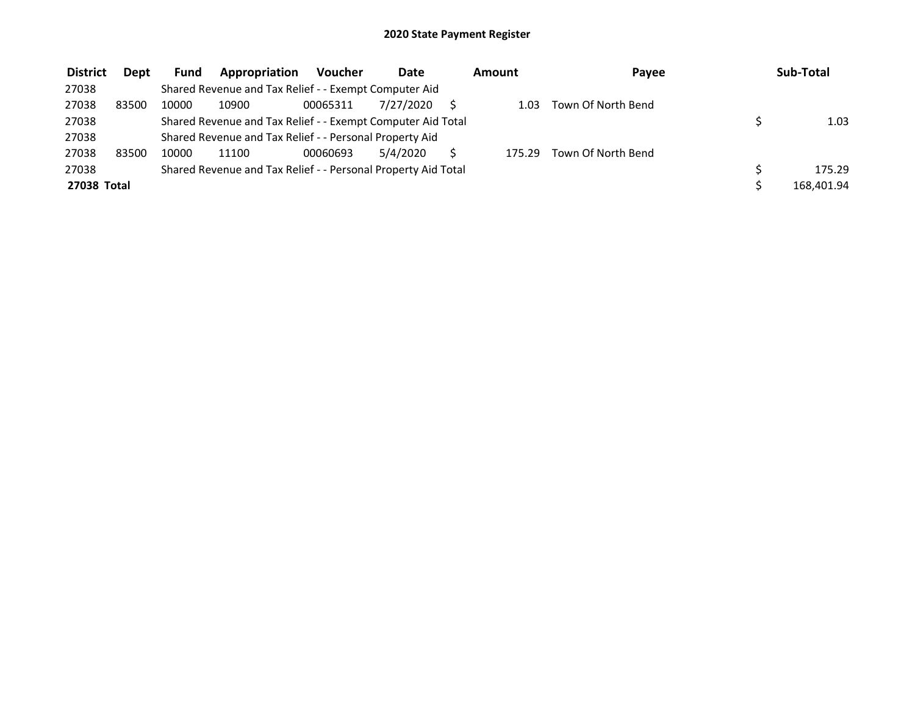| <b>District</b> | <b>Dept</b> | Fund  | Appropriation                                                 | Voucher  | <b>Date</b> | Amount | Payee              | Sub-Total  |
|-----------------|-------------|-------|---------------------------------------------------------------|----------|-------------|--------|--------------------|------------|
| 27038           |             |       | Shared Revenue and Tax Relief - - Exempt Computer Aid         |          |             |        |                    |            |
| 27038           | 83500       | 10000 | 10900                                                         | 00065311 | 7/27/2020   | 1.03   | Town Of North Bend |            |
| 27038           |             |       | Shared Revenue and Tax Relief - - Exempt Computer Aid Total   |          |             |        |                    | 1.03       |
| 27038           |             |       | Shared Revenue and Tax Relief - - Personal Property Aid       |          |             |        |                    |            |
| 27038           | 83500       | 10000 | 11100                                                         | 00060693 | 5/4/2020    | 175.29 | Town Of North Bend |            |
| 27038           |             |       | Shared Revenue and Tax Relief - - Personal Property Aid Total |          |             |        |                    | 175.29     |
| 27038 Total     |             |       |                                                               |          |             |        |                    | 168,401.94 |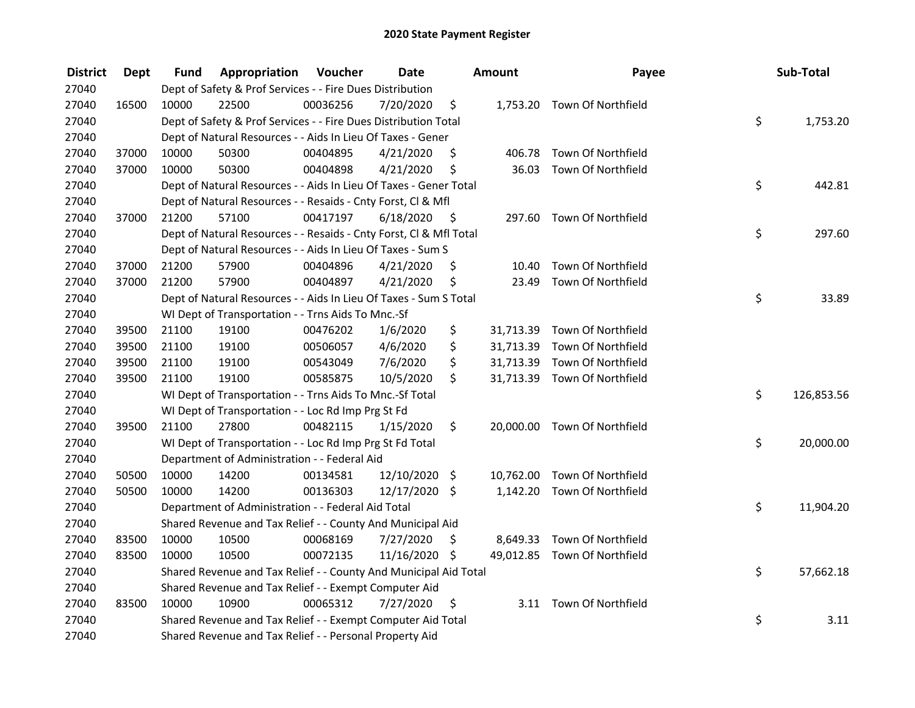| <b>District</b> | Dept  | Fund  | Appropriation                                                      | Voucher  | <b>Date</b>   |      | <b>Amount</b> | Payee                        | Sub-Total        |
|-----------------|-------|-------|--------------------------------------------------------------------|----------|---------------|------|---------------|------------------------------|------------------|
| 27040           |       |       | Dept of Safety & Prof Services - - Fire Dues Distribution          |          |               |      |               |                              |                  |
| 27040           | 16500 | 10000 | 22500                                                              | 00036256 | 7/20/2020     | \$   |               | 1,753.20 Town Of Northfield  |                  |
| 27040           |       |       | Dept of Safety & Prof Services - - Fire Dues Distribution Total    |          |               |      |               |                              | \$<br>1,753.20   |
| 27040           |       |       | Dept of Natural Resources - - Aids In Lieu Of Taxes - Gener        |          |               |      |               |                              |                  |
| 27040           | 37000 | 10000 | 50300                                                              | 00404895 | 4/21/2020     | \$   |               | 406.78 Town Of Northfield    |                  |
| 27040           | 37000 | 10000 | 50300                                                              | 00404898 | 4/21/2020     | \$   | 36.03         | Town Of Northfield           |                  |
| 27040           |       |       | Dept of Natural Resources - - Aids In Lieu Of Taxes - Gener Total  |          |               |      |               |                              | \$<br>442.81     |
| 27040           |       |       | Dept of Natural Resources - - Resaids - Cnty Forst, Cl & Mfl       |          |               |      |               |                              |                  |
| 27040           | 37000 | 21200 | 57100                                                              | 00417197 | 6/18/2020     | - \$ |               | 297.60 Town Of Northfield    |                  |
| 27040           |       |       | Dept of Natural Resources - - Resaids - Cnty Forst, CI & Mfl Total |          |               |      |               |                              | \$<br>297.60     |
| 27040           |       |       | Dept of Natural Resources - - Aids In Lieu Of Taxes - Sum S        |          |               |      |               |                              |                  |
| 27040           | 37000 | 21200 | 57900                                                              | 00404896 | 4/21/2020     | \$   | 10.40         | Town Of Northfield           |                  |
| 27040           | 37000 | 21200 | 57900                                                              | 00404897 | 4/21/2020     | \$   | 23.49         | Town Of Northfield           |                  |
| 27040           |       |       | Dept of Natural Resources - - Aids In Lieu Of Taxes - Sum S Total  |          |               |      |               |                              | \$<br>33.89      |
| 27040           |       |       | WI Dept of Transportation - - Trns Aids To Mnc.-Sf                 |          |               |      |               |                              |                  |
| 27040           | 39500 | 21100 | 19100                                                              | 00476202 | 1/6/2020      | \$   | 31,713.39     | Town Of Northfield           |                  |
| 27040           | 39500 | 21100 | 19100                                                              | 00506057 | 4/6/2020      | \$   |               | 31,713.39 Town Of Northfield |                  |
| 27040           | 39500 | 21100 | 19100                                                              | 00543049 | 7/6/2020      | \$   |               | 31,713.39 Town Of Northfield |                  |
| 27040           | 39500 | 21100 | 19100                                                              | 00585875 | 10/5/2020     | \$   |               | 31,713.39 Town Of Northfield |                  |
| 27040           |       |       | WI Dept of Transportation - - Trns Aids To Mnc.-Sf Total           |          |               |      |               |                              | \$<br>126,853.56 |
| 27040           |       |       | WI Dept of Transportation - - Loc Rd Imp Prg St Fd                 |          |               |      |               |                              |                  |
| 27040           | 39500 | 21100 | 27800                                                              | 00482115 | 1/15/2020     | \$   |               | 20,000.00 Town Of Northfield |                  |
| 27040           |       |       | WI Dept of Transportation - - Loc Rd Imp Prg St Fd Total           |          |               |      |               |                              | \$<br>20,000.00  |
| 27040           |       |       | Department of Administration - - Federal Aid                       |          |               |      |               |                              |                  |
| 27040           | 50500 | 10000 | 14200                                                              | 00134581 | 12/10/2020    | \$   |               | 10,762.00 Town Of Northfield |                  |
| 27040           | 50500 | 10000 | 14200                                                              | 00136303 | 12/17/2020 \$ |      |               | 1,142.20 Town Of Northfield  |                  |
| 27040           |       |       | Department of Administration - - Federal Aid Total                 |          |               |      |               |                              | \$<br>11,904.20  |
| 27040           |       |       | Shared Revenue and Tax Relief - - County And Municipal Aid         |          |               |      |               |                              |                  |
| 27040           | 83500 | 10000 | 10500                                                              | 00068169 | 7/27/2020     | \$   |               | 8,649.33 Town Of Northfield  |                  |
| 27040           | 83500 | 10000 | 10500                                                              | 00072135 | 11/16/2020 \$ |      |               | 49,012.85 Town Of Northfield |                  |
| 27040           |       |       | Shared Revenue and Tax Relief - - County And Municipal Aid Total   |          |               |      |               |                              | \$<br>57,662.18  |
| 27040           |       |       | Shared Revenue and Tax Relief - - Exempt Computer Aid              |          |               |      |               |                              |                  |
| 27040           | 83500 | 10000 | 10900                                                              | 00065312 | 7/27/2020     | \$   |               | 3.11 Town Of Northfield      |                  |
| 27040           |       |       | Shared Revenue and Tax Relief - - Exempt Computer Aid Total        |          |               |      |               |                              | \$<br>3.11       |
| 27040           |       |       | Shared Revenue and Tax Relief - - Personal Property Aid            |          |               |      |               |                              |                  |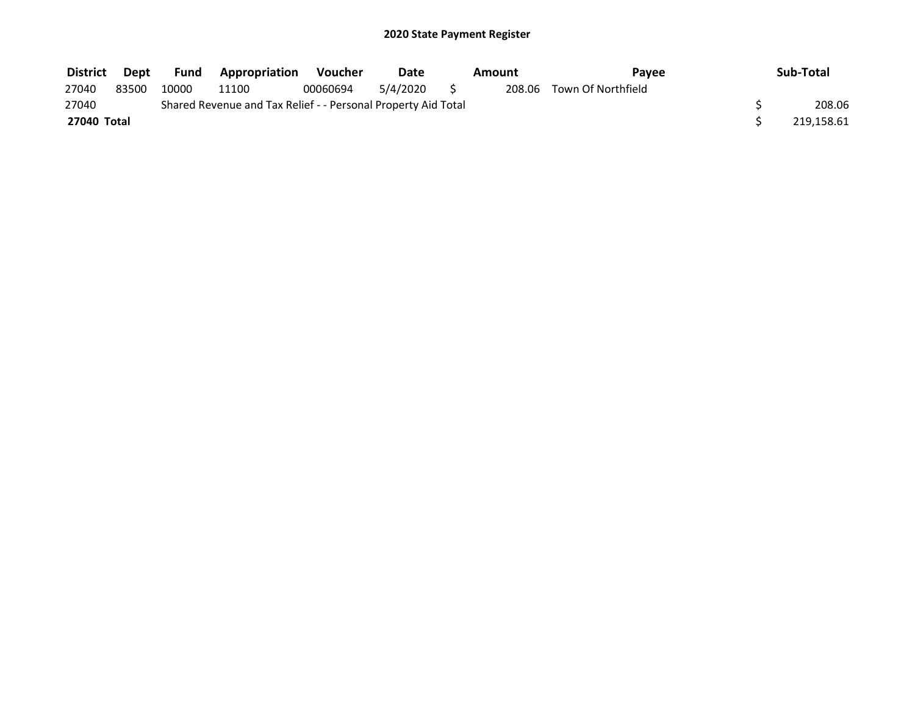| <b>District</b> | Dept  | <b>Fund</b> | <b>Appropriation</b>                                          | Voucher  | Date     | Amount | <b>Pavee</b>              | Sub-Total  |
|-----------------|-------|-------------|---------------------------------------------------------------|----------|----------|--------|---------------------------|------------|
| 27040           | 83500 | 10000       | 11100                                                         | 00060694 | 5/4/2020 |        | 208.06 Town Of Northfield |            |
| 27040           |       |             | Shared Revenue and Tax Relief - - Personal Property Aid Total |          |          |        |                           | 208.06     |
| 27040 Total     |       |             |                                                               |          |          |        |                           | 219,158.61 |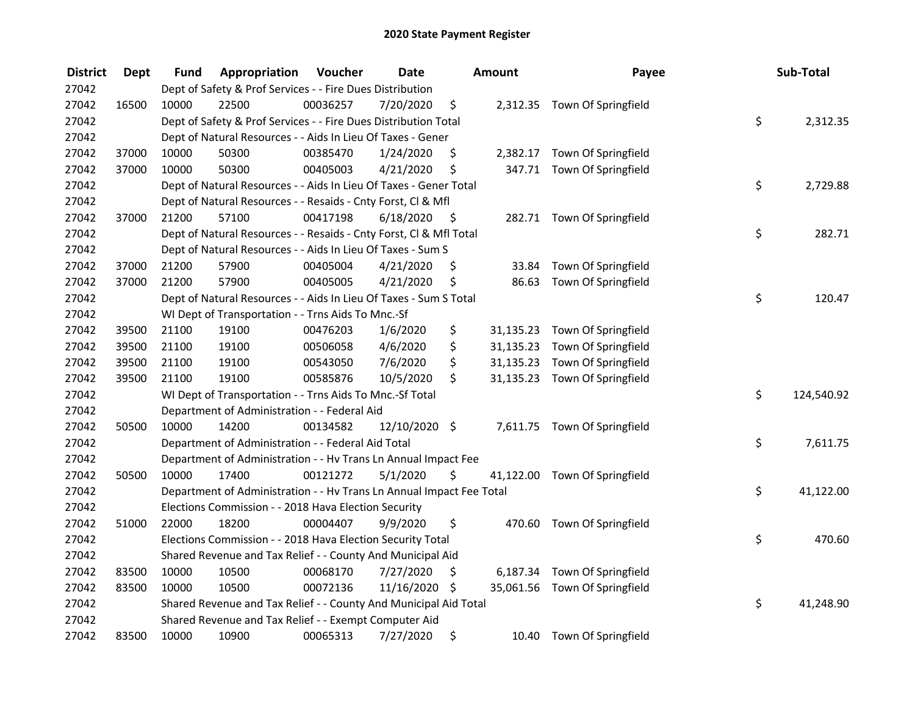| <b>District</b> | <b>Dept</b> | Fund  | Appropriation                                                        | Voucher  | <b>Date</b>   |      | <b>Amount</b> | Payee                         | Sub-Total        |
|-----------------|-------------|-------|----------------------------------------------------------------------|----------|---------------|------|---------------|-------------------------------|------------------|
| 27042           |             |       | Dept of Safety & Prof Services - - Fire Dues Distribution            |          |               |      |               |                               |                  |
| 27042           | 16500       | 10000 | 22500                                                                | 00036257 | 7/20/2020     | \$   |               | 2,312.35 Town Of Springfield  |                  |
| 27042           |             |       | Dept of Safety & Prof Services - - Fire Dues Distribution Total      |          |               |      |               |                               | \$<br>2,312.35   |
| 27042           |             |       | Dept of Natural Resources - - Aids In Lieu Of Taxes - Gener          |          |               |      |               |                               |                  |
| 27042           | 37000       | 10000 | 50300                                                                | 00385470 | 1/24/2020     | \$   |               | 2,382.17 Town Of Springfield  |                  |
| 27042           | 37000       | 10000 | 50300                                                                | 00405003 | 4/21/2020     | \$   |               | 347.71 Town Of Springfield    |                  |
| 27042           |             |       | Dept of Natural Resources - - Aids In Lieu Of Taxes - Gener Total    |          |               |      |               |                               | \$<br>2,729.88   |
| 27042           |             |       | Dept of Natural Resources - - Resaids - Cnty Forst, Cl & Mfl         |          |               |      |               |                               |                  |
| 27042           | 37000       | 21200 | 57100                                                                | 00417198 | 6/18/2020     | - \$ |               | 282.71 Town Of Springfield    |                  |
| 27042           |             |       | Dept of Natural Resources - - Resaids - Cnty Forst, CI & Mfl Total   |          |               |      |               |                               | \$<br>282.71     |
| 27042           |             |       | Dept of Natural Resources - - Aids In Lieu Of Taxes - Sum S          |          |               |      |               |                               |                  |
| 27042           | 37000       | 21200 | 57900                                                                | 00405004 | 4/21/2020     | \$   | 33.84         | Town Of Springfield           |                  |
| 27042           | 37000       | 21200 | 57900                                                                | 00405005 | 4/21/2020     | \$   | 86.63         | Town Of Springfield           |                  |
| 27042           |             |       | Dept of Natural Resources - - Aids In Lieu Of Taxes - Sum S Total    |          |               |      |               |                               | \$<br>120.47     |
| 27042           |             |       | WI Dept of Transportation - - Trns Aids To Mnc.-Sf                   |          |               |      |               |                               |                  |
| 27042           | 39500       | 21100 | 19100                                                                | 00476203 | 1/6/2020      | \$   | 31,135.23     | Town Of Springfield           |                  |
| 27042           | 39500       | 21100 | 19100                                                                | 00506058 | 4/6/2020      | \$   |               | 31,135.23 Town Of Springfield |                  |
| 27042           | 39500       | 21100 | 19100                                                                | 00543050 | 7/6/2020      | \$   |               | 31,135.23 Town Of Springfield |                  |
| 27042           | 39500       | 21100 | 19100                                                                | 00585876 | 10/5/2020     | \$   |               | 31,135.23 Town Of Springfield |                  |
| 27042           |             |       | WI Dept of Transportation - - Trns Aids To Mnc.-Sf Total             |          |               |      |               |                               | \$<br>124,540.92 |
| 27042           |             |       | Department of Administration - - Federal Aid                         |          |               |      |               |                               |                  |
| 27042           | 50500       | 10000 | 14200                                                                | 00134582 | 12/10/2020 \$ |      |               | 7,611.75 Town Of Springfield  |                  |
| 27042           |             |       | Department of Administration - - Federal Aid Total                   |          |               |      |               |                               | \$<br>7,611.75   |
| 27042           |             |       | Department of Administration - - Hv Trans Ln Annual Impact Fee       |          |               |      |               |                               |                  |
| 27042           | 50500       | 10000 | 17400                                                                | 00121272 | 5/1/2020      | \$   |               | 41,122.00 Town Of Springfield |                  |
| 27042           |             |       | Department of Administration - - Hv Trans Ln Annual Impact Fee Total |          |               |      |               |                               | \$<br>41,122.00  |
| 27042           |             |       | Elections Commission - - 2018 Hava Election Security                 |          |               |      |               |                               |                  |
| 27042           | 51000       | 22000 | 18200                                                                | 00004407 | 9/9/2020      | \$   |               | 470.60 Town Of Springfield    |                  |
| 27042           |             |       | Elections Commission - - 2018 Hava Election Security Total           |          |               |      |               |                               | \$<br>470.60     |
| 27042           |             |       | Shared Revenue and Tax Relief - - County And Municipal Aid           |          |               |      |               |                               |                  |
| 27042           | 83500       | 10000 | 10500                                                                | 00068170 | 7/27/2020     | \$   |               | 6,187.34 Town Of Springfield  |                  |
| 27042           | 83500       | 10000 | 10500                                                                | 00072136 | 11/16/2020    | - \$ |               | 35,061.56 Town Of Springfield |                  |
| 27042           |             |       | Shared Revenue and Tax Relief - - County And Municipal Aid Total     |          |               |      |               |                               | \$<br>41,248.90  |
| 27042           |             |       | Shared Revenue and Tax Relief - - Exempt Computer Aid                |          |               |      |               |                               |                  |
| 27042           | 83500       | 10000 | 10900                                                                | 00065313 | 7/27/2020     | \$   |               | 10.40 Town Of Springfield     |                  |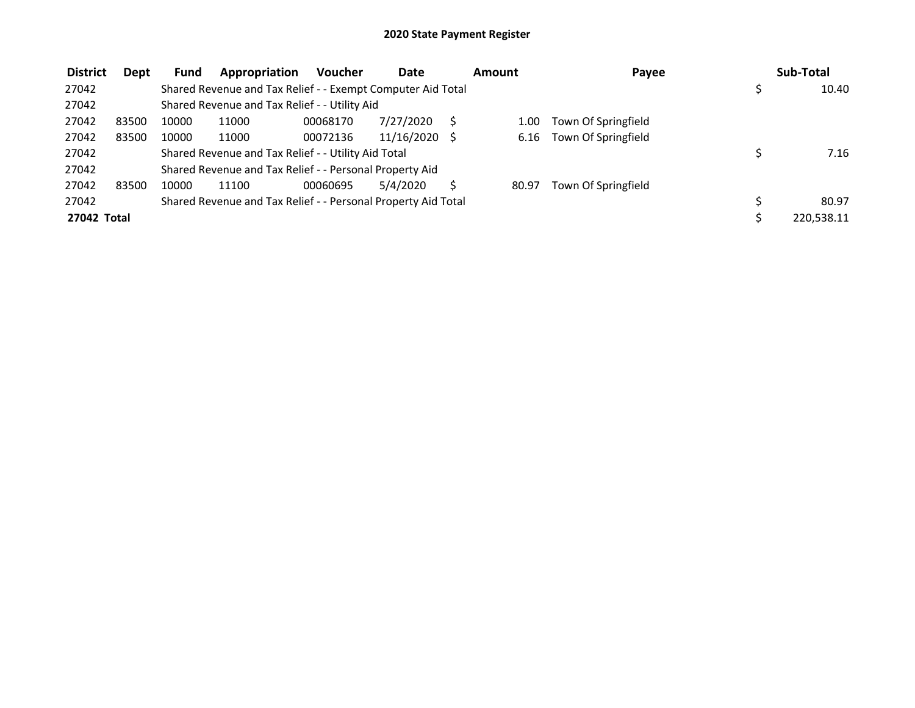| <b>District</b> | Dept  | Fund  | Appropriation                                                 | <b>Voucher</b> | Date            |       | <b>Amount</b> | Payee               |  | Sub-Total  |
|-----------------|-------|-------|---------------------------------------------------------------|----------------|-----------------|-------|---------------|---------------------|--|------------|
| 27042           |       |       | Shared Revenue and Tax Relief - - Exempt Computer Aid Total   |                |                 |       |               |                     |  | 10.40      |
| 27042           |       |       | Shared Revenue and Tax Relief - - Utility Aid                 |                |                 |       |               |                     |  |            |
| 27042           | 83500 | 10000 | 11000                                                         | 00068170       | 7/27/2020       |       | 1.00          | Town Of Springfield |  |            |
| 27042           | 83500 | 10000 | 11000                                                         | 00072136       | $11/16/2020$ \$ |       | 6.16          | Town Of Springfield |  |            |
| 27042           |       |       | Shared Revenue and Tax Relief - - Utility Aid Total           |                | 7.16            |       |               |                     |  |            |
| 27042           |       |       | Shared Revenue and Tax Relief - - Personal Property Aid       |                |                 |       |               |                     |  |            |
| 27042           | 83500 | 10000 | 11100                                                         | 00060695       | 5/4/2020        |       | 80.97         | Town Of Springfield |  |            |
| 27042           |       |       | Shared Revenue and Tax Relief - - Personal Property Aid Total |                |                 | 80.97 |               |                     |  |            |
| 27042 Total     |       |       |                                                               |                |                 |       |               |                     |  | 220,538.11 |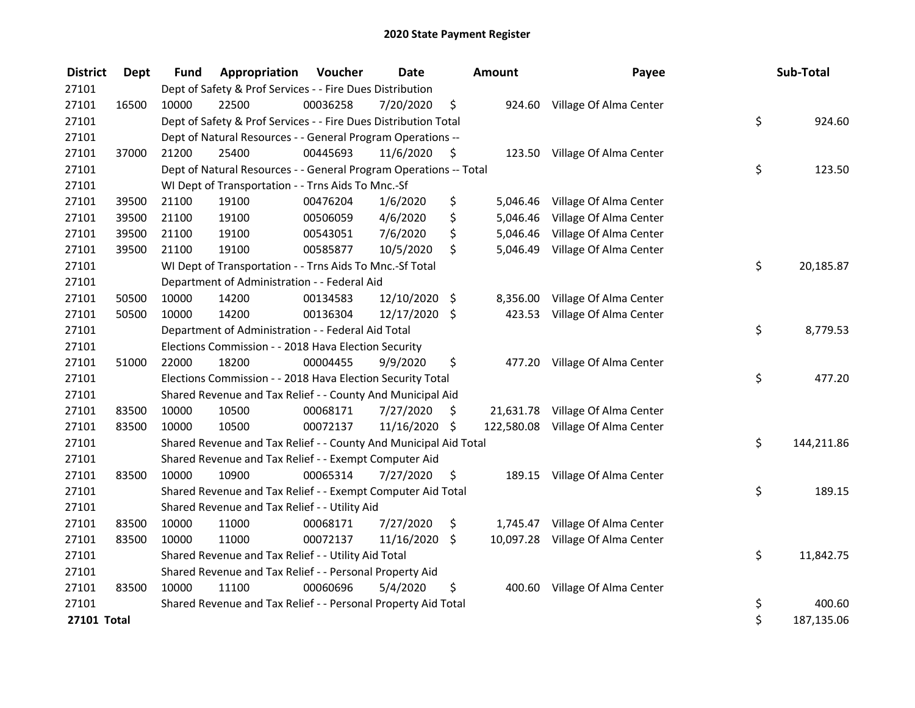| <b>District</b>    | Dept  | <b>Fund</b> | Appropriation                                                     | Voucher  | <b>Date</b>  | Amount |           | Payee                             | Sub-Total        |
|--------------------|-------|-------------|-------------------------------------------------------------------|----------|--------------|--------|-----------|-----------------------------------|------------------|
| 27101              |       |             | Dept of Safety & Prof Services - - Fire Dues Distribution         |          |              |        |           |                                   |                  |
| 27101              | 16500 | 10000       | 22500                                                             | 00036258 | 7/20/2020    | \$     |           | 924.60 Village Of Alma Center     |                  |
| 27101              |       |             | Dept of Safety & Prof Services - - Fire Dues Distribution Total   |          |              |        |           |                                   | \$<br>924.60     |
| 27101              |       |             | Dept of Natural Resources - - General Program Operations --       |          |              |        |           |                                   |                  |
| 27101              | 37000 | 21200       | 25400                                                             | 00445693 | 11/6/2020    | \$     |           | 123.50 Village Of Alma Center     |                  |
| 27101              |       |             | Dept of Natural Resources - - General Program Operations -- Total |          | \$<br>123.50 |        |           |                                   |                  |
| 27101              |       |             | WI Dept of Transportation - - Trns Aids To Mnc.-Sf                |          |              |        |           |                                   |                  |
| 27101              | 39500 | 21100       | 19100                                                             | 00476204 | 1/6/2020     | \$     | 5,046.46  | Village Of Alma Center            |                  |
| 27101              | 39500 | 21100       | 19100                                                             | 00506059 | 4/6/2020     | \$     | 5,046.46  | Village Of Alma Center            |                  |
| 27101              | 39500 | 21100       | 19100                                                             | 00543051 | 7/6/2020     | \$     | 5,046.46  | Village Of Alma Center            |                  |
| 27101              | 39500 | 21100       | 19100                                                             | 00585877 | 10/5/2020    | \$     | 5,046.49  | Village Of Alma Center            |                  |
| 27101              |       |             | WI Dept of Transportation - - Trns Aids To Mnc.-Sf Total          |          |              |        |           |                                   | \$<br>20,185.87  |
| 27101              |       |             | Department of Administration - - Federal Aid                      |          |              |        |           |                                   |                  |
| 27101              | 50500 | 10000       | 14200                                                             | 00134583 | 12/10/2020   | \$     | 8,356.00  | Village Of Alma Center            |                  |
| 27101              | 50500 | 10000       | 14200                                                             | 00136304 | 12/17/2020   | \$     | 423.53    | Village Of Alma Center            |                  |
| 27101              |       |             | Department of Administration - - Federal Aid Total                |          |              |        |           |                                   | \$<br>8,779.53   |
| 27101              |       |             | Elections Commission - - 2018 Hava Election Security              |          |              |        |           |                                   |                  |
| 27101              | 51000 | 22000       | 18200                                                             | 00004455 | 9/9/2020     | \$     | 477.20    | Village Of Alma Center            |                  |
| 27101              |       |             | Elections Commission - - 2018 Hava Election Security Total        |          |              |        |           |                                   | \$<br>477.20     |
| 27101              |       |             | Shared Revenue and Tax Relief - - County And Municipal Aid        |          |              |        |           |                                   |                  |
| 27101              | 83500 | 10000       | 10500                                                             | 00068171 | 7/27/2020    | S      |           | 21,631.78 Village Of Alma Center  |                  |
| 27101              | 83500 | 10000       | 10500                                                             | 00072137 | 11/16/2020   | \$     |           | 122,580.08 Village Of Alma Center |                  |
| 27101              |       |             | Shared Revenue and Tax Relief - - County And Municipal Aid Total  |          |              |        |           |                                   | \$<br>144,211.86 |
| 27101              |       |             | Shared Revenue and Tax Relief - - Exempt Computer Aid             |          |              |        |           |                                   |                  |
| 27101              | 83500 | 10000       | 10900                                                             | 00065314 | 7/27/2020    | \$     | 189.15    | Village Of Alma Center            |                  |
| 27101              |       |             | Shared Revenue and Tax Relief - - Exempt Computer Aid Total       |          |              |        |           |                                   | \$<br>189.15     |
| 27101              |       |             | Shared Revenue and Tax Relief - - Utility Aid                     |          |              |        |           |                                   |                  |
| 27101              | 83500 | 10000       | 11000                                                             | 00068171 | 7/27/2020    | \$     |           | 1,745.47 Village Of Alma Center   |                  |
| 27101              | 83500 | 10000       | 11000                                                             | 00072137 | 11/16/2020   | \$     | 10,097.28 | Village Of Alma Center            |                  |
| 27101              |       |             | Shared Revenue and Tax Relief - - Utility Aid Total               |          |              |        |           |                                   | \$<br>11,842.75  |
| 27101              |       |             | Shared Revenue and Tax Relief - - Personal Property Aid           |          |              |        |           |                                   |                  |
| 27101              | 83500 | 10000       | 11100                                                             | 00060696 | 5/4/2020     | \$     | 400.60    | Village Of Alma Center            |                  |
| 27101              |       |             | Shared Revenue and Tax Relief - - Personal Property Aid Total     |          |              |        |           |                                   | \$<br>400.60     |
| <b>27101 Total</b> |       |             |                                                                   |          |              |        |           |                                   | \$<br>187,135.06 |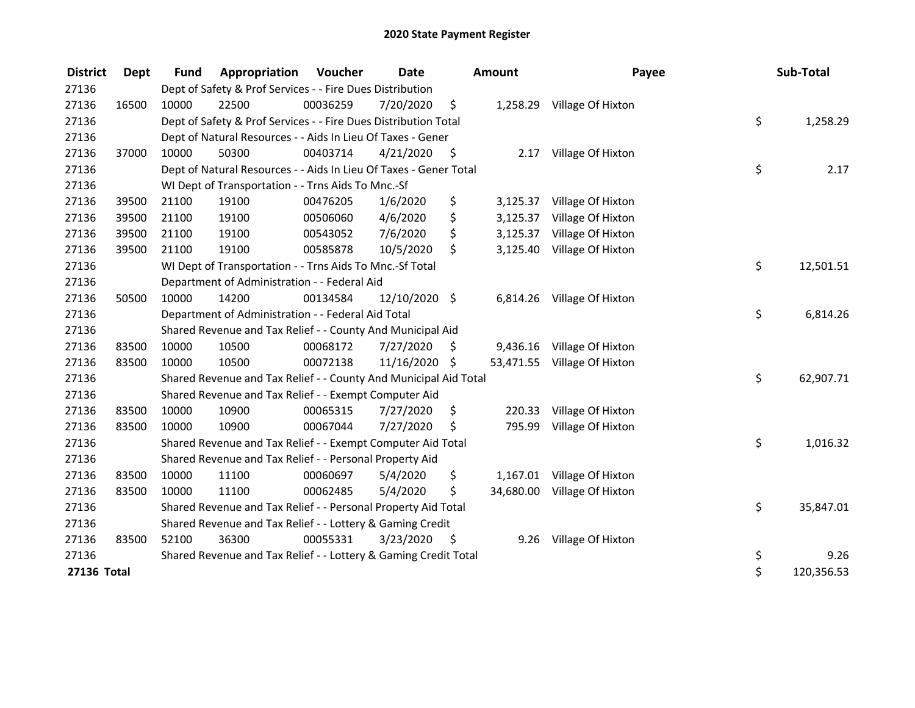| <b>District</b> | Dept  | <b>Fund</b>                                                   | Appropriation                                                     | Voucher  | <b>Date</b><br><b>Amount</b> |      |           | Payee                       |    | Sub-Total  |
|-----------------|-------|---------------------------------------------------------------|-------------------------------------------------------------------|----------|------------------------------|------|-----------|-----------------------------|----|------------|
| 27136           |       |                                                               | Dept of Safety & Prof Services - - Fire Dues Distribution         |          |                              |      |           |                             |    |            |
| 27136           | 16500 | 10000                                                         | 22500                                                             | 00036259 | 7/20/2020                    | \$   |           | 1,258.29 Village Of Hixton  |    |            |
| 27136           |       |                                                               | Dept of Safety & Prof Services - - Fire Dues Distribution Total   |          |                              |      |           |                             | \$ | 1,258.29   |
| 27136           |       |                                                               | Dept of Natural Resources - - Aids In Lieu Of Taxes - Gener       |          |                              |      |           |                             |    |            |
| 27136           | 37000 | 10000                                                         | 50300                                                             | 00403714 | 4/21/2020                    | - \$ | 2.17      | Village Of Hixton           |    |            |
| 27136           |       |                                                               | Dept of Natural Resources - - Aids In Lieu Of Taxes - Gener Total |          | \$                           | 2.17 |           |                             |    |            |
| 27136           |       |                                                               | WI Dept of Transportation - - Trns Aids To Mnc.-Sf                |          |                              |      |           |                             |    |            |
| 27136           | 39500 | 21100                                                         | 19100                                                             | 00476205 | 1/6/2020                     | \$   | 3,125.37  | Village Of Hixton           |    |            |
| 27136           | 39500 | 21100                                                         | 19100                                                             | 00506060 | 4/6/2020                     | \$   | 3,125.37  | Village Of Hixton           |    |            |
| 27136           | 39500 | 21100                                                         | 19100                                                             | 00543052 | 7/6/2020                     | \$   | 3,125.37  | Village Of Hixton           |    |            |
| 27136           | 39500 | 21100                                                         | 19100                                                             | 00585878 | 10/5/2020                    | \$   | 3,125.40  | Village Of Hixton           |    |            |
| 27136           |       |                                                               | WI Dept of Transportation - - Trns Aids To Mnc.-Sf Total          |          |                              |      |           |                             | \$ | 12,501.51  |
| 27136           |       | Department of Administration - - Federal Aid                  |                                                                   |          |                              |      |           |                             |    |            |
| 27136           | 50500 | 10000                                                         | 14200                                                             | 00134584 | 12/10/2020 \$                |      |           | 6,814.26 Village Of Hixton  |    |            |
| 27136           |       | Department of Administration - - Federal Aid Total            |                                                                   |          |                              |      |           |                             | \$ | 6,814.26   |
| 27136           |       |                                                               | Shared Revenue and Tax Relief - - County And Municipal Aid        |          |                              |      |           |                             |    |            |
| 27136           | 83500 | 10000                                                         | 10500                                                             | 00068172 | 7/27/2020                    | \$   |           | 9,436.16 Village Of Hixton  |    |            |
| 27136           | 83500 | 10000                                                         | 10500                                                             | 00072138 | 11/16/2020                   | \$   |           | 53,471.55 Village Of Hixton |    |            |
| 27136           |       |                                                               | Shared Revenue and Tax Relief - - County And Municipal Aid Total  |          |                              |      |           |                             | \$ | 62,907.71  |
| 27136           |       |                                                               | Shared Revenue and Tax Relief - - Exempt Computer Aid             |          |                              |      |           |                             |    |            |
| 27136           | 83500 | 10000                                                         | 10900                                                             | 00065315 | 7/27/2020                    | \$   | 220.33    | Village Of Hixton           |    |            |
| 27136           | 83500 | 10000                                                         | 10900                                                             | 00067044 | 7/27/2020                    | Ś.   | 795.99    | Village Of Hixton           |    |            |
| 27136           |       |                                                               | Shared Revenue and Tax Relief - - Exempt Computer Aid Total       |          |                              |      |           |                             | \$ | 1,016.32   |
| 27136           |       |                                                               | Shared Revenue and Tax Relief - - Personal Property Aid           |          |                              |      |           |                             |    |            |
| 27136           | 83500 | 10000                                                         | 11100                                                             | 00060697 | 5/4/2020                     | \$   | 1,167.01  | Village Of Hixton           |    |            |
| 27136           | 83500 | 10000                                                         | 11100                                                             | 00062485 | 5/4/2020                     | \$   | 34,680.00 | Village Of Hixton           |    |            |
| 27136           |       | Shared Revenue and Tax Relief - - Personal Property Aid Total |                                                                   |          |                              |      |           |                             | \$ | 35,847.01  |
| 27136           |       | Shared Revenue and Tax Relief - - Lottery & Gaming Credit     |                                                                   |          |                              |      |           |                             |    |            |
| 27136           | 83500 | 52100                                                         | 36300                                                             | 00055331 | 3/23/2020                    | - \$ | 9.26      | Village Of Hixton           |    |            |
| 27136           |       |                                                               | Shared Revenue and Tax Relief - - Lottery & Gaming Credit Total   |          |                              |      |           |                             | \$ | 9.26       |
| 27136 Total     |       |                                                               |                                                                   |          |                              |      |           |                             | \$ | 120,356.53 |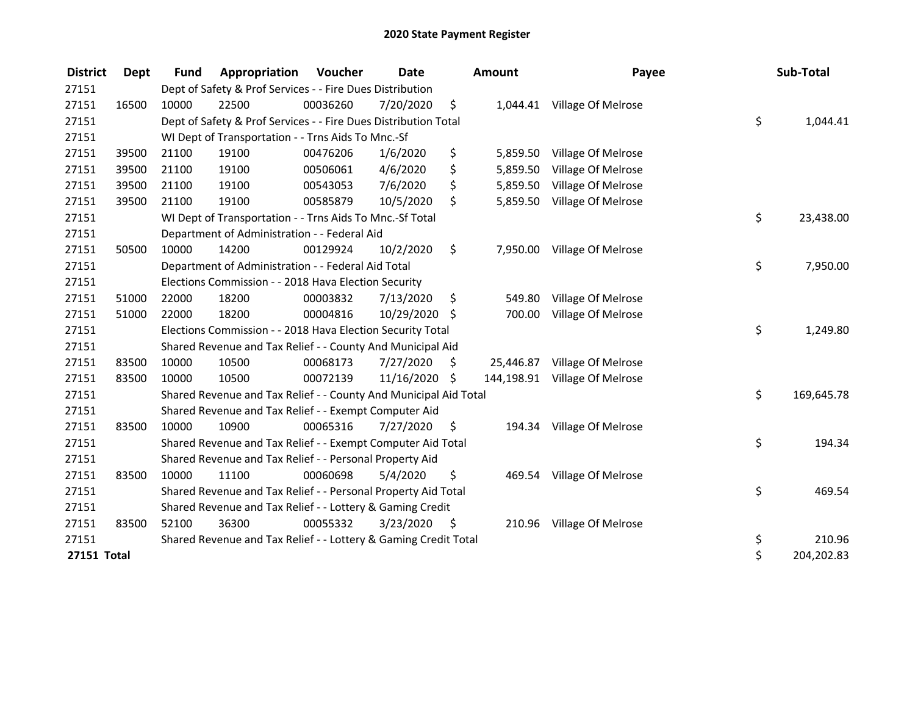| <b>District</b>    | Dept  | <b>Fund</b>                                               | Appropriation                                                    | Voucher  | <b>Date</b>   |      | <b>Amount</b> | Payee                         |    | Sub-Total  |  |
|--------------------|-------|-----------------------------------------------------------|------------------------------------------------------------------|----------|---------------|------|---------------|-------------------------------|----|------------|--|
| 27151              |       |                                                           | Dept of Safety & Prof Services - - Fire Dues Distribution        |          |               |      |               |                               |    |            |  |
| 27151              | 16500 | 10000                                                     | 22500                                                            | 00036260 | 7/20/2020     | \$   |               | 1,044.41 Village Of Melrose   |    |            |  |
| 27151              |       |                                                           | Dept of Safety & Prof Services - - Fire Dues Distribution Total  |          |               |      |               |                               | \$ | 1,044.41   |  |
| 27151              |       |                                                           | WI Dept of Transportation - - Trns Aids To Mnc.-Sf               |          |               |      |               |                               |    |            |  |
| 27151              | 39500 | 21100                                                     | 19100                                                            | 00476206 | 1/6/2020      | \$   | 5,859.50      | Village Of Melrose            |    |            |  |
| 27151              | 39500 | 21100                                                     | 19100                                                            | 00506061 | 4/6/2020      | \$   | 5,859.50      | Village Of Melrose            |    |            |  |
| 27151              | 39500 | 21100                                                     | 19100                                                            | 00543053 | 7/6/2020      | \$   | 5,859.50      | Village Of Melrose            |    |            |  |
| 27151              | 39500 | 21100                                                     | 19100                                                            | 00585879 | 10/5/2020     | \$   | 5,859.50      | Village Of Melrose            |    |            |  |
| 27151              |       |                                                           | WI Dept of Transportation - - Trns Aids To Mnc.-Sf Total         |          |               |      |               |                               | \$ | 23,438.00  |  |
| 27151              |       |                                                           | Department of Administration - - Federal Aid                     |          |               |      |               |                               |    |            |  |
| 27151              | 50500 | 10000                                                     | 14200                                                            | 00129924 | 10/2/2020     | \$   |               | 7,950.00 Village Of Melrose   |    |            |  |
| 27151              |       |                                                           | Department of Administration - - Federal Aid Total               |          |               |      |               |                               | \$ | 7,950.00   |  |
| 27151              |       |                                                           | Elections Commission - - 2018 Hava Election Security             |          |               |      |               |                               |    |            |  |
| 27151              | 51000 | 22000                                                     | 18200                                                            | 00003832 | 7/13/2020     | \$   | 549.80        | Village Of Melrose            |    |            |  |
| 27151              | 51000 | 22000                                                     | 18200                                                            | 00004816 | 10/29/2020 \$ |      | 700.00        | Village Of Melrose            |    |            |  |
| 27151              |       |                                                           | Elections Commission - - 2018 Hava Election Security Total       |          |               |      |               |                               | \$ | 1,249.80   |  |
| 27151              |       |                                                           | Shared Revenue and Tax Relief - - County And Municipal Aid       |          |               |      |               |                               |    |            |  |
| 27151              | 83500 | 10000                                                     | 10500                                                            | 00068173 | 7/27/2020     | \$   |               | 25,446.87 Village Of Melrose  |    |            |  |
| 27151              | 83500 | 10000                                                     | 10500                                                            | 00072139 | 11/16/2020    | Ŝ.   |               | 144,198.91 Village Of Melrose |    |            |  |
| 27151              |       |                                                           | Shared Revenue and Tax Relief - - County And Municipal Aid Total |          |               |      |               |                               | \$ | 169,645.78 |  |
| 27151              |       |                                                           | Shared Revenue and Tax Relief - - Exempt Computer Aid            |          |               |      |               |                               |    |            |  |
| 27151              | 83500 | 10000                                                     | 10900                                                            | 00065316 | 7/27/2020     | \$   | 194.34        | Village Of Melrose            |    |            |  |
| 27151              |       |                                                           | Shared Revenue and Tax Relief - - Exempt Computer Aid Total      |          |               |      |               |                               | \$ | 194.34     |  |
| 27151              |       |                                                           | Shared Revenue and Tax Relief - - Personal Property Aid          |          |               |      |               |                               |    |            |  |
| 27151              | 83500 | 10000                                                     | 11100                                                            | 00060698 | 5/4/2020      | \$   | 469.54        | Village Of Melrose            |    |            |  |
| 27151              |       |                                                           | Shared Revenue and Tax Relief - - Personal Property Aid Total    |          |               |      |               |                               | \$ | 469.54     |  |
| 27151              |       | Shared Revenue and Tax Relief - - Lottery & Gaming Credit |                                                                  |          |               |      |               |                               |    |            |  |
| 27151              | 83500 | 52100                                                     | 36300                                                            | 00055332 | 3/23/2020     | - \$ |               | 210.96 Village Of Melrose     |    |            |  |
| 27151              |       |                                                           | Shared Revenue and Tax Relief - - Lottery & Gaming Credit Total  |          |               |      |               |                               | \$ | 210.96     |  |
| <b>27151 Total</b> |       |                                                           |                                                                  |          |               |      |               |                               | \$ | 204,202.83 |  |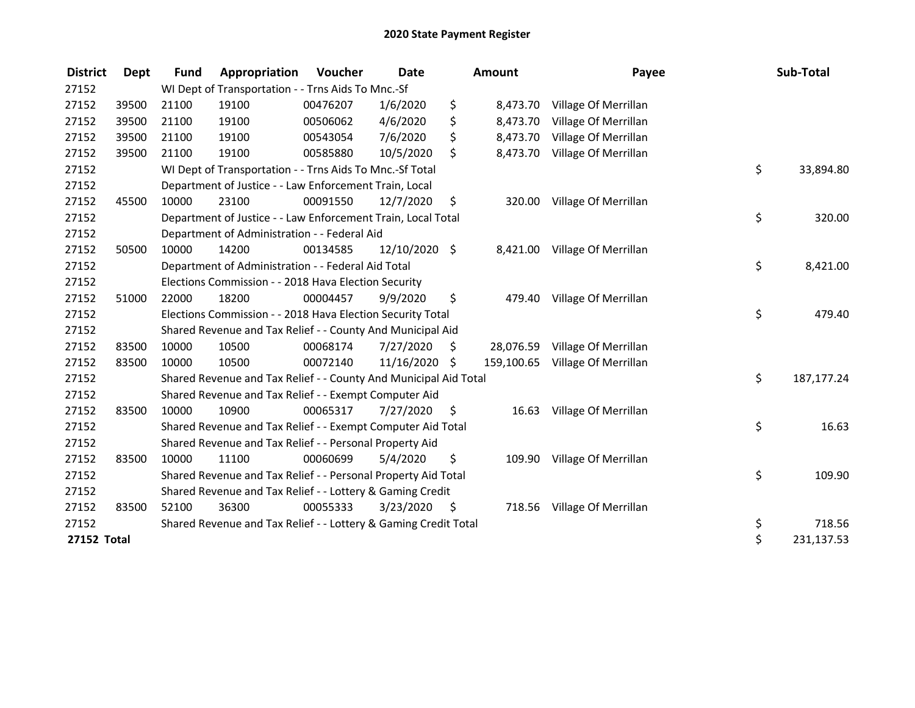| <b>District</b>    | <b>Dept</b> | <b>Fund</b> | Appropriation                                                    | Voucher  | <b>Date</b>   |    | <b>Amount</b> | Payee                |    | Sub-Total    |  |
|--------------------|-------------|-------------|------------------------------------------------------------------|----------|---------------|----|---------------|----------------------|----|--------------|--|
| 27152              |             |             | WI Dept of Transportation - - Trns Aids To Mnc.-Sf               |          |               |    |               |                      |    |              |  |
| 27152              | 39500       | 21100       | 19100                                                            | 00476207 | 1/6/2020      | \$ | 8,473.70      | Village Of Merrillan |    |              |  |
| 27152              | 39500       | 21100       | 19100                                                            | 00506062 | 4/6/2020      | \$ | 8,473.70      | Village Of Merrillan |    |              |  |
| 27152              | 39500       | 21100       | 19100                                                            | 00543054 | 7/6/2020      | \$ | 8,473.70      | Village Of Merrillan |    |              |  |
| 27152              | 39500       | 21100       | 19100                                                            | 00585880 | 10/5/2020     | \$ | 8,473.70      | Village Of Merrillan |    |              |  |
| 27152              |             |             | WI Dept of Transportation - - Trns Aids To Mnc.-Sf Total         |          |               |    |               |                      | \$ | 33,894.80    |  |
| 27152              |             |             | Department of Justice - - Law Enforcement Train, Local           |          |               |    |               |                      |    |              |  |
| 27152              | 45500       | 10000       | 23100                                                            | 00091550 | 12/7/2020     | \$ | 320.00        | Village Of Merrillan |    |              |  |
| 27152              |             |             | Department of Justice - - Law Enforcement Train, Local Total     |          |               |    |               |                      | \$ | 320.00       |  |
| 27152              |             |             | Department of Administration - - Federal Aid                     |          |               |    |               |                      |    |              |  |
| 27152              | 50500       | 10000       | 14200                                                            | 00134585 | 12/10/2020 \$ |    | 8,421.00      | Village Of Merrillan |    |              |  |
| 27152              |             |             | Department of Administration - - Federal Aid Total               |          |               |    |               |                      | \$ | 8,421.00     |  |
| 27152              |             |             | Elections Commission - - 2018 Hava Election Security             |          |               |    |               |                      |    |              |  |
| 27152              | 51000       | 22000       | 18200                                                            | 00004457 | 9/9/2020      | \$ | 479.40        | Village Of Merrillan |    |              |  |
| 27152              |             |             | Elections Commission - - 2018 Hava Election Security Total       |          |               |    |               |                      | \$ | 479.40       |  |
| 27152              |             |             | Shared Revenue and Tax Relief - - County And Municipal Aid       |          |               |    |               |                      |    |              |  |
| 27152              | 83500       | 10000       | 10500                                                            | 00068174 | 7/27/2020     | \$ | 28,076.59     | Village Of Merrillan |    |              |  |
| 27152              | 83500       | 10000       | 10500                                                            | 00072140 | 11/16/2020    | \$ | 159,100.65    | Village Of Merrillan |    |              |  |
| 27152              |             |             | Shared Revenue and Tax Relief - - County And Municipal Aid Total |          |               |    |               |                      | \$ | 187, 177. 24 |  |
| 27152              |             |             | Shared Revenue and Tax Relief - - Exempt Computer Aid            |          |               |    |               |                      |    |              |  |
| 27152              | 83500       | 10000       | 10900                                                            | 00065317 | 7/27/2020     | \$ | 16.63         | Village Of Merrillan |    |              |  |
| 27152              |             |             | Shared Revenue and Tax Relief - - Exempt Computer Aid Total      |          |               |    |               |                      | \$ | 16.63        |  |
| 27152              |             |             | Shared Revenue and Tax Relief - - Personal Property Aid          |          |               |    |               |                      |    |              |  |
| 27152              | 83500       | 10000       | 11100                                                            | 00060699 | 5/4/2020      | \$ | 109.90        | Village Of Merrillan |    |              |  |
| 27152              |             |             | Shared Revenue and Tax Relief - - Personal Property Aid Total    |          |               |    |               |                      | \$ | 109.90       |  |
| 27152              |             |             | Shared Revenue and Tax Relief - - Lottery & Gaming Credit        |          |               |    |               |                      |    |              |  |
| 27152              | 83500       | 52100       | 36300                                                            | 00055333 | 3/23/2020     | \$ | 718.56        | Village Of Merrillan |    |              |  |
| 27152              |             |             | Shared Revenue and Tax Relief - - Lottery & Gaming Credit Total  |          |               |    |               |                      | \$ | 718.56       |  |
| <b>27152 Total</b> |             |             |                                                                  |          |               |    |               |                      | \$ | 231,137.53   |  |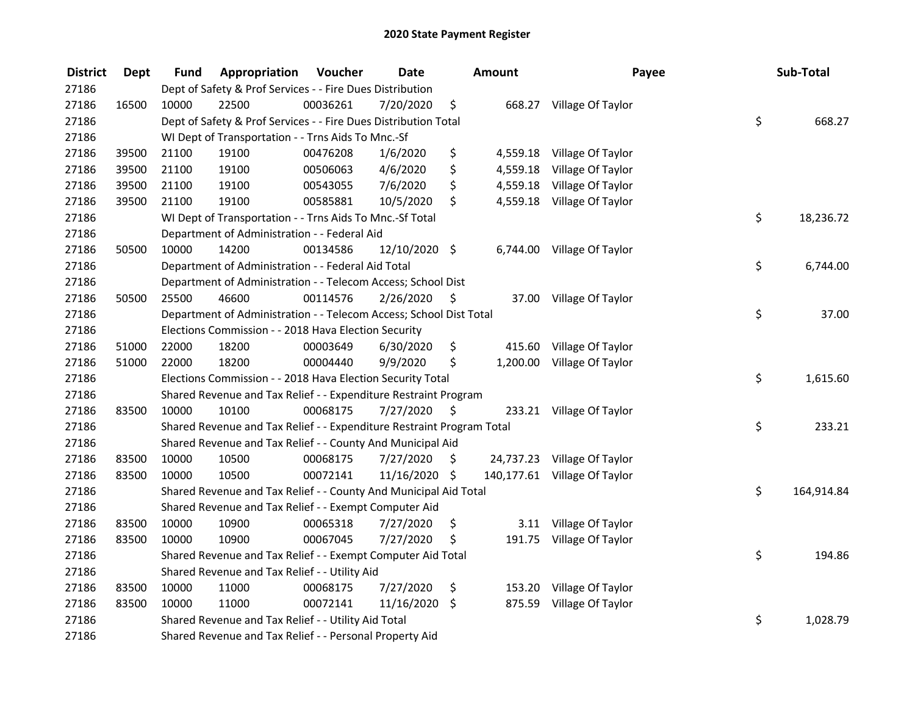| <b>District</b> | <b>Dept</b> | <b>Fund</b>                                   | Appropriation                                                         | Voucher  | <b>Date</b>   |      | <b>Amount</b> | Payee                        | Sub-Total        |
|-----------------|-------------|-----------------------------------------------|-----------------------------------------------------------------------|----------|---------------|------|---------------|------------------------------|------------------|
| 27186           |             |                                               | Dept of Safety & Prof Services - - Fire Dues Distribution             |          |               |      |               |                              |                  |
| 27186           | 16500       | 10000                                         | 22500                                                                 | 00036261 | 7/20/2020     | \$   |               | 668.27 Village Of Taylor     |                  |
| 27186           |             |                                               | Dept of Safety & Prof Services - - Fire Dues Distribution Total       |          |               |      |               |                              | \$<br>668.27     |
| 27186           |             |                                               | WI Dept of Transportation - - Trns Aids To Mnc.-Sf                    |          |               |      |               |                              |                  |
| 27186           | 39500       | 21100                                         | 19100                                                                 | 00476208 | 1/6/2020      | \$   | 4,559.18      | Village Of Taylor            |                  |
| 27186           | 39500       | 21100                                         | 19100                                                                 | 00506063 | 4/6/2020      | \$   | 4,559.18      | Village Of Taylor            |                  |
| 27186           | 39500       | 21100                                         | 19100                                                                 | 00543055 | 7/6/2020      | \$   | 4,559.18      | Village Of Taylor            |                  |
| 27186           | 39500       | 21100                                         | 19100                                                                 | 00585881 | 10/5/2020     | \$   |               | 4,559.18 Village Of Taylor   |                  |
| 27186           |             |                                               | WI Dept of Transportation - - Trns Aids To Mnc.-Sf Total              |          |               |      |               |                              | \$<br>18,236.72  |
| 27186           |             |                                               | Department of Administration - - Federal Aid                          |          |               |      |               |                              |                  |
| 27186           | 50500       | 10000                                         | 14200                                                                 | 00134586 | 12/10/2020 \$ |      |               | 6,744.00 Village Of Taylor   |                  |
| 27186           |             |                                               | Department of Administration - - Federal Aid Total                    |          |               |      |               |                              | \$<br>6,744.00   |
| 27186           |             |                                               | Department of Administration - - Telecom Access; School Dist          |          |               |      |               |                              |                  |
| 27186           | 50500       | 25500                                         | 46600                                                                 | 00114576 | 2/26/2020     | \$   |               | 37.00 Village Of Taylor      |                  |
| 27186           |             |                                               | Department of Administration - - Telecom Access; School Dist Total    |          |               |      |               |                              | \$<br>37.00      |
| 27186           |             |                                               | Elections Commission - - 2018 Hava Election Security                  |          |               |      |               |                              |                  |
| 27186           | 51000       | 22000                                         | 18200                                                                 | 00003649 | 6/30/2020     | \$   | 415.60        | Village Of Taylor            |                  |
| 27186           | 51000       | 22000                                         | 18200                                                                 | 00004440 | 9/9/2020      | \$   |               | 1,200.00 Village Of Taylor   |                  |
| 27186           |             |                                               | Elections Commission - - 2018 Hava Election Security Total            |          |               |      |               |                              | \$<br>1,615.60   |
| 27186           |             |                                               | Shared Revenue and Tax Relief - - Expenditure Restraint Program       |          |               |      |               |                              |                  |
| 27186           | 83500       | 10000                                         | 10100                                                                 | 00068175 | 7/27/2020     | - \$ |               | 233.21 Village Of Taylor     |                  |
| 27186           |             |                                               | Shared Revenue and Tax Relief - - Expenditure Restraint Program Total |          |               |      |               |                              | \$<br>233.21     |
| 27186           |             |                                               | Shared Revenue and Tax Relief - - County And Municipal Aid            |          |               |      |               |                              |                  |
| 27186           | 83500       | 10000                                         | 10500                                                                 | 00068175 | 7/27/2020     | \$.  |               | 24,737.23 Village Of Taylor  |                  |
| 27186           | 83500       | 10000                                         | 10500                                                                 | 00072141 | 11/16/2020 \$ |      |               | 140,177.61 Village Of Taylor |                  |
| 27186           |             |                                               | Shared Revenue and Tax Relief - - County And Municipal Aid Total      |          |               |      |               |                              | \$<br>164,914.84 |
| 27186           |             |                                               | Shared Revenue and Tax Relief - - Exempt Computer Aid                 |          |               |      |               |                              |                  |
| 27186           | 83500       | 10000                                         | 10900                                                                 | 00065318 | 7/27/2020     | \$   |               | 3.11 Village Of Taylor       |                  |
| 27186           | 83500       | 10000                                         | 10900                                                                 | 00067045 | 7/27/2020     | \$   | 191.75        | Village Of Taylor            |                  |
| 27186           |             |                                               | Shared Revenue and Tax Relief - - Exempt Computer Aid Total           |          |               |      |               |                              | \$<br>194.86     |
| 27186           |             | Shared Revenue and Tax Relief - - Utility Aid |                                                                       |          |               |      |               |                              |                  |
| 27186           | 83500       | 10000                                         | 11000                                                                 | 00068175 | 7/27/2020     | \$   |               | 153.20 Village Of Taylor     |                  |
| 27186           | 83500       | 10000                                         | 11000                                                                 | 00072141 | 11/16/2020    | - \$ |               | 875.59 Village Of Taylor     |                  |
| 27186           |             |                                               | Shared Revenue and Tax Relief - - Utility Aid Total                   |          |               |      |               |                              | \$<br>1,028.79   |
| 27186           |             |                                               | Shared Revenue and Tax Relief - - Personal Property Aid               |          |               |      |               |                              |                  |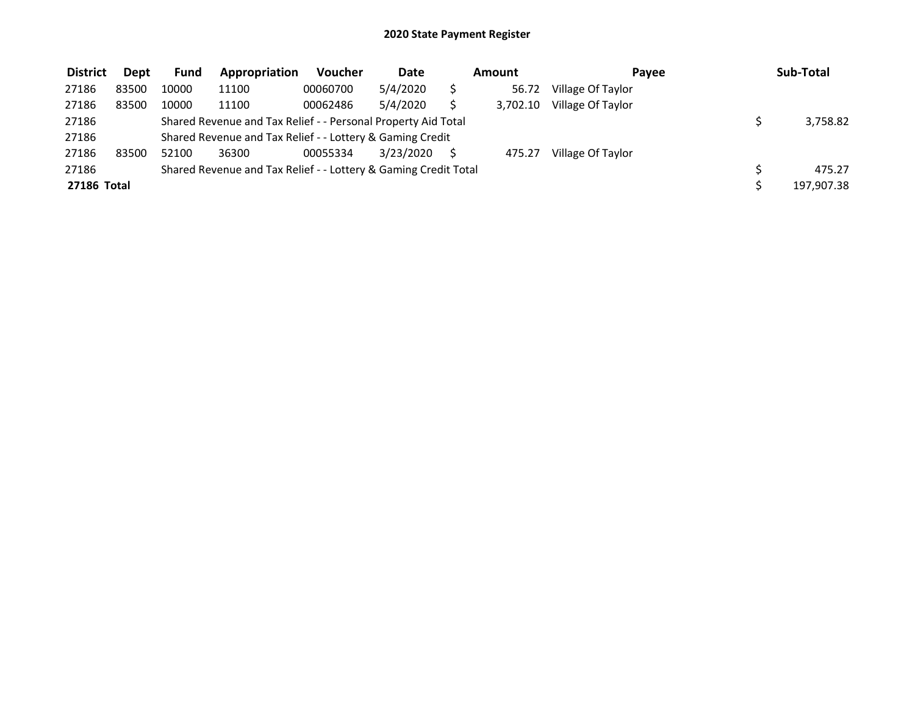| <b>District</b> | <b>Dept</b> | <b>Fund</b>                                                   | Appropriation                                                   | <b>Voucher</b> | <b>Date</b> | Amount |          | <b>Pavee</b>      | Sub-Total |            |
|-----------------|-------------|---------------------------------------------------------------|-----------------------------------------------------------------|----------------|-------------|--------|----------|-------------------|-----------|------------|
| 27186           | 83500       | 10000                                                         | 11100                                                           | 00060700       | 5/4/2020    |        | 56.72    | Village Of Taylor |           |            |
| 27186           | 83500       | 10000                                                         | 11100                                                           | 00062486       | 5/4/2020    |        | 3,702.10 | Village Of Taylor |           |            |
| 27186           |             | Shared Revenue and Tax Relief - - Personal Property Aid Total |                                                                 |                | 3,758.82    |        |          |                   |           |            |
| 27186           |             | Shared Revenue and Tax Relief - - Lottery & Gaming Credit     |                                                                 |                |             |        |          |                   |           |            |
| 27186           | 83500       | 52100                                                         | 36300                                                           | 00055334       | 3/23/2020   |        | 475.27   | Village Of Taylor |           |            |
| 27186           |             |                                                               | Shared Revenue and Tax Relief - - Lottery & Gaming Credit Total |                |             | 475.27 |          |                   |           |            |
| 27186 Total     |             |                                                               |                                                                 |                |             |        |          |                   |           | 197,907.38 |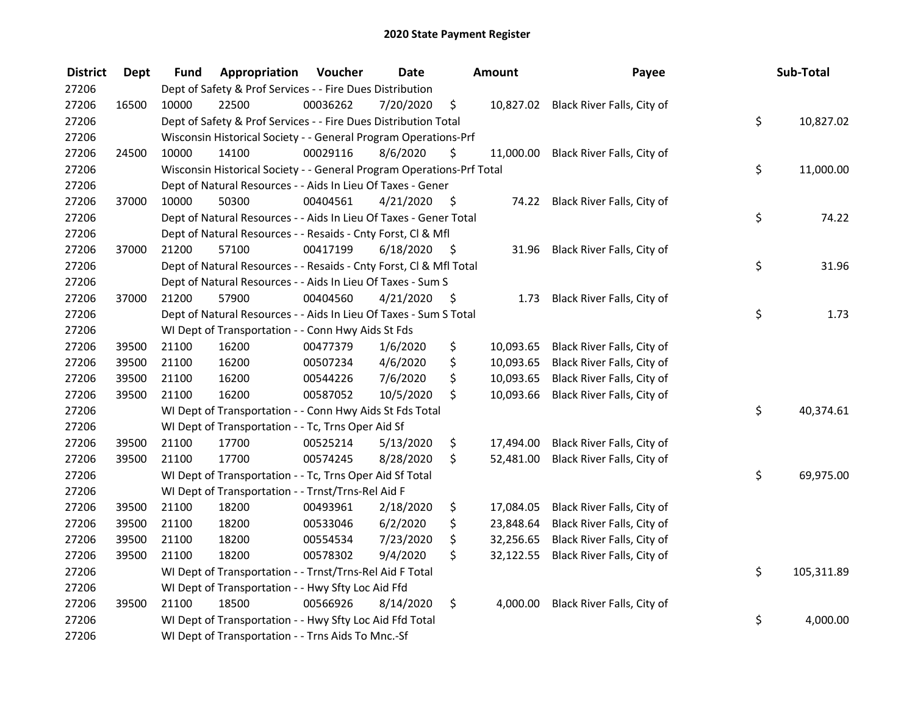| <b>District</b> | <b>Dept</b> | <b>Fund</b> | Appropriation                                                         | Voucher  | <b>Date</b>     |      | Amount    | Payee                                | Sub-Total        |
|-----------------|-------------|-------------|-----------------------------------------------------------------------|----------|-----------------|------|-----------|--------------------------------------|------------------|
| 27206           |             |             | Dept of Safety & Prof Services - - Fire Dues Distribution             |          |                 |      |           |                                      |                  |
| 27206           | 16500       | 10000       | 22500                                                                 | 00036262 | 7/20/2020       | \$   |           | 10,827.02 Black River Falls, City of |                  |
| 27206           |             |             | Dept of Safety & Prof Services - - Fire Dues Distribution Total       |          |                 |      |           |                                      | \$<br>10,827.02  |
| 27206           |             |             | Wisconsin Historical Society - - General Program Operations-Prf       |          |                 |      |           |                                      |                  |
| 27206           | 24500       | 10000       | 14100                                                                 | 00029116 | 8/6/2020        | \$   | 11,000.00 | Black River Falls, City of           |                  |
| 27206           |             |             | Wisconsin Historical Society - - General Program Operations-Prf Total |          | \$<br>11,000.00 |      |           |                                      |                  |
| 27206           |             |             | Dept of Natural Resources - - Aids In Lieu Of Taxes - Gener           |          |                 |      |           |                                      |                  |
| 27206           | 37000       | 10000       | 50300                                                                 | 00404561 | 4/21/2020       | - \$ |           | 74.22 Black River Falls, City of     |                  |
| 27206           |             |             | Dept of Natural Resources - - Aids In Lieu Of Taxes - Gener Total     |          |                 |      |           |                                      | \$<br>74.22      |
| 27206           |             |             | Dept of Natural Resources - - Resaids - Cnty Forst, Cl & Mfl          |          |                 |      |           |                                      |                  |
| 27206           | 37000       | 21200       | 57100                                                                 | 00417199 | 6/18/2020       | - \$ |           | 31.96 Black River Falls, City of     |                  |
| 27206           |             |             | Dept of Natural Resources - - Resaids - Cnty Forst, Cl & Mfl Total    |          |                 |      |           |                                      | \$<br>31.96      |
| 27206           |             |             | Dept of Natural Resources - - Aids In Lieu Of Taxes - Sum S           |          |                 |      |           |                                      |                  |
| 27206           | 37000       | 21200       | 57900                                                                 | 00404560 | 4/21/2020       | \$   | 1.73      | Black River Falls, City of           |                  |
| 27206           |             |             | Dept of Natural Resources - - Aids In Lieu Of Taxes - Sum S Total     |          |                 |      |           |                                      | \$<br>1.73       |
| 27206           |             |             | WI Dept of Transportation - - Conn Hwy Aids St Fds                    |          |                 |      |           |                                      |                  |
| 27206           | 39500       | 21100       | 16200                                                                 | 00477379 | 1/6/2020        | \$   | 10,093.65 | Black River Falls, City of           |                  |
| 27206           | 39500       | 21100       | 16200                                                                 | 00507234 | 4/6/2020        | \$   | 10,093.65 | Black River Falls, City of           |                  |
| 27206           | 39500       | 21100       | 16200                                                                 | 00544226 | 7/6/2020        | \$   | 10,093.65 | Black River Falls, City of           |                  |
| 27206           | 39500       | 21100       | 16200                                                                 | 00587052 | 10/5/2020       | \$   | 10,093.66 | Black River Falls, City of           |                  |
| 27206           |             |             | WI Dept of Transportation - - Conn Hwy Aids St Fds Total              |          |                 |      |           |                                      | \$<br>40,374.61  |
| 27206           |             |             | WI Dept of Transportation - - Tc, Trns Oper Aid Sf                    |          |                 |      |           |                                      |                  |
| 27206           | 39500       | 21100       | 17700                                                                 | 00525214 | 5/13/2020       | \$   | 17,494.00 | Black River Falls, City of           |                  |
| 27206           | 39500       | 21100       | 17700                                                                 | 00574245 | 8/28/2020       | \$   | 52,481.00 | Black River Falls, City of           |                  |
| 27206           |             |             | WI Dept of Transportation - - Tc, Trns Oper Aid Sf Total              |          |                 |      |           |                                      | \$<br>69,975.00  |
| 27206           |             |             | WI Dept of Transportation - - Trnst/Trns-Rel Aid F                    |          |                 |      |           |                                      |                  |
| 27206           | 39500       | 21100       | 18200                                                                 | 00493961 | 2/18/2020       | \$   | 17,084.05 | Black River Falls, City of           |                  |
| 27206           | 39500       | 21100       | 18200                                                                 | 00533046 | 6/2/2020        | \$   | 23,848.64 | Black River Falls, City of           |                  |
| 27206           | 39500       | 21100       | 18200                                                                 | 00554534 | 7/23/2020       | \$   | 32,256.65 | Black River Falls, City of           |                  |
| 27206           | 39500       | 21100       | 18200                                                                 | 00578302 | 9/4/2020        | \$   | 32,122.55 | Black River Falls, City of           |                  |
| 27206           |             |             | WI Dept of Transportation - - Trnst/Trns-Rel Aid F Total              |          |                 |      |           |                                      | \$<br>105,311.89 |
| 27206           |             |             | WI Dept of Transportation - - Hwy Sfty Loc Aid Ffd                    |          |                 |      |           |                                      |                  |
| 27206           | 39500       | 21100       | 18500                                                                 | 00566926 | 8/14/2020       | \$   | 4,000.00  | Black River Falls, City of           |                  |
| 27206           |             |             | WI Dept of Transportation - - Hwy Sfty Loc Aid Ffd Total              |          |                 |      |           |                                      | \$<br>4,000.00   |
| 27206           |             |             | WI Dept of Transportation - - Trns Aids To Mnc.-Sf                    |          |                 |      |           |                                      |                  |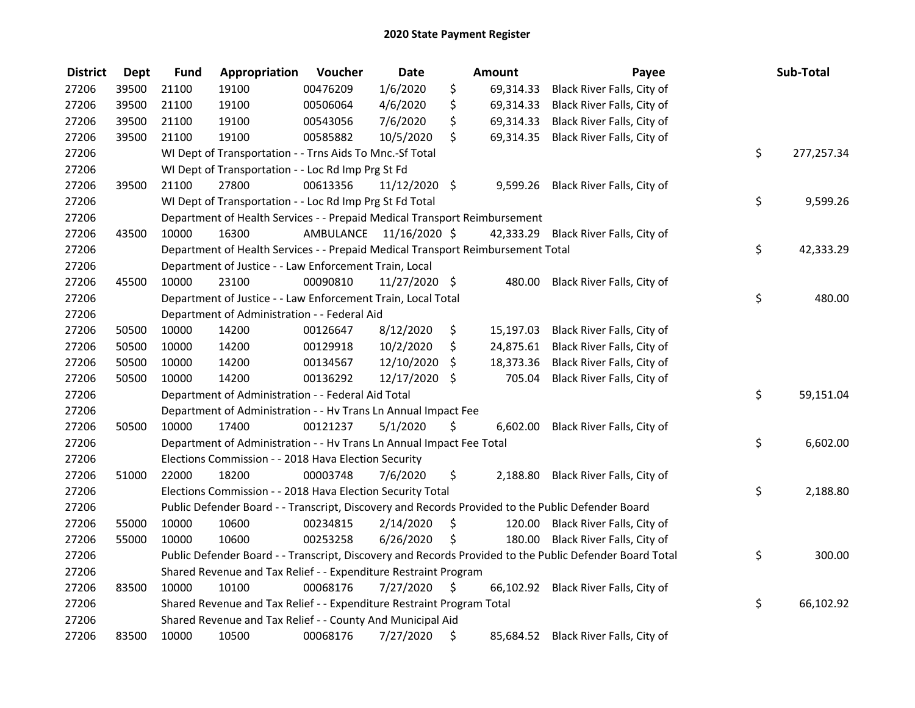| <b>District</b> | <b>Dept</b> | <b>Fund</b> | Appropriation                                                                   | Voucher  | <b>Date</b>             |                     | <b>Amount</b> | Payee                                                                                                   | Sub-Total        |
|-----------------|-------------|-------------|---------------------------------------------------------------------------------|----------|-------------------------|---------------------|---------------|---------------------------------------------------------------------------------------------------------|------------------|
| 27206           | 39500       | 21100       | 19100                                                                           | 00476209 | 1/6/2020                | \$                  | 69,314.33     | Black River Falls, City of                                                                              |                  |
| 27206           | 39500       | 21100       | 19100                                                                           | 00506064 | 4/6/2020                | \$                  | 69,314.33     | Black River Falls, City of                                                                              |                  |
| 27206           | 39500       | 21100       | 19100                                                                           | 00543056 | 7/6/2020                | \$                  | 69,314.33     | Black River Falls, City of                                                                              |                  |
| 27206           | 39500       | 21100       | 19100                                                                           | 00585882 | 10/5/2020               | \$                  | 69,314.35     | Black River Falls, City of                                                                              |                  |
| 27206           |             |             | WI Dept of Transportation - - Trns Aids To Mnc.-Sf Total                        |          |                         |                     |               |                                                                                                         | \$<br>277,257.34 |
| 27206           |             |             | WI Dept of Transportation - - Loc Rd Imp Prg St Fd                              |          |                         |                     |               |                                                                                                         |                  |
| 27206           | 39500       | 21100       | 27800                                                                           | 00613356 | $11/12/2020$ \$         |                     |               | 9,599.26 Black River Falls, City of                                                                     |                  |
| 27206           |             |             | WI Dept of Transportation - - Loc Rd Imp Prg St Fd Total                        |          |                         |                     |               |                                                                                                         | \$<br>9,599.26   |
| 27206           |             |             | Department of Health Services - - Prepaid Medical Transport Reimbursement       |          |                         |                     |               |                                                                                                         |                  |
| 27206           | 43500       | 10000       | 16300                                                                           |          | AMBULANCE 11/16/2020 \$ |                     | 42,333.29     | Black River Falls, City of                                                                              |                  |
| 27206           |             |             | Department of Health Services - - Prepaid Medical Transport Reimbursement Total |          |                         |                     |               |                                                                                                         | \$<br>42,333.29  |
| 27206           |             |             | Department of Justice - - Law Enforcement Train, Local                          |          |                         |                     |               |                                                                                                         |                  |
| 27206           | 45500       | 10000       | 23100                                                                           | 00090810 | 11/27/2020 \$           |                     | 480.00        | Black River Falls, City of                                                                              |                  |
| 27206           |             |             | Department of Justice - - Law Enforcement Train, Local Total                    |          |                         |                     |               |                                                                                                         | \$<br>480.00     |
| 27206           |             |             | Department of Administration - - Federal Aid                                    |          |                         |                     |               |                                                                                                         |                  |
| 27206           | 50500       | 10000       | 14200                                                                           | 00126647 | 8/12/2020               | \$                  | 15,197.03     | Black River Falls, City of                                                                              |                  |
| 27206           | 50500       | 10000       | 14200                                                                           | 00129918 | 10/2/2020               | \$                  | 24,875.61     | Black River Falls, City of                                                                              |                  |
| 27206           | 50500       | 10000       | 14200                                                                           | 00134567 | 12/10/2020              | \$                  | 18,373.36     | Black River Falls, City of                                                                              |                  |
| 27206           | 50500       | 10000       | 14200                                                                           | 00136292 | 12/17/2020 \$           |                     | 705.04        | Black River Falls, City of                                                                              |                  |
| 27206           |             |             | Department of Administration - - Federal Aid Total                              |          |                         |                     |               |                                                                                                         | \$<br>59,151.04  |
| 27206           |             |             | Department of Administration - - Hv Trans Ln Annual Impact Fee                  |          |                         |                     |               |                                                                                                         |                  |
| 27206           | 50500       | 10000       | 17400                                                                           | 00121237 | 5/1/2020                | \$                  | 6,602.00      | Black River Falls, City of                                                                              |                  |
| 27206           |             |             | Department of Administration - - Hv Trans Ln Annual Impact Fee Total            |          |                         |                     |               |                                                                                                         | \$<br>6,602.00   |
| 27206           |             |             | Elections Commission - - 2018 Hava Election Security                            |          |                         |                     |               |                                                                                                         |                  |
| 27206           | 51000       | 22000       | 18200                                                                           | 00003748 | 7/6/2020                | \$                  |               | 2,188.80 Black River Falls, City of                                                                     |                  |
| 27206           |             |             | Elections Commission - - 2018 Hava Election Security Total                      |          |                         |                     |               |                                                                                                         | \$<br>2,188.80   |
| 27206           |             |             |                                                                                 |          |                         |                     |               | Public Defender Board - - Transcript, Discovery and Records Provided to the Public Defender Board       |                  |
| 27206           | 55000       | 10000       | 10600                                                                           | 00234815 | 2/14/2020               | \$                  | 120.00        | Black River Falls, City of                                                                              |                  |
| 27206           | 55000       | 10000       | 10600                                                                           | 00253258 | 6/26/2020               | \$                  | 180.00        | Black River Falls, City of                                                                              |                  |
| 27206           |             |             |                                                                                 |          |                         |                     |               | Public Defender Board - - Transcript, Discovery and Records Provided to the Public Defender Board Total | \$<br>300.00     |
| 27206           |             |             | Shared Revenue and Tax Relief - - Expenditure Restraint Program                 |          |                         |                     |               |                                                                                                         |                  |
| 27206           | 83500       | 10000       | 10100                                                                           | 00068176 | 7/27/2020               | $\ddot{\mathsf{s}}$ |               | 66,102.92 Black River Falls, City of                                                                    |                  |
| 27206           |             |             | Shared Revenue and Tax Relief - - Expenditure Restraint Program Total           |          |                         |                     |               |                                                                                                         | \$<br>66,102.92  |
| 27206           |             |             | Shared Revenue and Tax Relief - - County And Municipal Aid                      |          |                         |                     |               |                                                                                                         |                  |
| 27206           | 83500       | 10000       | 10500                                                                           | 00068176 | 7/27/2020               | \$                  | 85,684.52     | Black River Falls, City of                                                                              |                  |